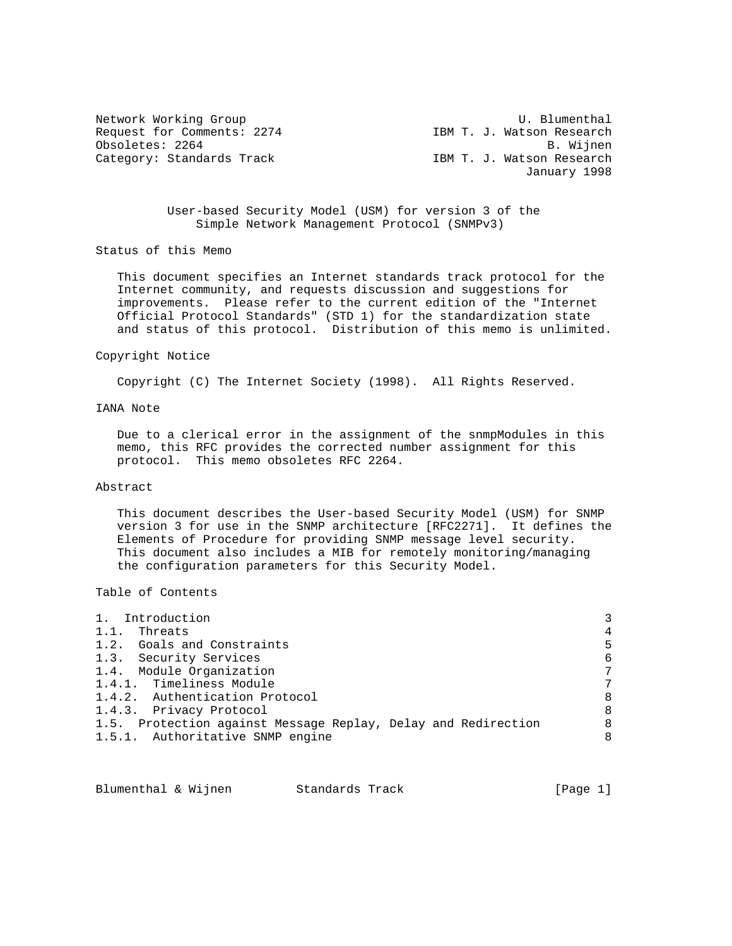Request for Comments: 2274 IBM T. J. Watson Research Obsoletes: 2264 B. Wijnen Category: Standards Track

Network Working Group and the U. Blumenthal January 1998

> User-based Security Model (USM) for version 3 of the Simple Network Management Protocol (SNMPv3)

Status of this Memo

 This document specifies an Internet standards track protocol for the Internet community, and requests discussion and suggestions for improvements. Please refer to the current edition of the "Internet Official Protocol Standards" (STD 1) for the standardization state and status of this protocol. Distribution of this memo is unlimited.

#### Copyright Notice

Copyright (C) The Internet Society (1998). All Rights Reserved.

# IANA Note

 Due to a clerical error in the assignment of the snmpModules in this memo, this RFC provides the corrected number assignment for this protocol. This memo obsoletes RFC 2264.

# Abstract

 This document describes the User-based Security Model (USM) for SNMP version 3 for use in the SNMP architecture [RFC2271]. It defines the Elements of Procedure for providing SNMP message level security. This document also includes a MIB for remotely monitoring/managing the configuration parameters for this Security Model.

Table of Contents

| 1. Introduction                                               | 3 |
|---------------------------------------------------------------|---|
| 1.1.<br>Threats                                               | 4 |
| 1.2. Goals and Constraints                                    | 5 |
| 1.3. Security Services                                        | 6 |
| 1.4. Module Organization                                      | 7 |
| 1.4.1. Timeliness Module                                      | 7 |
| 1.4.2. Authentication Protocol                                | 8 |
| 1.4.3. Privacy Protocol                                       | 8 |
| 1.5. Protection against Message Replay, Delay and Redirection | 8 |
| 1.5.1. Authoritative SNMP engine                              | 8 |

| [Page $1$ ]<br>Blumenthal & Wijnen<br>Standards Track |  |  |  |
|-------------------------------------------------------|--|--|--|
|-------------------------------------------------------|--|--|--|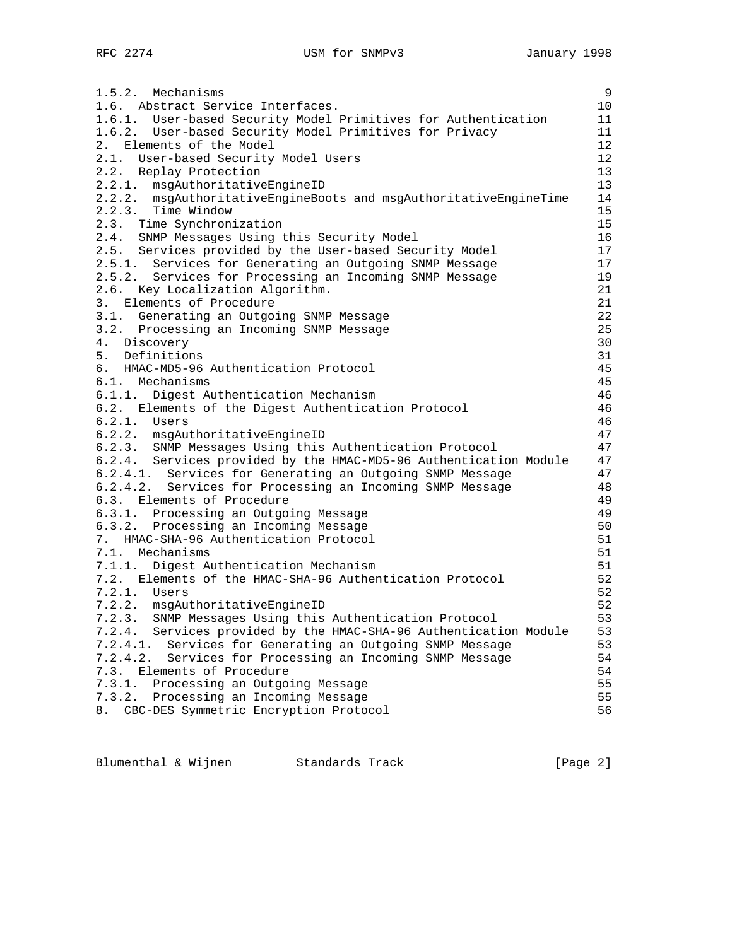1.5.2. Mechanisms 9 1.6. Abstract Service Interfaces. 10 1.6.1. User-based Security Model Primitives for Authentication 11 1.6.2. User-based Security Model Primitives for Privacy 11 2. Elements of the Model 12 2.1. User-based Security Model Users 12<br>2.2. Replay Protection 13 2.2. Replay Protection 13<br>2.2.1. msgAuthoritativeEngineID 13 2.2.1. msgAuthoritativeEngineID 2.2.2. msgAuthoritativeEngineBoots and msgAuthoritativeEngineTime 14 2.2.3. Time Window 15 2.3. Time Synchronization 15 2.4. SNMP Messages Using this Security Model 16 2.5. Services provided by the User-based Security Model 17 2.5.1. Services for Generating an Outgoing SNMP Message 17 2.5.2. Services for Processing an Incoming SNMP Message 19 2.6. Key Localization Algorithm. 21 3. Elements of Procedure 21 and 22 and 22 and 22 and 22 and 22 and 22 and 22 and 22 and 22 and 22 and 22 and 22 and 22 and 22 and 22 and 22 and 22 and 22 and 22 and 22 and 22 and 22 and 22 and 22 and 22 and 22 and 22 and 2 3.1. Generating an Outgoing SNMP Message 22 3.2. Processing an Incoming SNMP Message 25 (25 Mag) 25 (25 Mag) 25 (25 Mag) 26 Mag) 26 (25 Mag) 26 Mag) 26 Mag) 26 (25 Mag) 27 Mag) 28 (26 Mag) 28 Mag) 28 (26 Mag) 28 Mag) 28 Mag) 28 Mag) 28 Mag) 28 Mag) 28 Mag) 28 Mag) 2 4. Discovery 5. Definitions 31 6. HMAC-MD5-96 Authentication Protocol 45 6.1. Mechanisms 45 6.1.1. Digest Authentication Mechanism 46 6.2. Elements of the Digest Authentication Protocol 46 6.2.1. Users 46<br>6.2.2. msgAuthoritativeEngineID 47 6.2.2. msgAuthoritativeEngineID 47 6.2.3. SNMP Messages Using this Authentication Protocol 47 6.2.4. Services provided by the HMAC-MD5-96 Authentication Module 47 6.2.4.1. Services for Generating an Outgoing SNMP Message 47<br>6.2.4.2. Services for Processing an Incoming SNMP Message 48 6.2.4.2. Services for Processing an Incoming SNMP Message 48 6.3. Elements of Procedure 49 6.3.1. Processing an Outgoing Message 49 6.3.2. Processing an Incoming Message 50 7. HMAC-SHA-96 Authentication Protocol 51 7.1. Mechanisms 51 7.1.1. Digest Authentication Mechanism 61 7.2. Elements of the HMAC-SHA-96 Authentication Protocol 52 7.2.1. Users 52 7.2.2. msgAuthoritativeEngineID 52 7.2.3. SNMP Messages Using this Authentication Protocol 53 7.2.4. Services provided by the HMAC-SHA-96 Authentication Module 53<br>7.2.4.1. Services for Generating an Outgoing SNMP Message 53 7.2.4.1. Services for Generating an Outgoing SNMP Message 7.2.4.2. Services for Processing an Incoming SNMP Message 54 7.3. Elements of Procedure 54 7.3.1. Processing an Outgoing Message 35 7.3.2. Processing an Incoming Message 35 8. CBC-DES Symmetric Encryption Protocol 56

Blumenthal & Wijnen Standards Track [Page 2]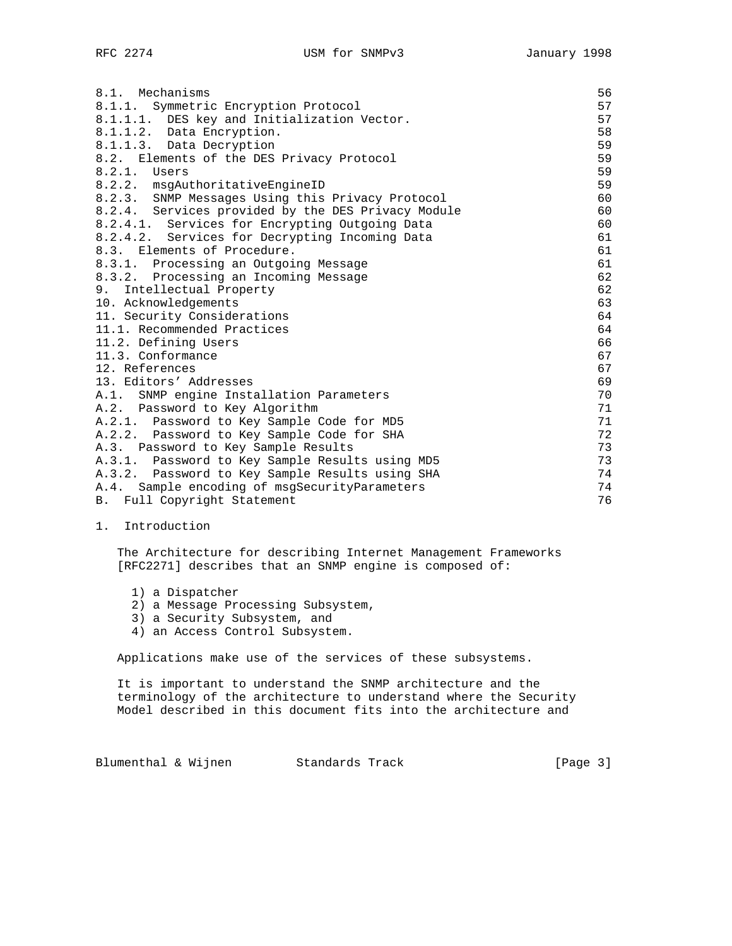| 8.1. Mechanisms                                    | 56 |
|----------------------------------------------------|----|
| 8.1.1. Symmetric Encryption Protocol               | 57 |
| 8.1.1.1. DES key and Initialization Vector.        | 57 |
| 8.1.1.2. Data Encryption.                          | 58 |
| 8.1.1.3. Data Decryption                           | 59 |
| 8.2. Elements of the DES Privacy Protocol          | 59 |
| $8.2.1.$ Users                                     | 59 |
| 8.2.2. msqAuthoritativeEngineID                    | 59 |
| 8.2.3. SNMP Messages Using this Privacy Protocol   | 60 |
| 8.2.4. Services provided by the DES Privacy Module | 60 |
| 8.2.4.1. Services for Encrypting Outgoing Data     | 60 |
| 8.2.4.2. Services for Decrypting Incoming Data     | 61 |
| 8.3. Elements of Procedure.                        | 61 |
| 8.3.1. Processing an Outgoing Message              | 61 |
| 8.3.2. Processing an Incoming Message              | 62 |
| 9. Intellectual Property                           | 62 |
| 10. Acknowledgements                               | 63 |
| 11. Security Considerations                        | 64 |
| 11.1. Recommended Practices                        | 64 |
| 11.2. Defining Users                               | 66 |
| 11.3. Conformance                                  | 67 |
| 12. References                                     | 67 |
| 13. Editors' Addresses                             | 69 |
| A.1. SNMP engine Installation Parameters           | 70 |
| A.2. Password to Key Algorithm                     | 71 |
| A.2.1. Password to Key Sample Code for MD5         | 71 |
| A.2.2. Password to Key Sample Code for SHA         | 72 |
| A.3. Password to Key Sample Results                | 73 |
| A.3.1. Password to Key Sample Results using MD5    | 73 |
| A.3.2. Password to Key Sample Results using SHA    | 74 |
| A.4. Sample encoding of msgSecurityParameters      | 74 |
| B. Full Copyright Statement                        | 76 |

1. Introduction

 The Architecture for describing Internet Management Frameworks [RFC2271] describes that an SNMP engine is composed of:

- 1) a Dispatcher
- 2) a Message Processing Subsystem,
- 3) a Security Subsystem, and
- 4) an Access Control Subsystem.

Applications make use of the services of these subsystems.

 It is important to understand the SNMP architecture and the terminology of the architecture to understand where the Security Model described in this document fits into the architecture and

Blumenthal & Wijnen Standards Track [Page 3]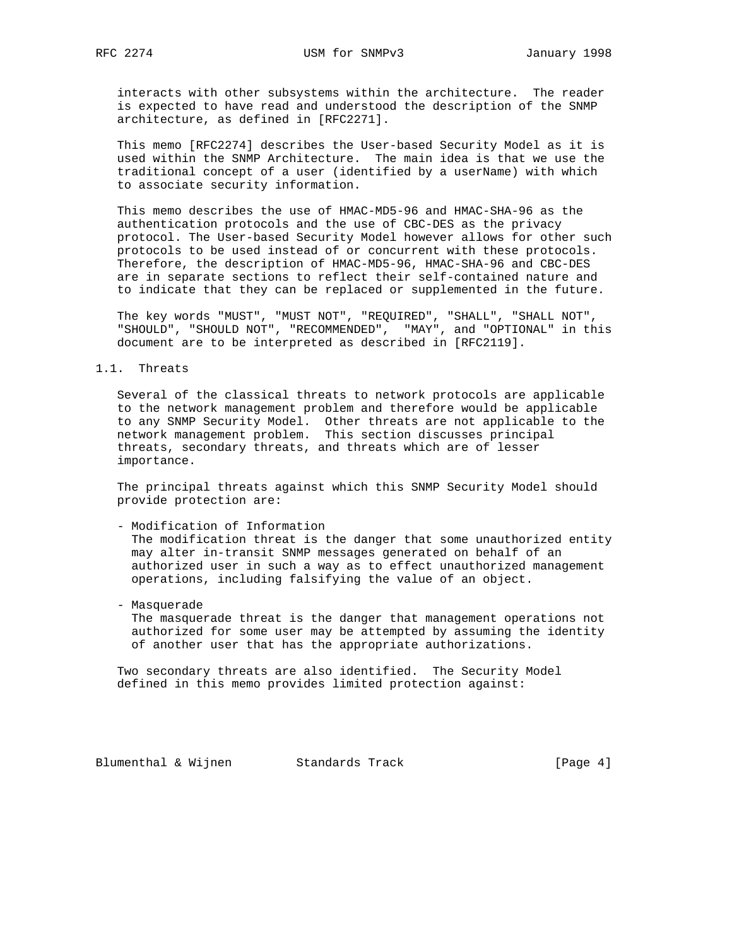interacts with other subsystems within the architecture. The reader is expected to have read and understood the description of the SNMP architecture, as defined in [RFC2271].

 This memo [RFC2274] describes the User-based Security Model as it is used within the SNMP Architecture. The main idea is that we use the traditional concept of a user (identified by a userName) with which to associate security information.

 This memo describes the use of HMAC-MD5-96 and HMAC-SHA-96 as the authentication protocols and the use of CBC-DES as the privacy protocol. The User-based Security Model however allows for other such protocols to be used instead of or concurrent with these protocols. Therefore, the description of HMAC-MD5-96, HMAC-SHA-96 and CBC-DES are in separate sections to reflect their self-contained nature and to indicate that they can be replaced or supplemented in the future.

 The key words "MUST", "MUST NOT", "REQUIRED", "SHALL", "SHALL NOT", "SHOULD", "SHOULD NOT", "RECOMMENDED", "MAY", and "OPTIONAL" in this document are to be interpreted as described in [RFC2119].

## 1.1. Threats

 Several of the classical threats to network protocols are applicable to the network management problem and therefore would be applicable to any SNMP Security Model. Other threats are not applicable to the network management problem. This section discusses principal threats, secondary threats, and threats which are of lesser importance.

 The principal threats against which this SNMP Security Model should provide protection are:

- Modification of Information

 The modification threat is the danger that some unauthorized entity may alter in-transit SNMP messages generated on behalf of an authorized user in such a way as to effect unauthorized management operations, including falsifying the value of an object.

- Masquerade

 The masquerade threat is the danger that management operations not authorized for some user may be attempted by assuming the identity of another user that has the appropriate authorizations.

 Two secondary threats are also identified. The Security Model defined in this memo provides limited protection against:

Blumenthal & Wijnen Standards Track [Page 4]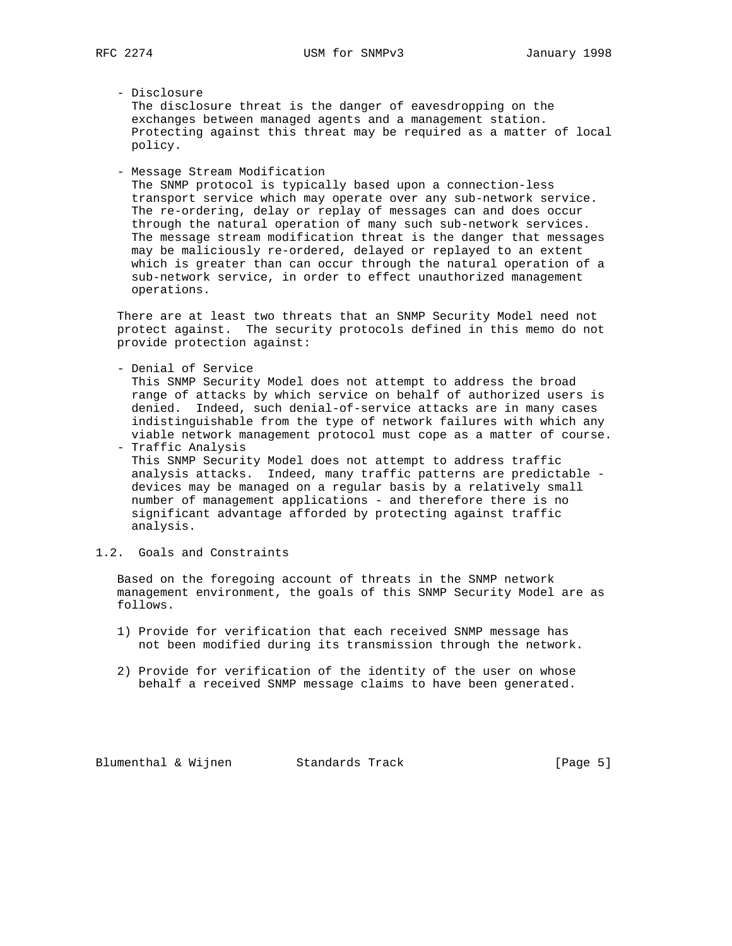## - Disclosure

 The disclosure threat is the danger of eavesdropping on the exchanges between managed agents and a management station. Protecting against this threat may be required as a matter of local policy.

- Message Stream Modification

 The SNMP protocol is typically based upon a connection-less transport service which may operate over any sub-network service. The re-ordering, delay or replay of messages can and does occur through the natural operation of many such sub-network services. The message stream modification threat is the danger that messages may be maliciously re-ordered, delayed or replayed to an extent which is greater than can occur through the natural operation of a sub-network service, in order to effect unauthorized management operations.

 There are at least two threats that an SNMP Security Model need not protect against. The security protocols defined in this memo do not provide protection against:

- Denial of Service

 This SNMP Security Model does not attempt to address the broad range of attacks by which service on behalf of authorized users is denied. Indeed, such denial-of-service attacks are in many cases indistinguishable from the type of network failures with which any viable network management protocol must cope as a matter of course.

- Traffic Analysis This SNMP Security Model does not attempt to address traffic analysis attacks. Indeed, many traffic patterns are predictable devices may be managed on a regular basis by a relatively small number of management applications - and therefore there is no significant advantage afforded by protecting against traffic analysis.
- 1.2. Goals and Constraints

 Based on the foregoing account of threats in the SNMP network management environment, the goals of this SNMP Security Model are as follows.

- 1) Provide for verification that each received SNMP message has not been modified during its transmission through the network.
- 2) Provide for verification of the identity of the user on whose behalf a received SNMP message claims to have been generated.

Blumenthal & Wijnen Standards Track [Page 5]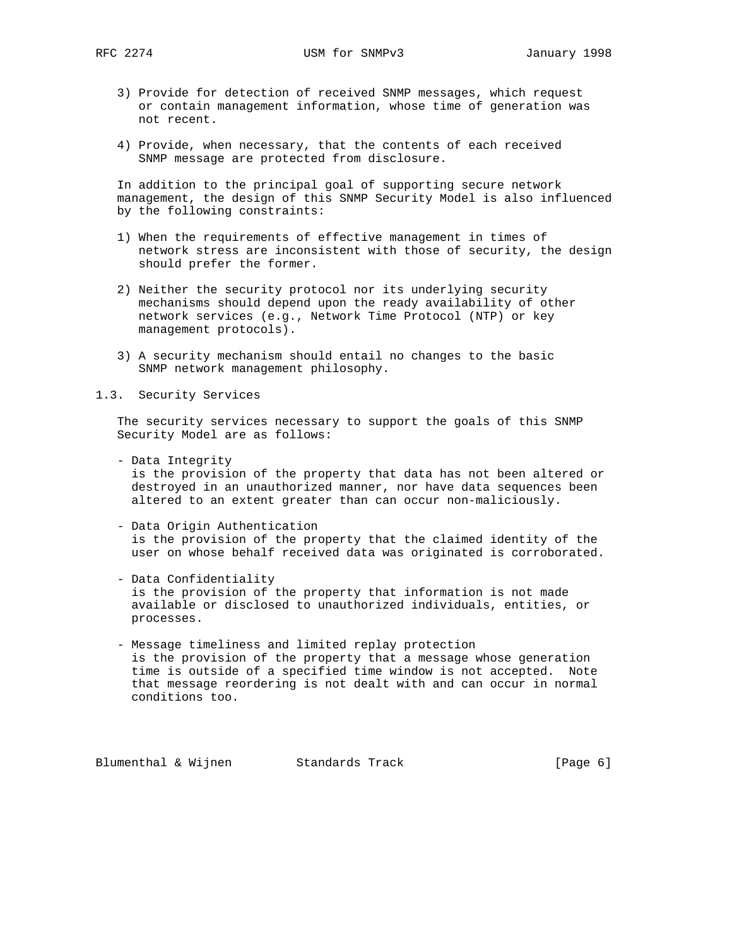- 3) Provide for detection of received SNMP messages, which request or contain management information, whose time of generation was not recent.
- 4) Provide, when necessary, that the contents of each received SNMP message are protected from disclosure.

 In addition to the principal goal of supporting secure network management, the design of this SNMP Security Model is also influenced by the following constraints:

- 1) When the requirements of effective management in times of network stress are inconsistent with those of security, the design should prefer the former.
- 2) Neither the security protocol nor its underlying security mechanisms should depend upon the ready availability of other network services (e.g., Network Time Protocol (NTP) or key management protocols).
- 3) A security mechanism should entail no changes to the basic SNMP network management philosophy.
- 1.3. Security Services

 The security services necessary to support the goals of this SNMP Security Model are as follows:

- Data Integrity

 is the provision of the property that data has not been altered or destroyed in an unauthorized manner, nor have data sequences been altered to an extent greater than can occur non-maliciously.

- Data Origin Authentication is the provision of the property that the claimed identity of the user on whose behalf received data was originated is corroborated.
- Data Confidentiality is the provision of the property that information is not made available or disclosed to unauthorized individuals, entities, or processes.
- Message timeliness and limited replay protection is the provision of the property that a message whose generation time is outside of a specified time window is not accepted. Note that message reordering is not dealt with and can occur in normal conditions too.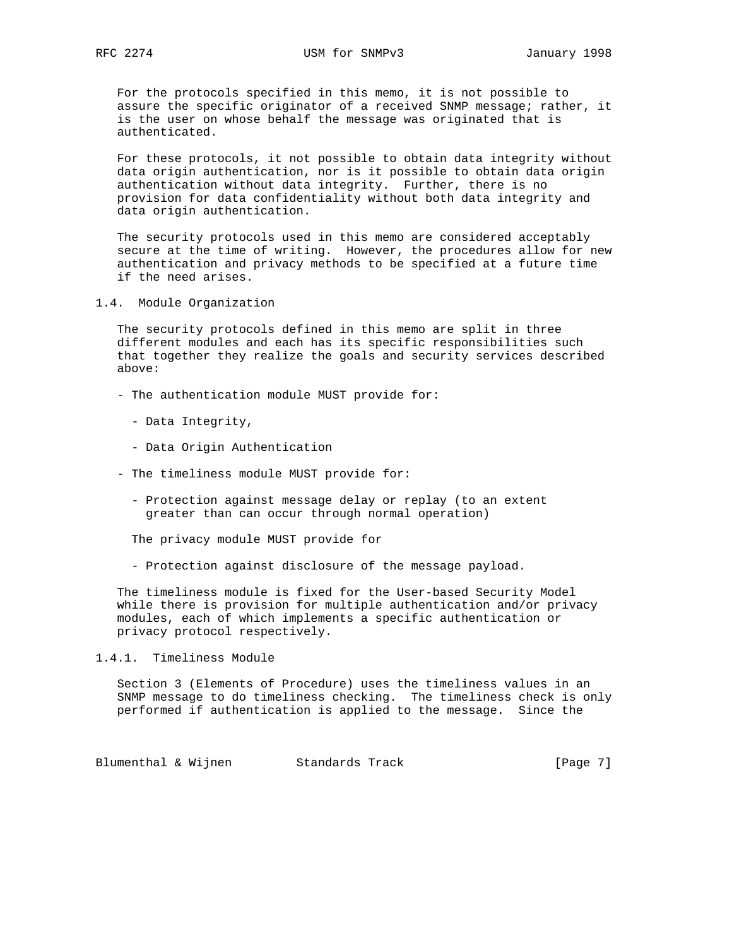For the protocols specified in this memo, it is not possible to assure the specific originator of a received SNMP message; rather, it is the user on whose behalf the message was originated that is authenticated.

 For these protocols, it not possible to obtain data integrity without data origin authentication, nor is it possible to obtain data origin authentication without data integrity. Further, there is no provision for data confidentiality without both data integrity and data origin authentication.

 The security protocols used in this memo are considered acceptably secure at the time of writing. However, the procedures allow for new authentication and privacy methods to be specified at a future time if the need arises.

1.4. Module Organization

 The security protocols defined in this memo are split in three different modules and each has its specific responsibilities such that together they realize the goals and security services described above:

- The authentication module MUST provide for:
	- Data Integrity,
	- Data Origin Authentication
- The timeliness module MUST provide for:
	- Protection against message delay or replay (to an extent greater than can occur through normal operation)

The privacy module MUST provide for

- Protection against disclosure of the message payload.

 The timeliness module is fixed for the User-based Security Model while there is provision for multiple authentication and/or privacy modules, each of which implements a specific authentication or privacy protocol respectively.

1.4.1. Timeliness Module

 Section 3 (Elements of Procedure) uses the timeliness values in an SNMP message to do timeliness checking. The timeliness check is only performed if authentication is applied to the message. Since the

Blumenthal & Wijnen Standards Track [Page 7]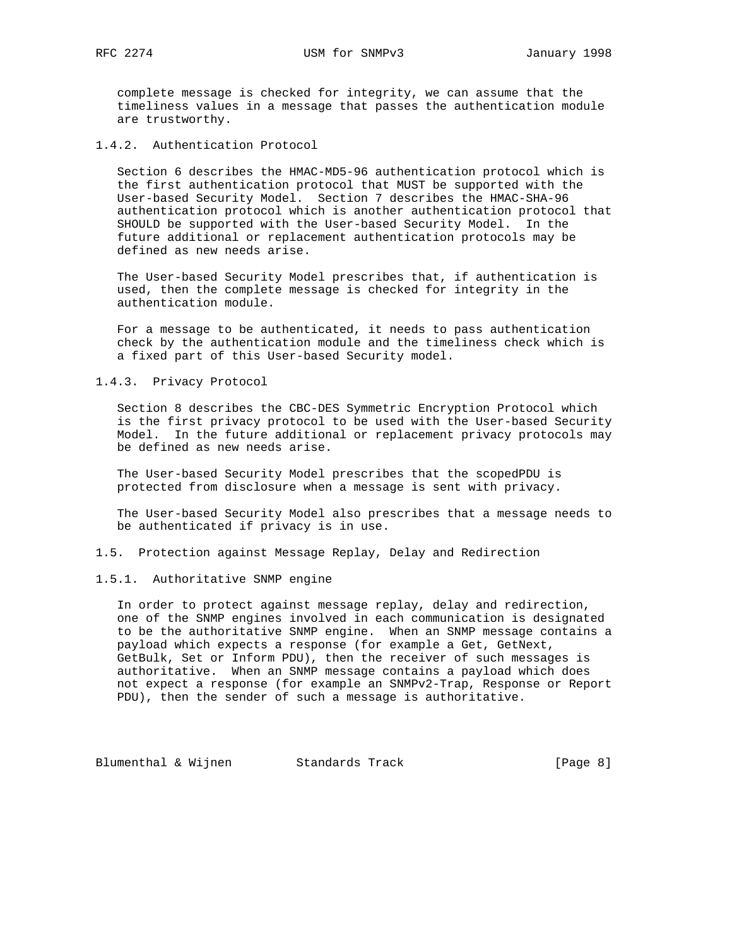complete message is checked for integrity, we can assume that the timeliness values in a message that passes the authentication module are trustworthy.

1.4.2. Authentication Protocol

 Section 6 describes the HMAC-MD5-96 authentication protocol which is the first authentication protocol that MUST be supported with the User-based Security Model. Section 7 describes the HMAC-SHA-96 authentication protocol which is another authentication protocol that SHOULD be supported with the User-based Security Model. In the future additional or replacement authentication protocols may be defined as new needs arise.

 The User-based Security Model prescribes that, if authentication is used, then the complete message is checked for integrity in the authentication module.

 For a message to be authenticated, it needs to pass authentication check by the authentication module and the timeliness check which is a fixed part of this User-based Security model.

## 1.4.3. Privacy Protocol

 Section 8 describes the CBC-DES Symmetric Encryption Protocol which is the first privacy protocol to be used with the User-based Security Model. In the future additional or replacement privacy protocols may be defined as new needs arise.

 The User-based Security Model prescribes that the scopedPDU is protected from disclosure when a message is sent with privacy.

 The User-based Security Model also prescribes that a message needs to be authenticated if privacy is in use.

1.5. Protection against Message Replay, Delay and Redirection

#### 1.5.1. Authoritative SNMP engine

 In order to protect against message replay, delay and redirection, one of the SNMP engines involved in each communication is designated to be the authoritative SNMP engine. When an SNMP message contains a payload which expects a response (for example a Get, GetNext, GetBulk, Set or Inform PDU), then the receiver of such messages is authoritative. When an SNMP message contains a payload which does not expect a response (for example an SNMPv2-Trap, Response or Report PDU), then the sender of such a message is authoritative.

Blumenthal & Wijnen Standards Track [Page 8]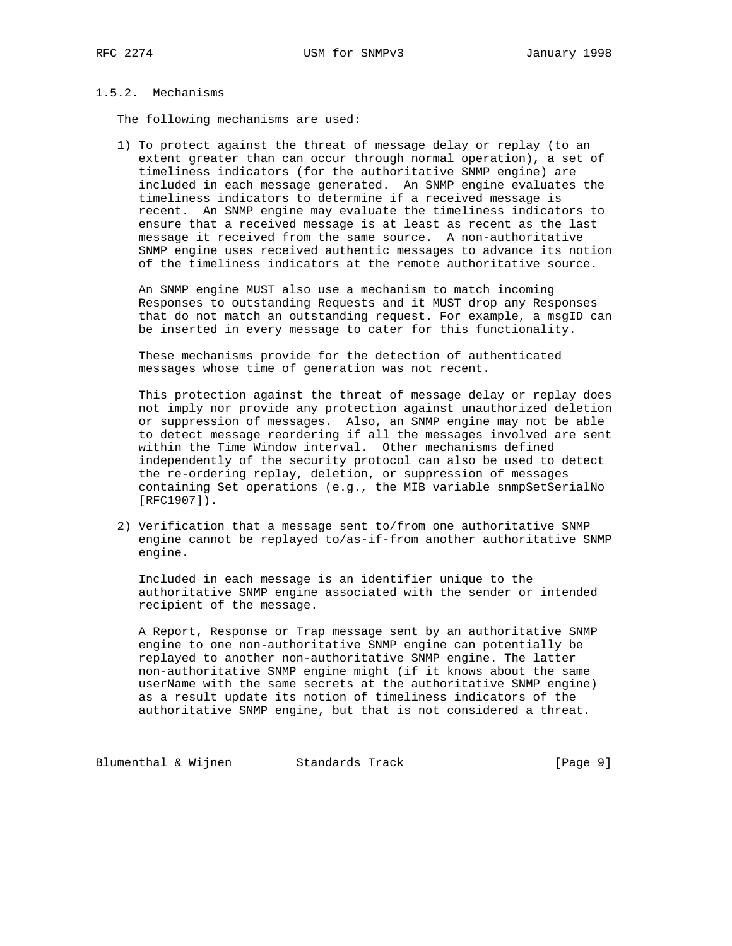# 1.5.2. Mechanisms

The following mechanisms are used:

 1) To protect against the threat of message delay or replay (to an extent greater than can occur through normal operation), a set of timeliness indicators (for the authoritative SNMP engine) are included in each message generated. An SNMP engine evaluates the timeliness indicators to determine if a received message is recent. An SNMP engine may evaluate the timeliness indicators to ensure that a received message is at least as recent as the last message it received from the same source. A non-authoritative SNMP engine uses received authentic messages to advance its notion of the timeliness indicators at the remote authoritative source.

 An SNMP engine MUST also use a mechanism to match incoming Responses to outstanding Requests and it MUST drop any Responses that do not match an outstanding request. For example, a msgID can be inserted in every message to cater for this functionality.

 These mechanisms provide for the detection of authenticated messages whose time of generation was not recent.

 This protection against the threat of message delay or replay does not imply nor provide any protection against unauthorized deletion or suppression of messages. Also, an SNMP engine may not be able to detect message reordering if all the messages involved are sent within the Time Window interval. Other mechanisms defined independently of the security protocol can also be used to detect the re-ordering replay, deletion, or suppression of messages containing Set operations (e.g., the MIB variable snmpSetSerialNo [RFC1907]).

 2) Verification that a message sent to/from one authoritative SNMP engine cannot be replayed to/as-if-from another authoritative SNMP engine.

 Included in each message is an identifier unique to the authoritative SNMP engine associated with the sender or intended recipient of the message.

 A Report, Response or Trap message sent by an authoritative SNMP engine to one non-authoritative SNMP engine can potentially be replayed to another non-authoritative SNMP engine. The latter non-authoritative SNMP engine might (if it knows about the same userName with the same secrets at the authoritative SNMP engine) as a result update its notion of timeliness indicators of the authoritative SNMP engine, but that is not considered a threat.

Blumenthal & Wijnen Standards Track [Page 9]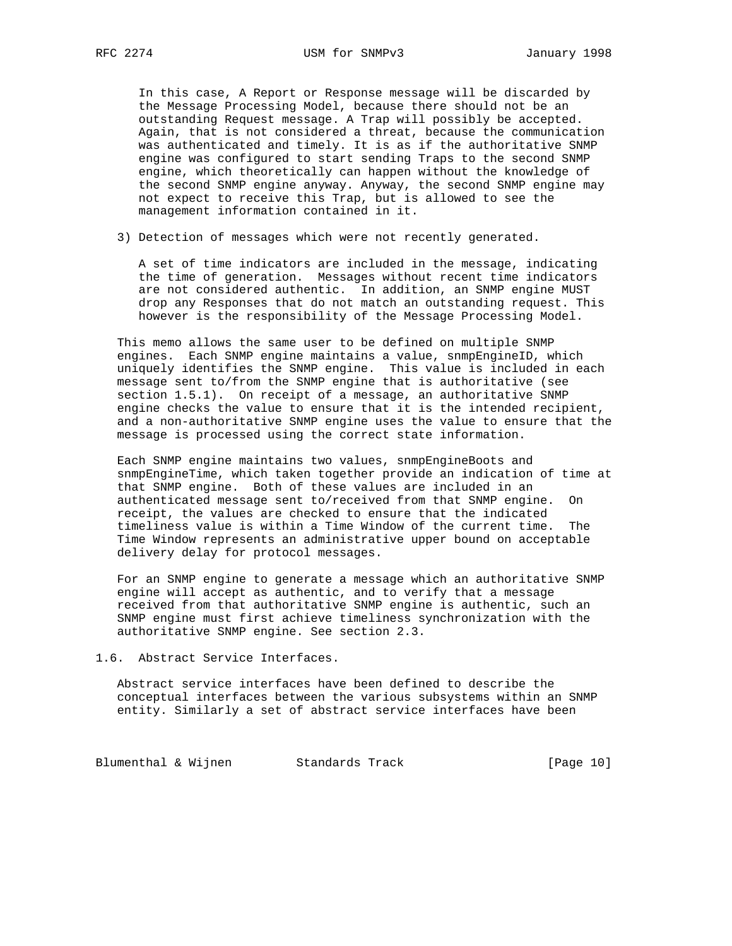In this case, A Report or Response message will be discarded by the Message Processing Model, because there should not be an outstanding Request message. A Trap will possibly be accepted. Again, that is not considered a threat, because the communication was authenticated and timely. It is as if the authoritative SNMP engine was configured to start sending Traps to the second SNMP engine, which theoretically can happen without the knowledge of the second SNMP engine anyway. Anyway, the second SNMP engine may not expect to receive this Trap, but is allowed to see the management information contained in it.

3) Detection of messages which were not recently generated.

 A set of time indicators are included in the message, indicating the time of generation. Messages without recent time indicators are not considered authentic. In addition, an SNMP engine MUST drop any Responses that do not match an outstanding request. This however is the responsibility of the Message Processing Model.

 This memo allows the same user to be defined on multiple SNMP engines. Each SNMP engine maintains a value, snmpEngineID, which uniquely identifies the SNMP engine. This value is included in each message sent to/from the SNMP engine that is authoritative (see section 1.5.1). On receipt of a message, an authoritative SNMP engine checks the value to ensure that it is the intended recipient, and a non-authoritative SNMP engine uses the value to ensure that the message is processed using the correct state information.

 Each SNMP engine maintains two values, snmpEngineBoots and snmpEngineTime, which taken together provide an indication of time at that SNMP engine. Both of these values are included in an authenticated message sent to/received from that SNMP engine. On receipt, the values are checked to ensure that the indicated timeliness value is within a Time Window of the current time. The Time Window represents an administrative upper bound on acceptable delivery delay for protocol messages.

 For an SNMP engine to generate a message which an authoritative SNMP engine will accept as authentic, and to verify that a message received from that authoritative SNMP engine is authentic, such an SNMP engine must first achieve timeliness synchronization with the authoritative SNMP engine. See section 2.3.

1.6. Abstract Service Interfaces.

 Abstract service interfaces have been defined to describe the conceptual interfaces between the various subsystems within an SNMP entity. Similarly a set of abstract service interfaces have been

Blumenthal & Wijnen Standards Track (Page 10)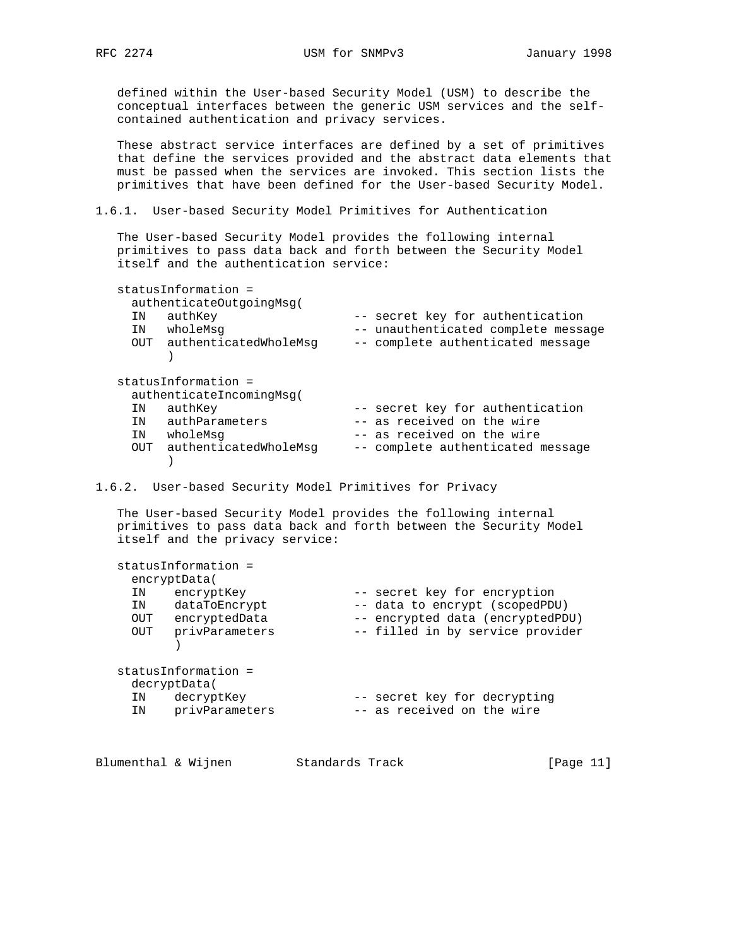defined within the User-based Security Model (USM) to describe the conceptual interfaces between the generic USM services and the self contained authentication and privacy services.

 These abstract service interfaces are defined by a set of primitives that define the services provided and the abstract data elements that must be passed when the services are invoked. This section lists the primitives that have been defined for the User-based Security Model.

1.6.1. User-based Security Model Primitives for Authentication

 The User-based Security Model provides the following internal primitives to pass data back and forth between the Security Model itself and the authentication service:

| ΙN<br>ΙN | statusInformation =<br>authenticateOutgoingMsg(<br>authKey<br>wholeMsq<br>OUT authenticatedWholeMsg | -- secret key for authentication<br>-- unauthenticated complete message<br>-- complete authenticated message |
|----------|-----------------------------------------------------------------------------------------------------|--------------------------------------------------------------------------------------------------------------|
| ΙN       | statusInformation =<br>authenticateIncomingMsq(<br>authKey                                          | -- secret key for authentication                                                                             |
| TN       | authParameters                                                                                      | -- as received on the wire                                                                                   |
| ΙN       | wholeMsg                                                                                            | -- as received on the wire                                                                                   |
| OUT      | authenticatedWholeMsq                                                                               | -- complete authenticated message                                                                            |

1.6.2. User-based Security Model Primitives for Privacy

 The User-based Security Model provides the following internal primitives to pass data back and forth between the Security Model itself and the privacy service:

|     | statusInformation = |                                  |
|-----|---------------------|----------------------------------|
|     | encryptData(        |                                  |
| ΙN  | encryptKey          | -- secret key for encryption     |
| ΙN  | dataToEncrypt       | -- data to encrypt (scopedPDU)   |
| OUT | encryptedData       | -- encrypted data (encryptedPDU) |
| OUT | privParameters      | -- filled in by service provider |
|     | statusInformation = |                                  |
|     | decryptData(        |                                  |
| ΙN  | decryptKey          | -- secret key for decrypting     |
| ΙN  | privParameters      | -- as received on the wire       |

| Blumenthal & Wijnen<br>Standards Track | [Page 11] |
|----------------------------------------|-----------|
|----------------------------------------|-----------|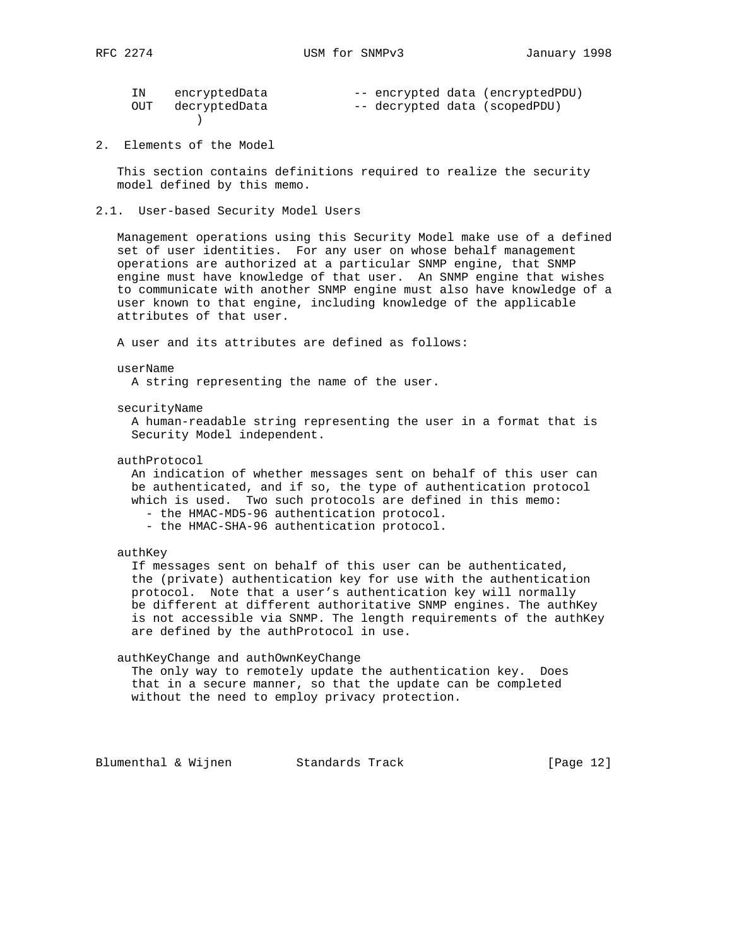| Л<br>$\subset$<br>RF. |  |
|-----------------------|--|
|-----------------------|--|

| ΙN | encryptedData     |  | -- encrypted data (encryptedPDU) |
|----|-------------------|--|----------------------------------|
|    | OUT decryptedData |  | -- decrypted data (scopedPDU)    |
|    |                   |  |                                  |

2. Elements of the Model

 This section contains definitions required to realize the security model defined by this memo.

2.1. User-based Security Model Users

 Management operations using this Security Model make use of a defined set of user identities. For any user on whose behalf management operations are authorized at a particular SNMP engine, that SNMP engine must have knowledge of that user. An SNMP engine that wishes to communicate with another SNMP engine must also have knowledge of a user known to that engine, including knowledge of the applicable attributes of that user.

A user and its attributes are defined as follows:

#### userName

A string representing the name of the user.

securityName

 A human-readable string representing the user in a format that is Security Model independent.

authProtocol

 An indication of whether messages sent on behalf of this user can be authenticated, and if so, the type of authentication protocol which is used. Two such protocols are defined in this memo:

- the HMAC-MD5-96 authentication protocol.

- the HMAC-SHA-96 authentication protocol.

authKey

 If messages sent on behalf of this user can be authenticated, the (private) authentication key for use with the authentication protocol. Note that a user's authentication key will normally be different at different authoritative SNMP engines. The authKey is not accessible via SNMP. The length requirements of the authKey are defined by the authProtocol in use.

## authKeyChange and authOwnKeyChange

 The only way to remotely update the authentication key. Does that in a secure manner, so that the update can be completed without the need to employ privacy protection.

Blumenthal & Wijnen Standards Track [Page 12]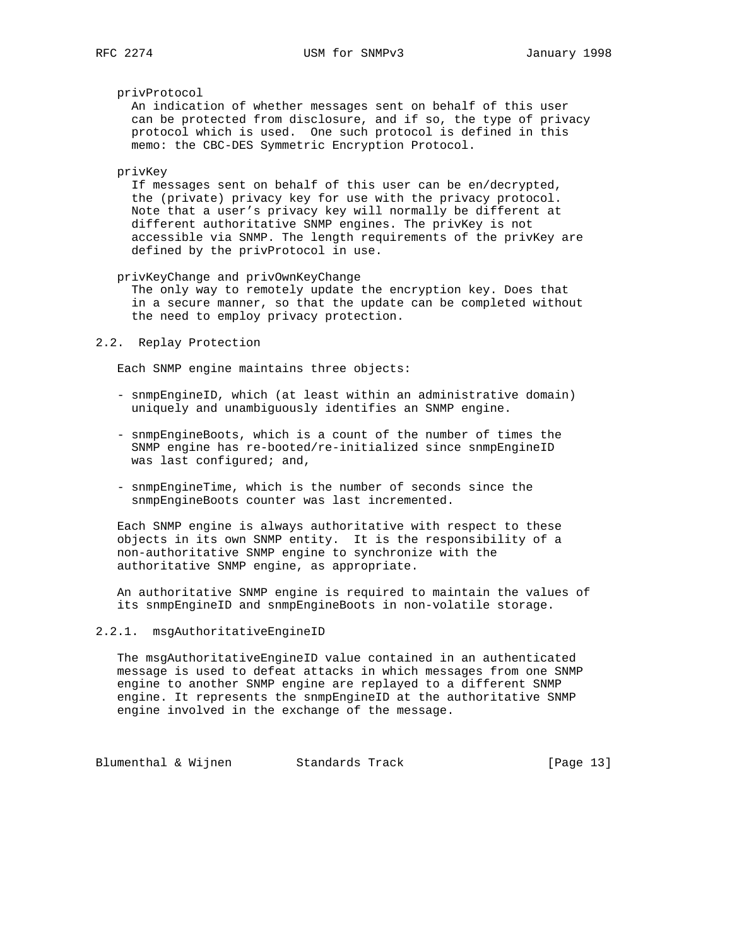#### privProtocol

 An indication of whether messages sent on behalf of this user can be protected from disclosure, and if so, the type of privacy protocol which is used. One such protocol is defined in this memo: the CBC-DES Symmetric Encryption Protocol.

#### privKey

 If messages sent on behalf of this user can be en/decrypted, the (private) privacy key for use with the privacy protocol. Note that a user's privacy key will normally be different at different authoritative SNMP engines. The privKey is not accessible via SNMP. The length requirements of the privKey are defined by the privProtocol in use.

#### privKeyChange and privOwnKeyChange

 The only way to remotely update the encryption key. Does that in a secure manner, so that the update can be completed without the need to employ privacy protection.

### 2.2. Replay Protection

Each SNMP engine maintains three objects:

- snmpEngineID, which (at least within an administrative domain) uniquely and unambiguously identifies an SNMP engine.
- snmpEngineBoots, which is a count of the number of times the SNMP engine has re-booted/re-initialized since snmpEngineID was last configured; and,
- snmpEngineTime, which is the number of seconds since the snmpEngineBoots counter was last incremented.

 Each SNMP engine is always authoritative with respect to these objects in its own SNMP entity. It is the responsibility of a non-authoritative SNMP engine to synchronize with the authoritative SNMP engine, as appropriate.

 An authoritative SNMP engine is required to maintain the values of its snmpEngineID and snmpEngineBoots in non-volatile storage.

## 2.2.1. msgAuthoritativeEngineID

 The msgAuthoritativeEngineID value contained in an authenticated message is used to defeat attacks in which messages from one SNMP engine to another SNMP engine are replayed to a different SNMP engine. It represents the snmpEngineID at the authoritative SNMP engine involved in the exchange of the message.

Blumenthal & Wijnen Standards Track [Page 13]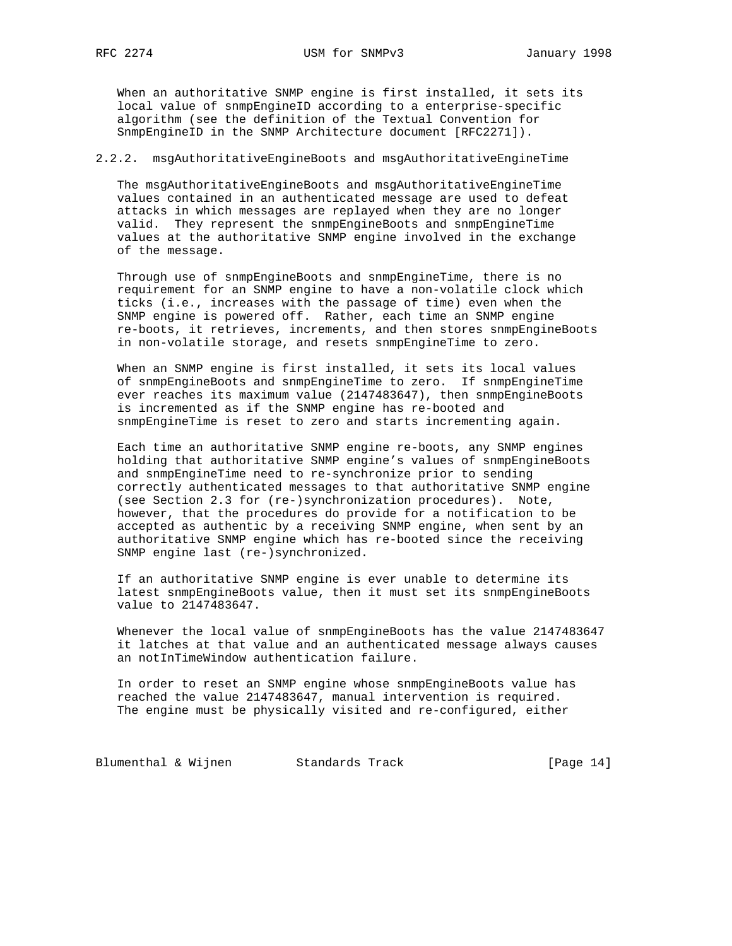When an authoritative SNMP engine is first installed, it sets its local value of snmpEngineID according to a enterprise-specific algorithm (see the definition of the Textual Convention for SnmpEngineID in the SNMP Architecture document [RFC2271]).

## 2.2.2. msgAuthoritativeEngineBoots and msgAuthoritativeEngineTime

 The msgAuthoritativeEngineBoots and msgAuthoritativeEngineTime values contained in an authenticated message are used to defeat attacks in which messages are replayed when they are no longer valid. They represent the snmpEngineBoots and snmpEngineTime values at the authoritative SNMP engine involved in the exchange of the message.

 Through use of snmpEngineBoots and snmpEngineTime, there is no requirement for an SNMP engine to have a non-volatile clock which ticks (i.e., increases with the passage of time) even when the SNMP engine is powered off. Rather, each time an SNMP engine re-boots, it retrieves, increments, and then stores snmpEngineBoots in non-volatile storage, and resets snmpEngineTime to zero.

 When an SNMP engine is first installed, it sets its local values of snmpEngineBoots and snmpEngineTime to zero. If snmpEngineTime ever reaches its maximum value (2147483647), then snmpEngineBoots is incremented as if the SNMP engine has re-booted and snmpEngineTime is reset to zero and starts incrementing again.

 Each time an authoritative SNMP engine re-boots, any SNMP engines holding that authoritative SNMP engine's values of snmpEngineBoots and snmpEngineTime need to re-synchronize prior to sending correctly authenticated messages to that authoritative SNMP engine (see Section 2.3 for (re-)synchronization procedures). Note, however, that the procedures do provide for a notification to be accepted as authentic by a receiving SNMP engine, when sent by an authoritative SNMP engine which has re-booted since the receiving SNMP engine last (re-)synchronized.

 If an authoritative SNMP engine is ever unable to determine its latest snmpEngineBoots value, then it must set its snmpEngineBoots value to 2147483647.

 Whenever the local value of snmpEngineBoots has the value 2147483647 it latches at that value and an authenticated message always causes an notInTimeWindow authentication failure.

 In order to reset an SNMP engine whose snmpEngineBoots value has reached the value 2147483647, manual intervention is required. The engine must be physically visited and re-configured, either

Blumenthal & Wijnen Standards Track [Page 14]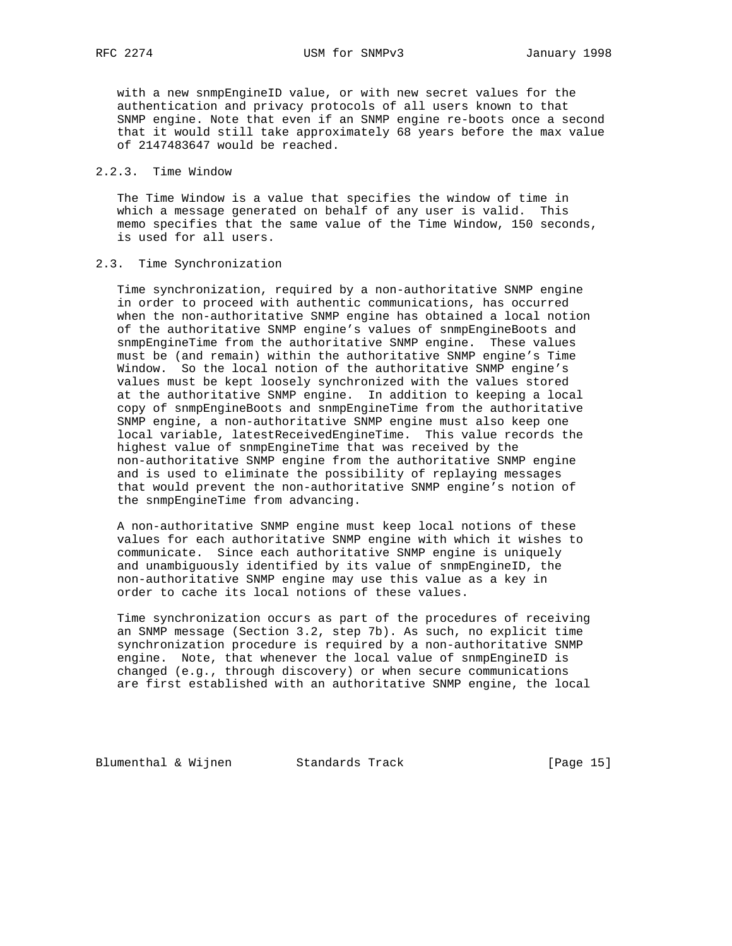with a new snmpEngineID value, or with new secret values for the authentication and privacy protocols of all users known to that SNMP engine. Note that even if an SNMP engine re-boots once a second that it would still take approximately 68 years before the max value of 2147483647 would be reached.

# 2.2.3. Time Window

 The Time Window is a value that specifies the window of time in which a message generated on behalf of any user is valid. This memo specifies that the same value of the Time Window, 150 seconds, is used for all users.

## 2.3. Time Synchronization

 Time synchronization, required by a non-authoritative SNMP engine in order to proceed with authentic communications, has occurred when the non-authoritative SNMP engine has obtained a local notion of the authoritative SNMP engine's values of snmpEngineBoots and snmpEngineTime from the authoritative SNMP engine. These values must be (and remain) within the authoritative SNMP engine's Time Window. So the local notion of the authoritative SNMP engine's values must be kept loosely synchronized with the values stored at the authoritative SNMP engine. In addition to keeping a local copy of snmpEngineBoots and snmpEngineTime from the authoritative SNMP engine, a non-authoritative SNMP engine must also keep one local variable, latestReceivedEngineTime. This value records the highest value of snmpEngineTime that was received by the non-authoritative SNMP engine from the authoritative SNMP engine and is used to eliminate the possibility of replaying messages that would prevent the non-authoritative SNMP engine's notion of the snmpEngineTime from advancing.

 A non-authoritative SNMP engine must keep local notions of these values for each authoritative SNMP engine with which it wishes to communicate. Since each authoritative SNMP engine is uniquely and unambiguously identified by its value of snmpEngineID, the non-authoritative SNMP engine may use this value as a key in order to cache its local notions of these values.

 Time synchronization occurs as part of the procedures of receiving an SNMP message (Section 3.2, step 7b). As such, no explicit time synchronization procedure is required by a non-authoritative SNMP engine. Note, that whenever the local value of snmpEngineID is changed (e.g., through discovery) or when secure communications are first established with an authoritative SNMP engine, the local

Blumenthal & Wijnen Standards Track [Page 15]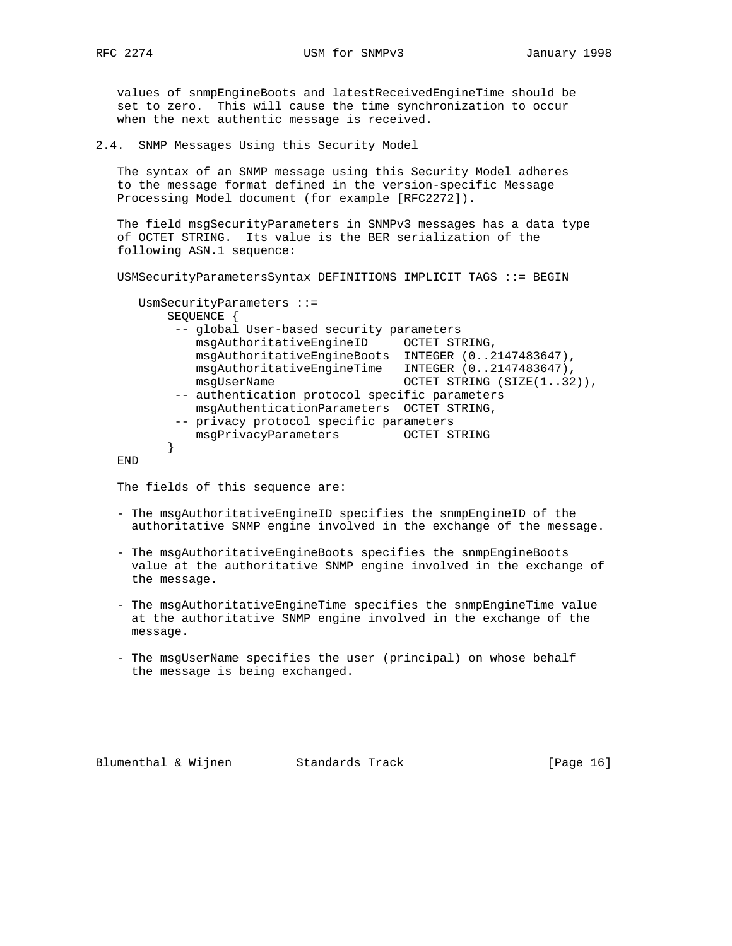values of snmpEngineBoots and latestReceivedEngineTime should be set to zero. This will cause the time synchronization to occur when the next authentic message is received.

2.4. SNMP Messages Using this Security Model

 The syntax of an SNMP message using this Security Model adheres to the message format defined in the version-specific Message Processing Model document (for example [RFC2272]).

 The field msgSecurityParameters in SNMPv3 messages has a data type of OCTET STRING. Its value is the BER serialization of the following ASN.1 sequence:

USMSecurityParametersSyntax DEFINITIONS IMPLICIT TAGS ::= BEGIN

```
 UsmSecurityParameters ::=
         SEQUENCE {
          -- global User-based security parameters
            msgAuthoritativeEngineID OCTET STRING,
            msgAuthoritativeEngineBoots INTEGER (0..2147483647),
            msgAuthoritativeEngineTime INTEGER (0..2147483647),
           msgUserName OCTET STRING (SIZE(1..32)),
          -- authentication protocol specific parameters
            msgAuthenticationParameters OCTET STRING,
          -- privacy protocol specific parameters
            msgPrivacyParameters OCTET STRING
}
```
END

The fields of this sequence are:

- The msgAuthoritativeEngineID specifies the snmpEngineID of the authoritative SNMP engine involved in the exchange of the message.
- The msgAuthoritativeEngineBoots specifies the snmpEngineBoots value at the authoritative SNMP engine involved in the exchange of the message.
- The msgAuthoritativeEngineTime specifies the snmpEngineTime value at the authoritative SNMP engine involved in the exchange of the message.
- The msgUserName specifies the user (principal) on whose behalf the message is being exchanged.

Blumenthal & Wijnen Standards Track [Page 16]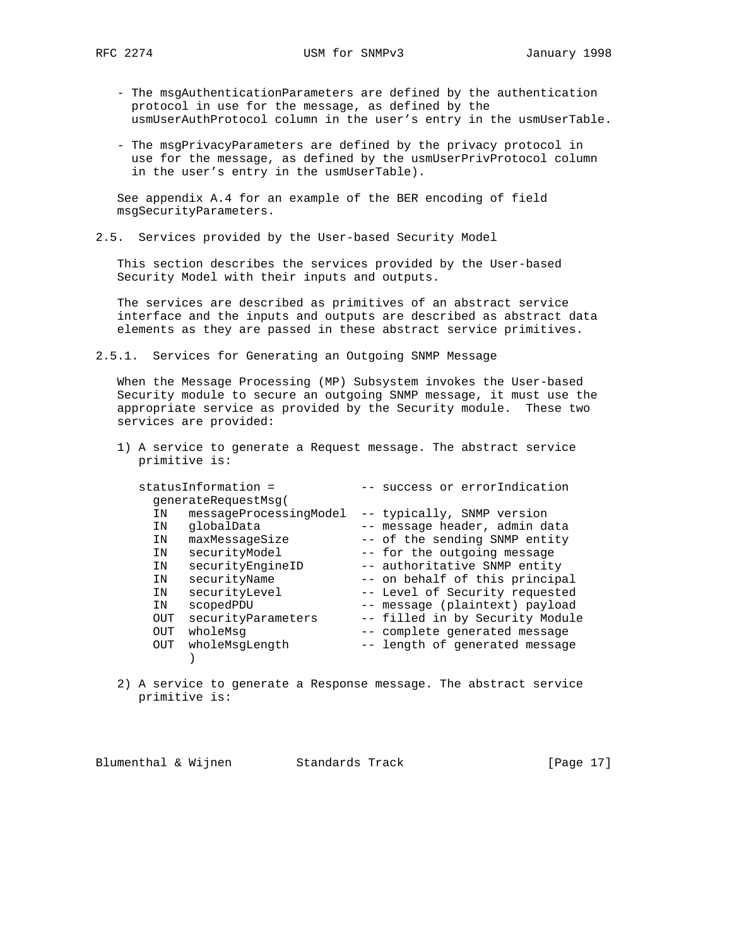- The msgAuthenticationParameters are defined by the authentication protocol in use for the message, as defined by the usmUserAuthProtocol column in the user's entry in the usmUserTable.
- The msgPrivacyParameters are defined by the privacy protocol in use for the message, as defined by the usmUserPrivProtocol column in the user's entry in the usmUserTable).

 See appendix A.4 for an example of the BER encoding of field msgSecurityParameters.

2.5. Services provided by the User-based Security Model

 This section describes the services provided by the User-based Security Model with their inputs and outputs.

 The services are described as primitives of an abstract service interface and the inputs and outputs are described as abstract data elements as they are passed in these abstract service primitives.

2.5.1. Services for Generating an Outgoing SNMP Message

 When the Message Processing (MP) Subsystem invokes the User-based Security module to secure an outgoing SNMP message, it must use the appropriate service as provided by the Security module. These two services are provided:

 1) A service to generate a Request message. The abstract service primitive is:

|     | statusInformation =    |                             | success or errorIndication      |
|-----|------------------------|-----------------------------|---------------------------------|
|     | generateRequestMsq(    |                             |                                 |
| ΙN  | messageProcessingModel | -- typically, SNMP version  |                                 |
| ΙN  | qlobalData             |                             | -- message header, admin data   |
| ΙN  | maxMessageSize         |                             | -- of the sending SNMP entity   |
| ΙN  | securityModel          | -- for the outgoing message |                                 |
| ΙN  | securityEngineID       |                             | -- authoritative SNMP entity    |
| ΙN  | securityName           |                             | -- on behalf of this principal  |
| ΙN  | securityLevel          |                             | -- Level of Security requested  |
| ΙN  | scopedPDU              |                             | -- message (plaintext) payload  |
| OUT | securityParameters     |                             | -- filled in by Security Module |
| OUT | wholeMsq               |                             | -- complete generated message   |
| OUT | wholeMsgLength         |                             | -- length of generated message  |
|     |                        |                             |                                 |
|     |                        |                             |                                 |

 2) A service to generate a Response message. The abstract service primitive is:

Blumenthal & Wijnen Standards Track [Page 17]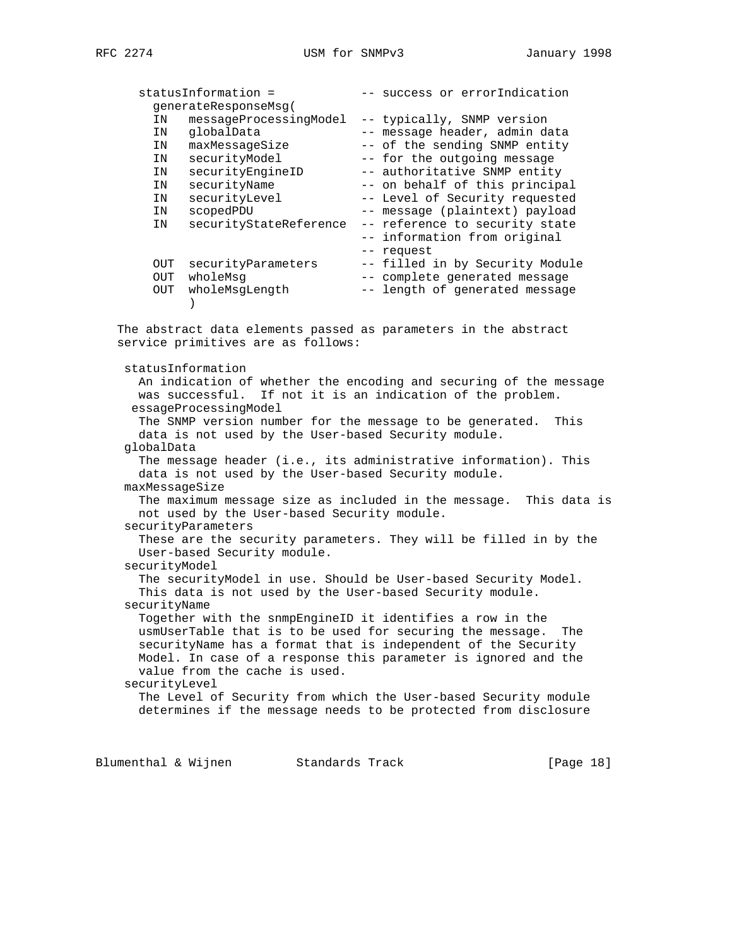|     | statusInformation =    | -- success or errorIndication   |
|-----|------------------------|---------------------------------|
|     | generateResponseMsq(   |                                 |
| ΙN  | messageProcessingModel | -- typically, SNMP version      |
| ΙN  | qlobalData             | -- message header, admin data   |
| ΙN  | maxMessageSize         | -- of the sending SNMP entity   |
| ΙN  | securityModel          | -- for the outgoing message     |
| ΙN  | securityEngineID       | -- authoritative SNMP entity    |
| ΙN  | securityName           | -- on behalf of this principal  |
| ΙN  | securityLevel          | -- Level of Security requested  |
| IN  | scopedPDU              | -- message (plaintext) payload  |
| ΙN  | securityStateReference | -- reference to security state  |
|     |                        | -- information from original    |
|     |                        | -- request                      |
| OUT | securityParameters     | -- filled in by Security Module |
| OUT | wholeMsq               | -- complete generated message   |
| OUT | wholeMsqLength         | -- length of generated message  |
|     |                        |                                 |
|     |                        |                                 |

 The abstract data elements passed as parameters in the abstract service primitives are as follows:

statusInformation

 An indication of whether the encoding and securing of the message was successful. If not it is an indication of the problem. essageProcessingModel The SNMP version number for the message to be generated. This data is not used by the User-based Security module. globalData The message header (i.e., its administrative information). This data is not used by the User-based Security module. maxMessageSize The maximum message size as included in the message. This data is not used by the User-based Security module. securityParameters These are the security parameters. They will be filled in by the User-based Security module. securityModel The securityModel in use. Should be User-based Security Model. This data is not used by the User-based Security module. securityName Together with the snmpEngineID it identifies a row in the usmUserTable that is to be used for securing the message. The securityName has a format that is independent of the Security Model. In case of a response this parameter is ignored and the value from the cache is used. securityLevel The Level of Security from which the User-based Security module determines if the message needs to be protected from disclosure

Blumenthal & Wijnen Standards Track [Page 18]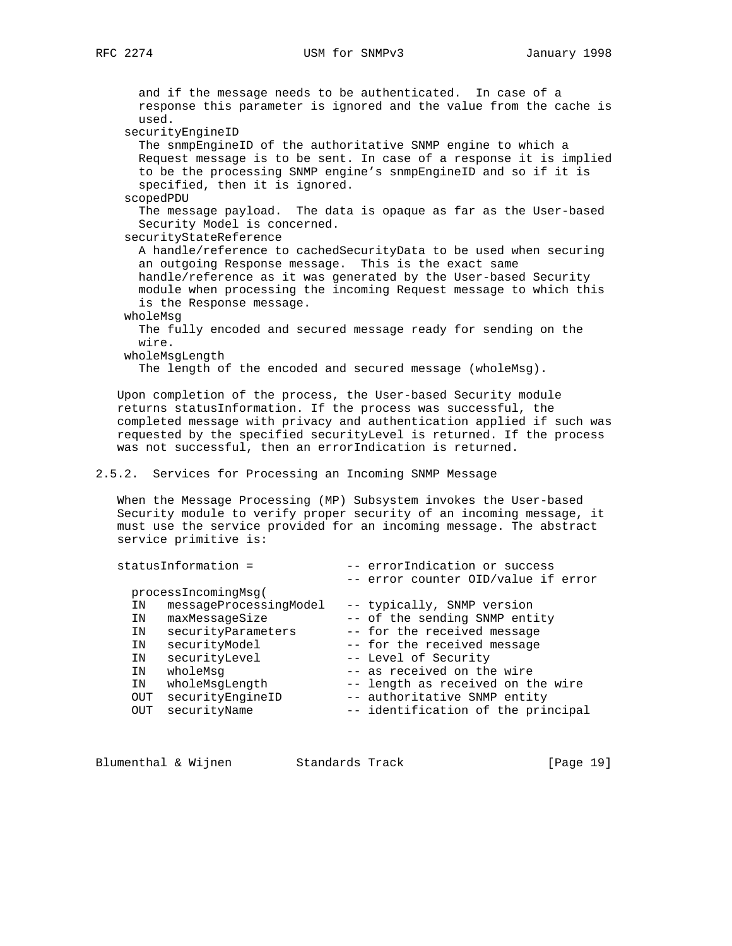and if the message needs to be authenticated. In case of a response this parameter is ignored and the value from the cache is used. securityEngineID The snmpEngineID of the authoritative SNMP engine to which a Request message is to be sent. In case of a response it is implied to be the processing SNMP engine's snmpEngineID and so if it is specified, then it is ignored. scopedPDU The message payload. The data is opaque as far as the User-based Security Model is concerned. securityStateReference A handle/reference to cachedSecurityData to be used when securing an outgoing Response message. This is the exact same handle/reference as it was generated by the User-based Security module when processing the incoming Request message to which this is the Response message. wholeMsg The fully encoded and secured message ready for sending on the wire. wholeMsgLength The length of the encoded and secured message (wholeMsg). Upon completion of the process, the User-based Security module returns statusInformation. If the process was successful, the completed message with privacy and authentication applied if such was requested by the specified securityLevel is returned. If the process was not successful, then an errorIndication is returned. 2.5.2. Services for Processing an Incoming SNMP Message When the Message Processing (MP) Subsystem invokes the User-based Security module to verify proper security of an incoming message, it must use the service provided for an incoming message. The abstract service primitive is:

| -- error counter OID/value if error                            |  |
|----------------------------------------------------------------|--|
| processIncomingMsg(                                            |  |
| messageProcessingModel<br>-- typically, SNMP version<br>ΙN     |  |
| -- of the sending SNMP entity<br>maxMessageSize<br>ΙN          |  |
| securityParameters<br>-- for the received message<br>ΙN        |  |
| securityModel<br>-- for the received message<br>ΙN             |  |
| securityLevel<br>-- Level of Security<br>ΙN                    |  |
| -- as received on the wire<br>wholeMsq<br>ΙN                   |  |
| -- length as received on the wire<br>wholeMsgLength<br>IN      |  |
| securityEngineID<br>-- authoritative SNMP entity<br><b>OUT</b> |  |
| securityName<br>-- identification of the principal<br>OUT      |  |

| Blumenthal & Wijnen<br>Standards Track |  | [Page 19] |  |
|----------------------------------------|--|-----------|--|
|----------------------------------------|--|-----------|--|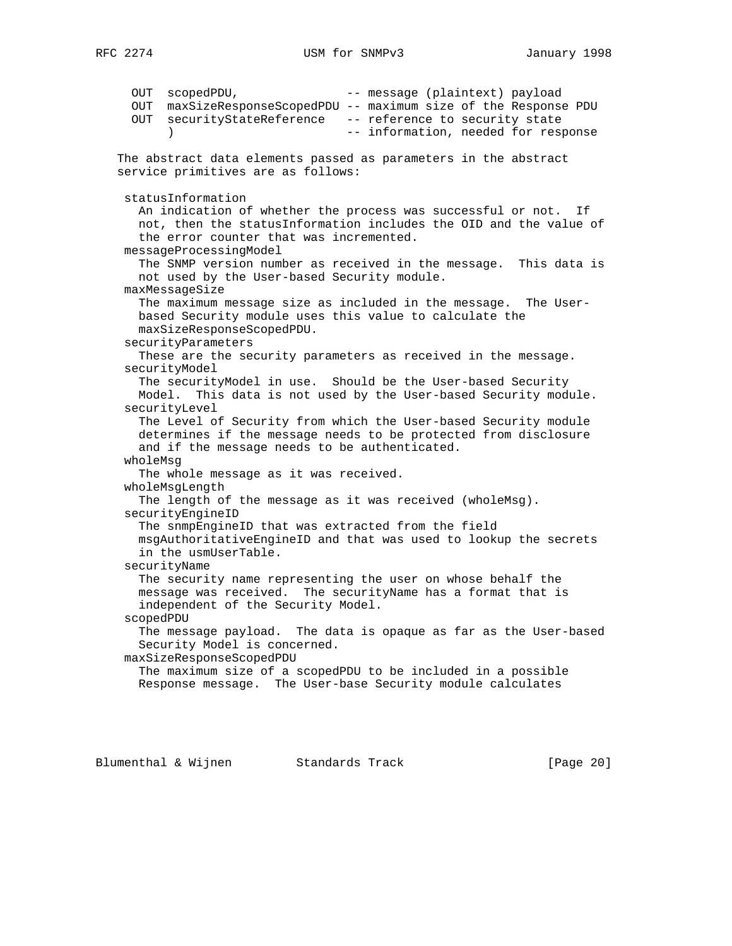OUT scopedPDU,  $-$  message (plaintext) payload OUT maxSizeResponseScopedPDU -- maximum size of the Response PDU OUT securityStateReference -- reference to security state ) -- information, needed for response The abstract data elements passed as parameters in the abstract service primitives are as follows: statusInformation An indication of whether the process was successful or not. If not, then the statusInformation includes the OID and the value of the error counter that was incremented. messageProcessingModel The SNMP version number as received in the message. This data is not used by the User-based Security module. maxMessageSize The maximum message size as included in the message. The User based Security module uses this value to calculate the maxSizeResponseScopedPDU. securityParameters These are the security parameters as received in the message. securityModel The securityModel in use. Should be the User-based Security Model. This data is not used by the User-based Security module. securityLevel The Level of Security from which the User-based Security module determines if the message needs to be protected from disclosure and if the message needs to be authenticated. wholeMsg The whole message as it was received. wholeMsgLength The length of the message as it was received (wholeMsg). securityEngineID The snmpEngineID that was extracted from the field msgAuthoritativeEngineID and that was used to lookup the secrets in the usmUserTable. securityName The security name representing the user on whose behalf the message was received. The securityName has a format that is independent of the Security Model. scopedPDU The message payload. The data is opaque as far as the User-based Security Model is concerned. maxSizeResponseScopedPDU The maximum size of a scopedPDU to be included in a possible Response message. The User-base Security module calculates

Blumenthal & Wijnen Standards Track [Page 20]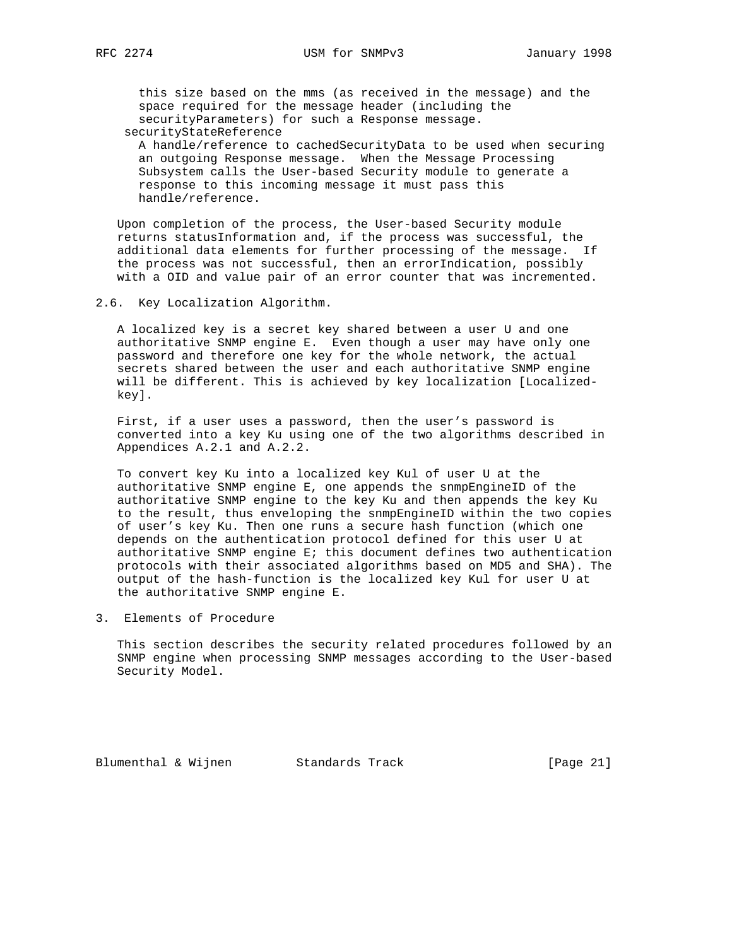this size based on the mms (as received in the message) and the space required for the message header (including the securityParameters) for such a Response message. securityStateReference

 A handle/reference to cachedSecurityData to be used when securing an outgoing Response message. When the Message Processing Subsystem calls the User-based Security module to generate a response to this incoming message it must pass this handle/reference.

 Upon completion of the process, the User-based Security module returns statusInformation and, if the process was successful, the additional data elements for further processing of the message. If the process was not successful, then an errorIndication, possibly with a OID and value pair of an error counter that was incremented.

2.6. Key Localization Algorithm.

 A localized key is a secret key shared between a user U and one authoritative SNMP engine E. Even though a user may have only one password and therefore one key for the whole network, the actual secrets shared between the user and each authoritative SNMP engine will be different. This is achieved by key localization [Localized key].

 First, if a user uses a password, then the user's password is converted into a key Ku using one of the two algorithms described in Appendices A.2.1 and A.2.2.

 To convert key Ku into a localized key Kul of user U at the authoritative SNMP engine E, one appends the snmpEngineID of the authoritative SNMP engine to the key Ku and then appends the key Ku to the result, thus enveloping the snmpEngineID within the two copies of user's key Ku. Then one runs a secure hash function (which one depends on the authentication protocol defined for this user U at authoritative SNMP engine E; this document defines two authentication protocols with their associated algorithms based on MD5 and SHA). The output of the hash-function is the localized key Kul for user U at the authoritative SNMP engine E.

3. Elements of Procedure

 This section describes the security related procedures followed by an SNMP engine when processing SNMP messages according to the User-based Security Model.

Blumenthal & Wijnen Standards Track [Page 21]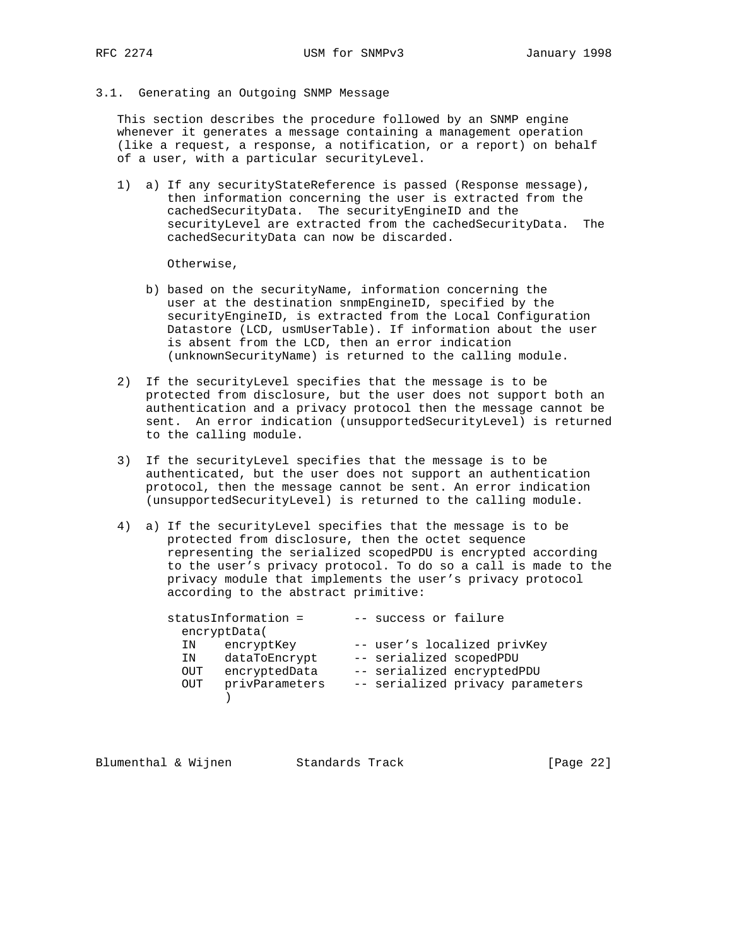## 3.1. Generating an Outgoing SNMP Message

 This section describes the procedure followed by an SNMP engine whenever it generates a message containing a management operation (like a request, a response, a notification, or a report) on behalf of a user, with a particular securityLevel.

 1) a) If any securityStateReference is passed (Response message), then information concerning the user is extracted from the cachedSecurityData. The securityEngineID and the securityLevel are extracted from the cachedSecurityData. The cachedSecurityData can now be discarded.

Otherwise,

- b) based on the securityName, information concerning the user at the destination snmpEngineID, specified by the securityEngineID, is extracted from the Local Configuration Datastore (LCD, usmUserTable). If information about the user is absent from the LCD, then an error indication (unknownSecurityName) is returned to the calling module.
- 2) If the securityLevel specifies that the message is to be protected from disclosure, but the user does not support both an authentication and a privacy protocol then the message cannot be sent. An error indication (unsupportedSecurityLevel) is returned to the calling module.
- 3) If the securityLevel specifies that the message is to be authenticated, but the user does not support an authentication protocol, then the message cannot be sent. An error indication (unsupportedSecurityLevel) is returned to the calling module.
- 4) a) If the securityLevel specifies that the message is to be protected from disclosure, then the octet sequence representing the serialized scopedPDU is encrypted according to the user's privacy protocol. To do so a call is made to the privacy module that implements the user's privacy protocol according to the abstract primitive:

| statusInformation = |                | -- success or failure   |                                  |
|---------------------|----------------|-------------------------|----------------------------------|
| encryptData(        |                |                         |                                  |
| ΙN                  | encryptKey     |                         | -- user's localized privKey      |
| ΙN                  | dataToEncrypt  | -- serialized scopedPDU |                                  |
| OUT                 | encryptedData  |                         | -- serialized encryptedPDU       |
| OUT                 | privParameters |                         | -- serialized privacy parameters |
|                     |                |                         |                                  |

Blumenthal & Wijnen Standards Track [Page 22]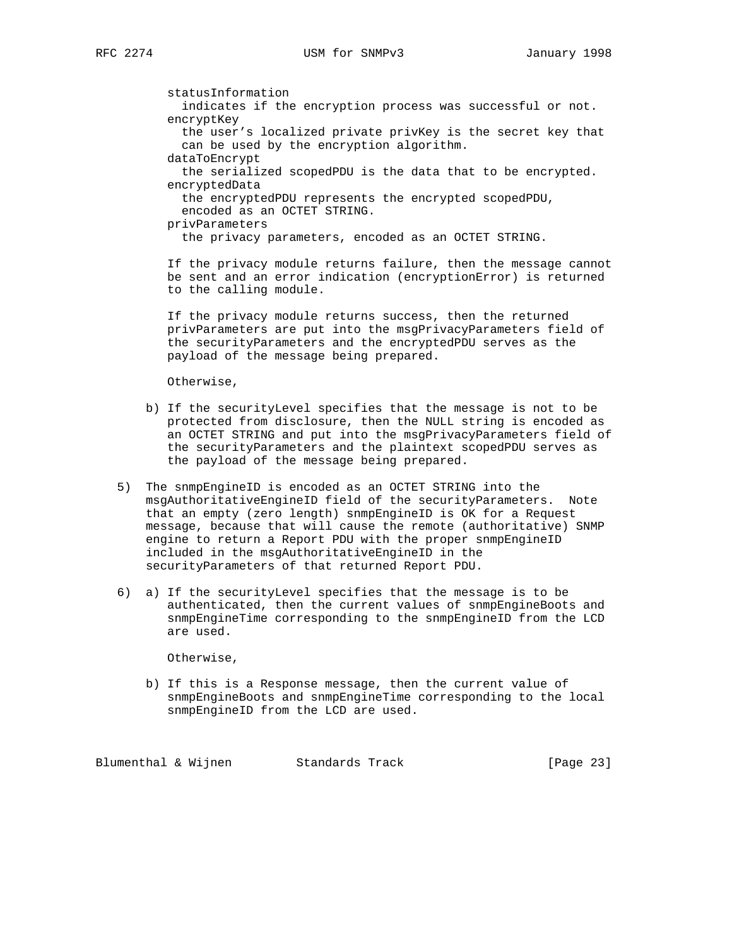statusInformation indicates if the encryption process was successful or not. encryptKey the user's localized private privKey is the secret key that can be used by the encryption algorithm. dataToEncrypt the serialized scopedPDU is the data that to be encrypted. encryptedData the encryptedPDU represents the encrypted scopedPDU, encoded as an OCTET STRING. privParameters the privacy parameters, encoded as an OCTET STRING. If the privacy module returns failure, then the message cannot

 be sent and an error indication (encryptionError) is returned to the calling module.

 If the privacy module returns success, then the returned privParameters are put into the msgPrivacyParameters field of the securityParameters and the encryptedPDU serves as the payload of the message being prepared.

Otherwise,

- b) If the securityLevel specifies that the message is not to be protected from disclosure, then the NULL string is encoded as an OCTET STRING and put into the msgPrivacyParameters field of the securityParameters and the plaintext scopedPDU serves as the payload of the message being prepared.
- 5) The snmpEngineID is encoded as an OCTET STRING into the msgAuthoritativeEngineID field of the securityParameters. Note that an empty (zero length) snmpEngineID is OK for a Request message, because that will cause the remote (authoritative) SNMP engine to return a Report PDU with the proper snmpEngineID included in the msgAuthoritativeEngineID in the securityParameters of that returned Report PDU.
- 6) a) If the securityLevel specifies that the message is to be authenticated, then the current values of snmpEngineBoots and snmpEngineTime corresponding to the snmpEngineID from the LCD are used.

Otherwise,

 b) If this is a Response message, then the current value of snmpEngineBoots and snmpEngineTime corresponding to the local snmpEngineID from the LCD are used.

Blumenthal & Wijnen Standards Track [Page 23]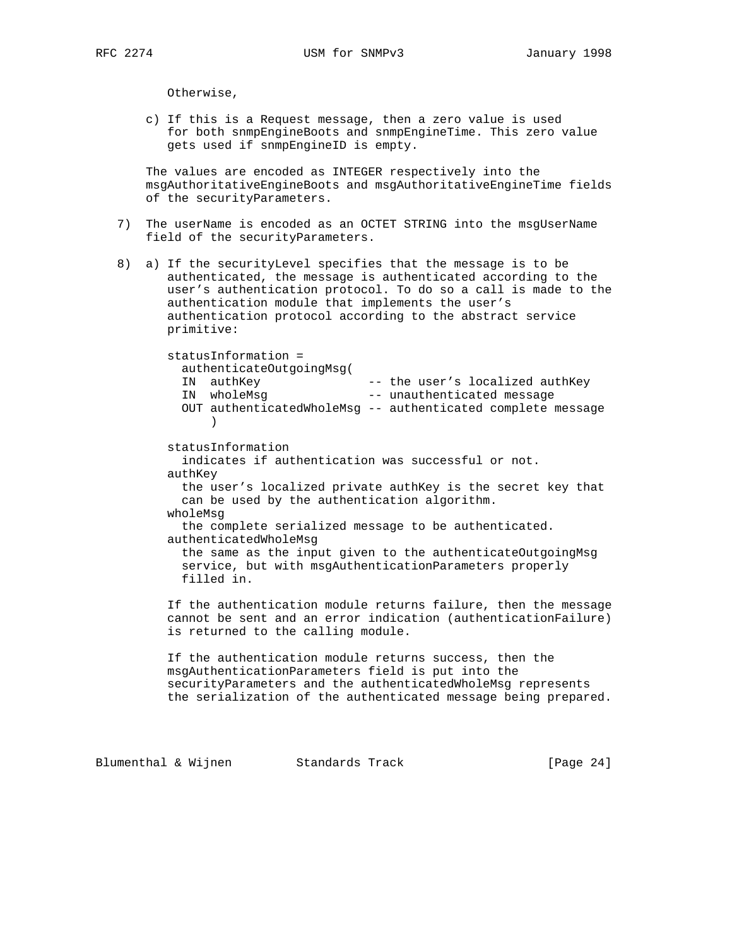Otherwise,

 c) If this is a Request message, then a zero value is used for both snmpEngineBoots and snmpEngineTime. This zero value gets used if snmpEngineID is empty.

 The values are encoded as INTEGER respectively into the msgAuthoritativeEngineBoots and msgAuthoritativeEngineTime fields of the securityParameters.

- 7) The userName is encoded as an OCTET STRING into the msgUserName field of the securityParameters.
- 8) a) If the securityLevel specifies that the message is to be authenticated, the message is authenticated according to the user's authentication protocol. To do so a call is made to the authentication module that implements the user's authentication protocol according to the abstract service primitive:

 statusInformation = authenticateOutgoingMsg( IN authKey -- the user's localized authKey IN wholeMsg -- unauthenticated message OUT authenticatedWholeMsg -- authenticated complete message ) statusInformation indicates if authentication was successful or not. authKey the user's localized private authKey is the secret key that can be used by the authentication algorithm. wholeMsg the complete serialized message to be authenticated. authenticatedWholeMsg the same as the input given to the authenticateOutgoingMsg service, but with msgAuthenticationParameters properly filled in. If the authentication module returns failure, then the message cannot be sent and an error indication (authenticationFailure) is returned to the calling module.

> If the authentication module returns success, then the msgAuthenticationParameters field is put into the securityParameters and the authenticatedWholeMsg represents the serialization of the authenticated message being prepared.

Blumenthal & Wijnen Standards Track [Page 24]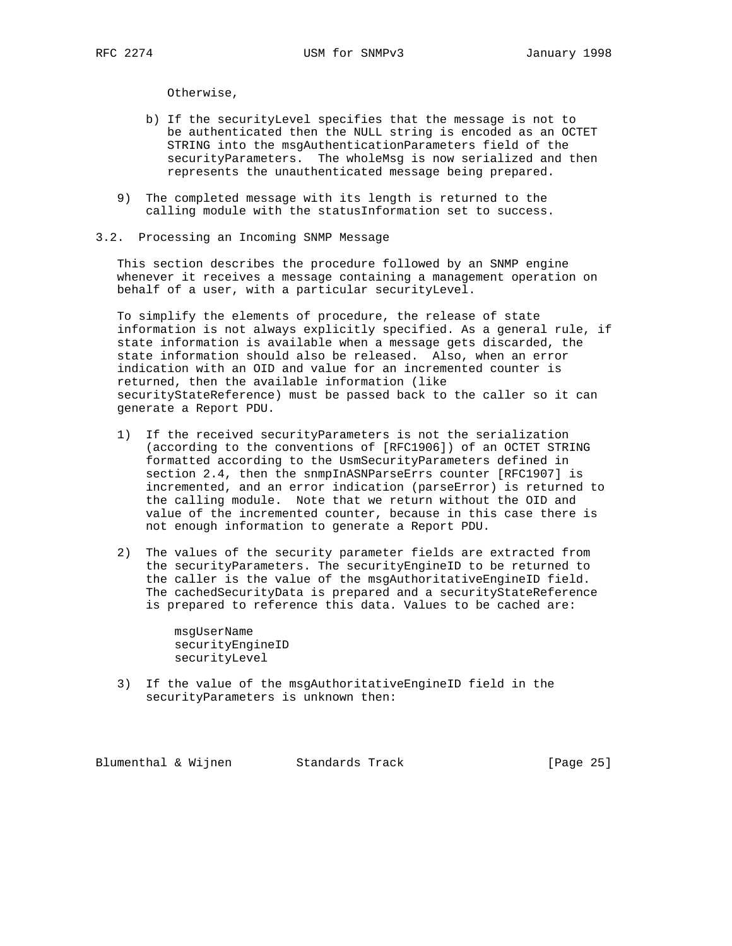Otherwise,

- b) If the securityLevel specifies that the message is not to be authenticated then the NULL string is encoded as an OCTET STRING into the msgAuthenticationParameters field of the securityParameters. The wholeMsg is now serialized and then represents the unauthenticated message being prepared.
- 9) The completed message with its length is returned to the calling module with the statusInformation set to success.
- 3.2. Processing an Incoming SNMP Message

 This section describes the procedure followed by an SNMP engine whenever it receives a message containing a management operation on behalf of a user, with a particular securityLevel.

 To simplify the elements of procedure, the release of state information is not always explicitly specified. As a general rule, if state information is available when a message gets discarded, the state information should also be released. Also, when an error indication with an OID and value for an incremented counter is returned, then the available information (like securityStateReference) must be passed back to the caller so it can generate a Report PDU.

- 1) If the received securityParameters is not the serialization (according to the conventions of [RFC1906]) of an OCTET STRING formatted according to the UsmSecurityParameters defined in section 2.4, then the snmpInASNParseErrs counter [RFC1907] is incremented, and an error indication (parseError) is returned to the calling module. Note that we return without the OID and value of the incremented counter, because in this case there is not enough information to generate a Report PDU.
- 2) The values of the security parameter fields are extracted from the securityParameters. The securityEngineID to be returned to the caller is the value of the msgAuthoritativeEngineID field. The cachedSecurityData is prepared and a securityStateReference is prepared to reference this data. Values to be cached are:

 msgUserName securityEngineID securityLevel

 3) If the value of the msgAuthoritativeEngineID field in the securityParameters is unknown then:

Blumenthal & Wijnen Standards Track [Page 25]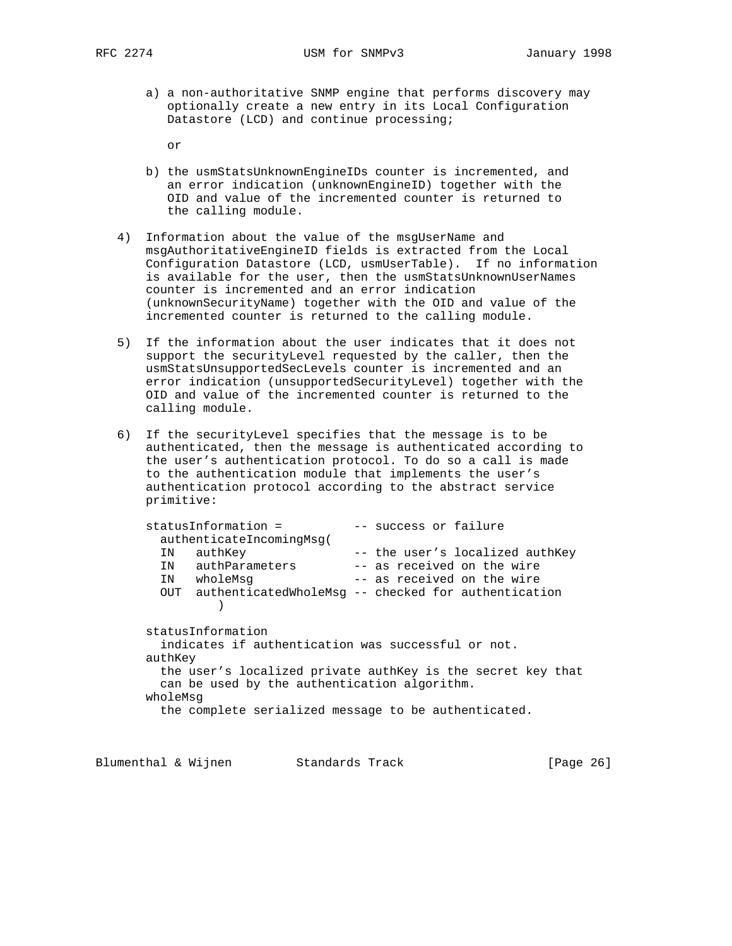RFC 2274 USM for SNMPv3 January 1998

 a) a non-authoritative SNMP engine that performs discovery may optionally create a new entry in its Local Configuration Datastore (LCD) and continue processing;

or

- b) the usmStatsUnknownEngineIDs counter is incremented, and an error indication (unknownEngineID) together with the OID and value of the incremented counter is returned to the calling module.
- 4) Information about the value of the msgUserName and msgAuthoritativeEngineID fields is extracted from the Local Configuration Datastore (LCD, usmUserTable). If no information is available for the user, then the usmStatsUnknownUserNames counter is incremented and an error indication (unknownSecurityName) together with the OID and value of the incremented counter is returned to the calling module.
- 5) If the information about the user indicates that it does not support the securityLevel requested by the caller, then the usmStatsUnsupportedSecLevels counter is incremented and an error indication (unsupportedSecurityLevel) together with the OID and value of the incremented counter is returned to the calling module.
- 6) If the securityLevel specifies that the message is to be authenticated, then the message is authenticated according to the user's authentication protocol. To do so a call is made to the authentication module that implements the user's authentication protocol according to the abstract service primitive:

| statusInformation =                                         |                          |  | -- success or failure                                   |  |  |
|-------------------------------------------------------------|--------------------------|--|---------------------------------------------------------|--|--|
|                                                             | authenticateIncomingMsq( |  |                                                         |  |  |
| ΙN                                                          | authKey                  |  | -- the user's localized authKey                         |  |  |
| IN                                                          | authParameters           |  | -- as received on the wire                              |  |  |
| IN                                                          | wholeMsq                 |  | -- as received on the wire                              |  |  |
|                                                             |                          |  | OUT authenticatedWholeMsg -- checked for authentication |  |  |
|                                                             |                          |  |                                                         |  |  |
|                                                             |                          |  |                                                         |  |  |
|                                                             | statusInformation        |  |                                                         |  |  |
| indicates if authentication was successful or not.          |                          |  |                                                         |  |  |
| authKey                                                     |                          |  |                                                         |  |  |
| the user's localized private authKey is the secret key that |                          |  |                                                         |  |  |
| can be used by the authentication algorithm.                |                          |  |                                                         |  |  |
| wholeMsq                                                    |                          |  |                                                         |  |  |
| the complete serialized message to be authenticated.        |                          |  |                                                         |  |  |
|                                                             |                          |  |                                                         |  |  |

Blumenthal & Wijnen Standards Track [Page 26]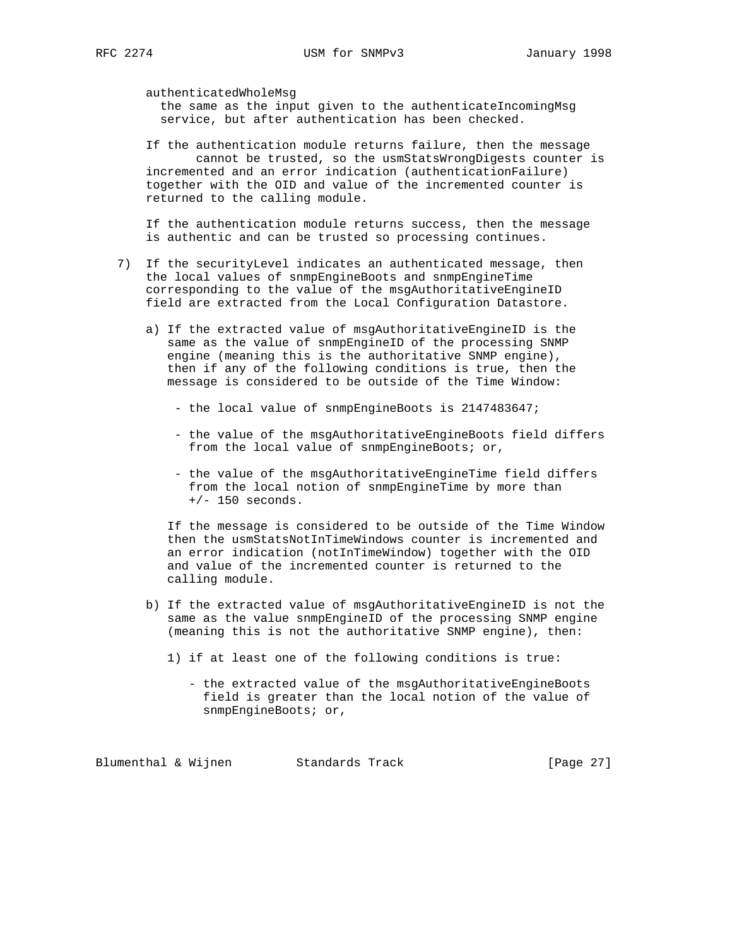authenticatedWholeMsg

 the same as the input given to the authenticateIncomingMsg service, but after authentication has been checked.

 If the authentication module returns failure, then the message cannot be trusted, so the usmStatsWrongDigests counter is incremented and an error indication (authenticationFailure) together with the OID and value of the incremented counter is returned to the calling module.

 If the authentication module returns success, then the message is authentic and can be trusted so processing continues.

- 7) If the securityLevel indicates an authenticated message, then the local values of snmpEngineBoots and snmpEngineTime corresponding to the value of the msgAuthoritativeEngineID field are extracted from the Local Configuration Datastore.
	- a) If the extracted value of msgAuthoritativeEngineID is the same as the value of snmpEngineID of the processing SNMP engine (meaning this is the authoritative SNMP engine), then if any of the following conditions is true, then the message is considered to be outside of the Time Window:
		- the local value of snmpEngineBoots is 2147483647;
		- the value of the msgAuthoritativeEngineBoots field differs from the local value of snmpEngineBoots; or,
		- the value of the msgAuthoritativeEngineTime field differs from the local notion of snmpEngineTime by more than  $+/- 150$  seconds.

 If the message is considered to be outside of the Time Window then the usmStatsNotInTimeWindows counter is incremented and an error indication (notInTimeWindow) together with the OID and value of the incremented counter is returned to the calling module.

- b) If the extracted value of msgAuthoritativeEngineID is not the same as the value snmpEngineID of the processing SNMP engine (meaning this is not the authoritative SNMP engine), then:
	- 1) if at least one of the following conditions is true:
		- the extracted value of the msgAuthoritativeEngineBoots field is greater than the local notion of the value of snmpEngineBoots; or,

Blumenthal & Wijnen Standards Track [Page 27]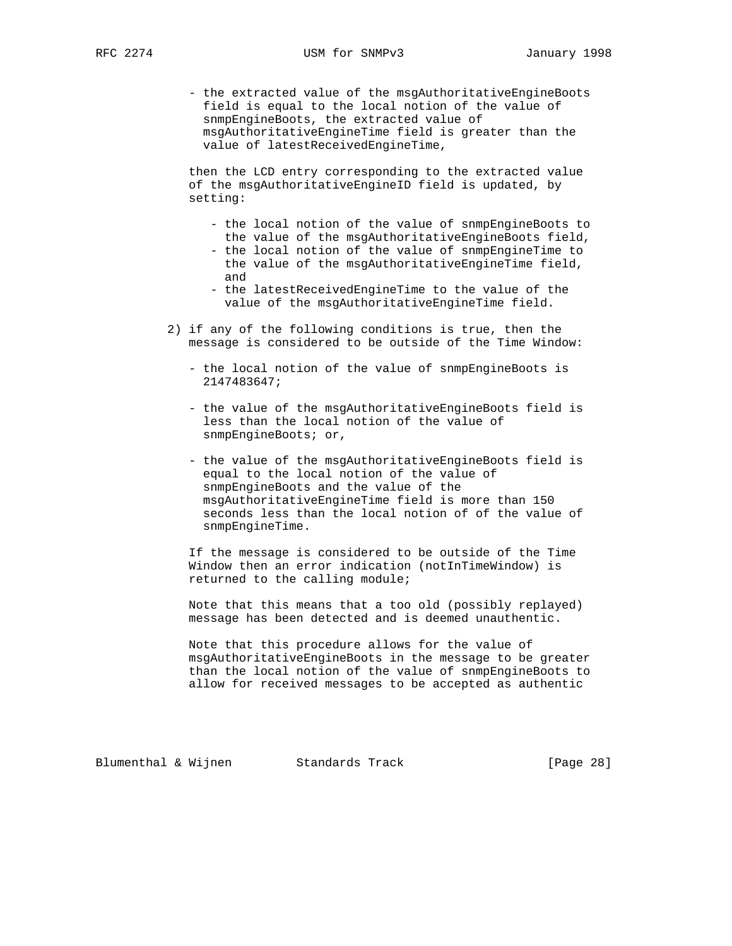- the extracted value of the msgAuthoritativeEngineBoots field is equal to the local notion of the value of snmpEngineBoots, the extracted value of msgAuthoritativeEngineTime field is greater than the value of latestReceivedEngineTime,

 then the LCD entry corresponding to the extracted value of the msgAuthoritativeEngineID field is updated, by setting:

- the local notion of the value of snmpEngineBoots to the value of the msgAuthoritativeEngineBoots field,
- the local notion of the value of snmpEngineTime to the value of the msgAuthoritativeEngineTime field, and
- the latestReceivedEngineTime to the value of the value of the msgAuthoritativeEngineTime field.
- 2) if any of the following conditions is true, then the message is considered to be outside of the Time Window:
	- the local notion of the value of snmpEngineBoots is 2147483647;
	- the value of the msgAuthoritativeEngineBoots field is less than the local notion of the value of snmpEngineBoots; or,
	- the value of the msgAuthoritativeEngineBoots field is equal to the local notion of the value of snmpEngineBoots and the value of the msgAuthoritativeEngineTime field is more than 150 seconds less than the local notion of of the value of snmpEngineTime.

 If the message is considered to be outside of the Time Window then an error indication (notInTimeWindow) is returned to the calling module;

 Note that this means that a too old (possibly replayed) message has been detected and is deemed unauthentic.

 Note that this procedure allows for the value of msgAuthoritativeEngineBoots in the message to be greater than the local notion of the value of snmpEngineBoots to allow for received messages to be accepted as authentic

Blumenthal & Wijnen Standards Track [Page 28]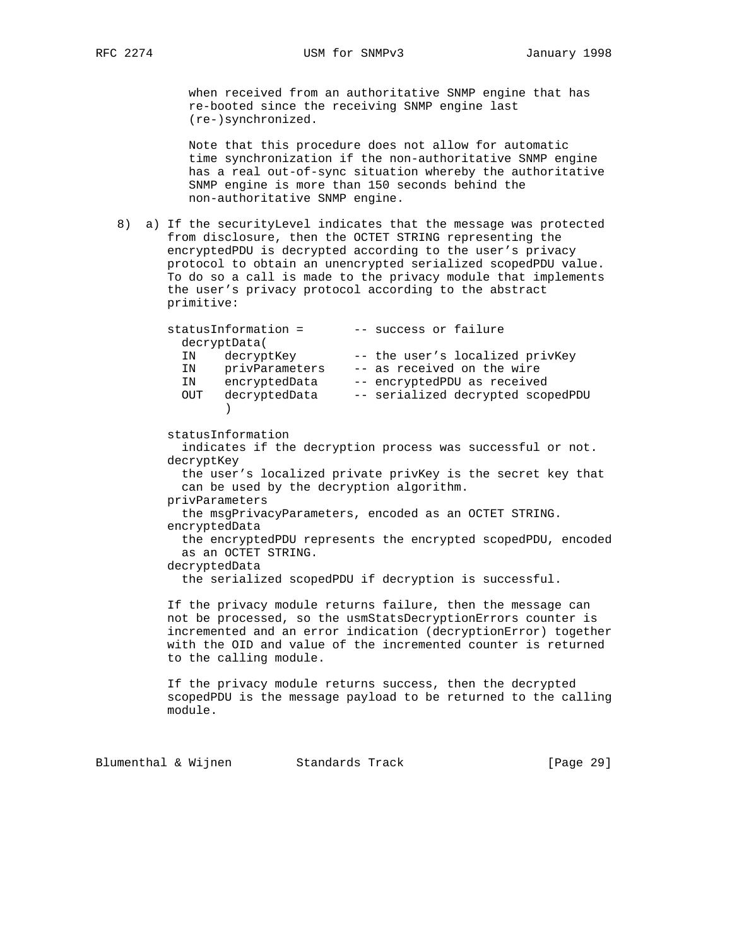when received from an authoritative SNMP engine that has re-booted since the receiving SNMP engine last (re-)synchronized.

 Note that this procedure does not allow for automatic time synchronization if the non-authoritative SNMP engine has a real out-of-sync situation whereby the authoritative SNMP engine is more than 150 seconds behind the non-authoritative SNMP engine.

 8) a) If the securityLevel indicates that the message was protected from disclosure, then the OCTET STRING representing the encryptedPDU is decrypted according to the user's privacy protocol to obtain an unencrypted serialized scopedPDU value. To do so a call is made to the privacy module that implements the user's privacy protocol according to the abstract primitive:

|              | statusInformation = | -- success or failure             |
|--------------|---------------------|-----------------------------------|
| decryptData( |                     |                                   |
| ΙN           | decryptKey          | -- the user's localized privKey   |
| IN           | privParameters      | -- as received on the wire        |
| ΙN           | encryptedData       | -- encryptedPDU as received       |
| OUT          | decryptedData       | -- serialized decrypted scopedPDU |
|              |                     |                                   |

statusInformation

 indicates if the decryption process was successful or not. decryptKey

 the user's localized private privKey is the secret key that can be used by the decryption algorithm.

privParameters

 the msgPrivacyParameters, encoded as an OCTET STRING. encryptedData

 the encryptedPDU represents the encrypted scopedPDU, encoded as an OCTET STRING.

decryptedData

the serialized scopedPDU if decryption is successful.

 If the privacy module returns failure, then the message can not be processed, so the usmStatsDecryptionErrors counter is incremented and an error indication (decryptionError) together with the OID and value of the incremented counter is returned to the calling module.

 If the privacy module returns success, then the decrypted scopedPDU is the message payload to be returned to the calling module.

Blumenthal & Wijnen Standards Track [Page 29]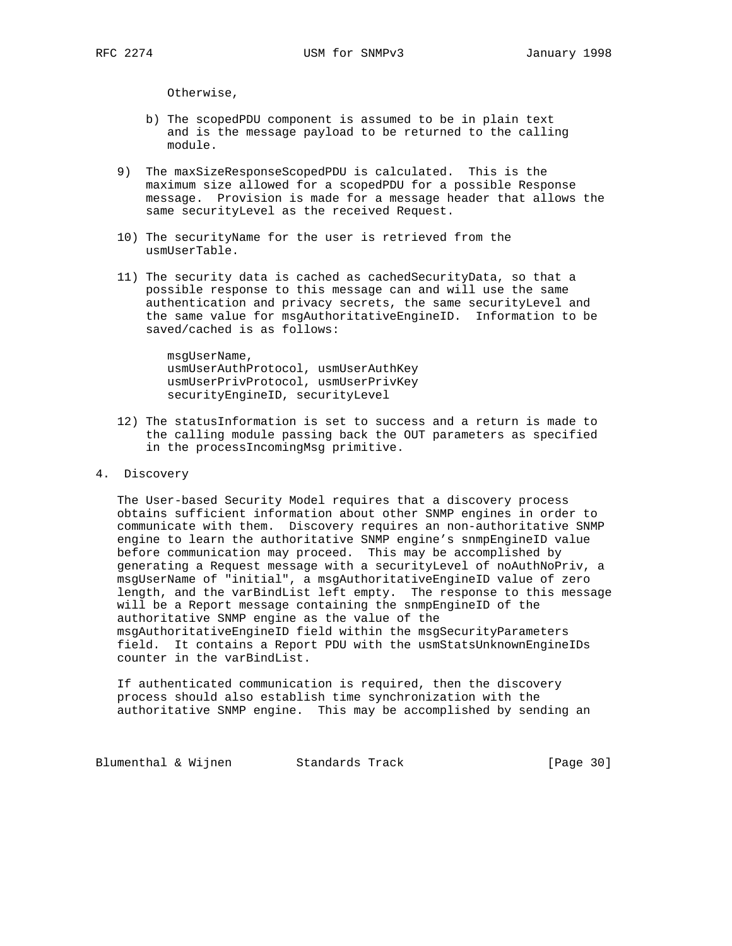Otherwise,

- b) The scopedPDU component is assumed to be in plain text and is the message payload to be returned to the calling module.
- 9) The maxSizeResponseScopedPDU is calculated. This is the maximum size allowed for a scopedPDU for a possible Response message. Provision is made for a message header that allows the same securityLevel as the received Request.
- 10) The securityName for the user is retrieved from the usmUserTable.
- 11) The security data is cached as cachedSecurityData, so that a possible response to this message can and will use the same authentication and privacy secrets, the same securityLevel and the same value for msgAuthoritativeEngineID. Information to be saved/cached is as follows:

 msgUserName, usmUserAuthProtocol, usmUserAuthKey usmUserPrivProtocol, usmUserPrivKey securityEngineID, securityLevel

- 12) The statusInformation is set to success and a return is made to the calling module passing back the OUT parameters as specified in the processIncomingMsg primitive.
- 4. Discovery

 The User-based Security Model requires that a discovery process obtains sufficient information about other SNMP engines in order to communicate with them. Discovery requires an non-authoritative SNMP engine to learn the authoritative SNMP engine's snmpEngineID value before communication may proceed. This may be accomplished by generating a Request message with a securityLevel of noAuthNoPriv, a msgUserName of "initial", a msgAuthoritativeEngineID value of zero length, and the varBindList left empty. The response to this message will be a Report message containing the snmpEngineID of the authoritative SNMP engine as the value of the msgAuthoritativeEngineID field within the msgSecurityParameters field. It contains a Report PDU with the usmStatsUnknownEngineIDs counter in the varBindList.

 If authenticated communication is required, then the discovery process should also establish time synchronization with the authoritative SNMP engine. This may be accomplished by sending an

Blumenthal & Wijnen Standards Track [Page 30]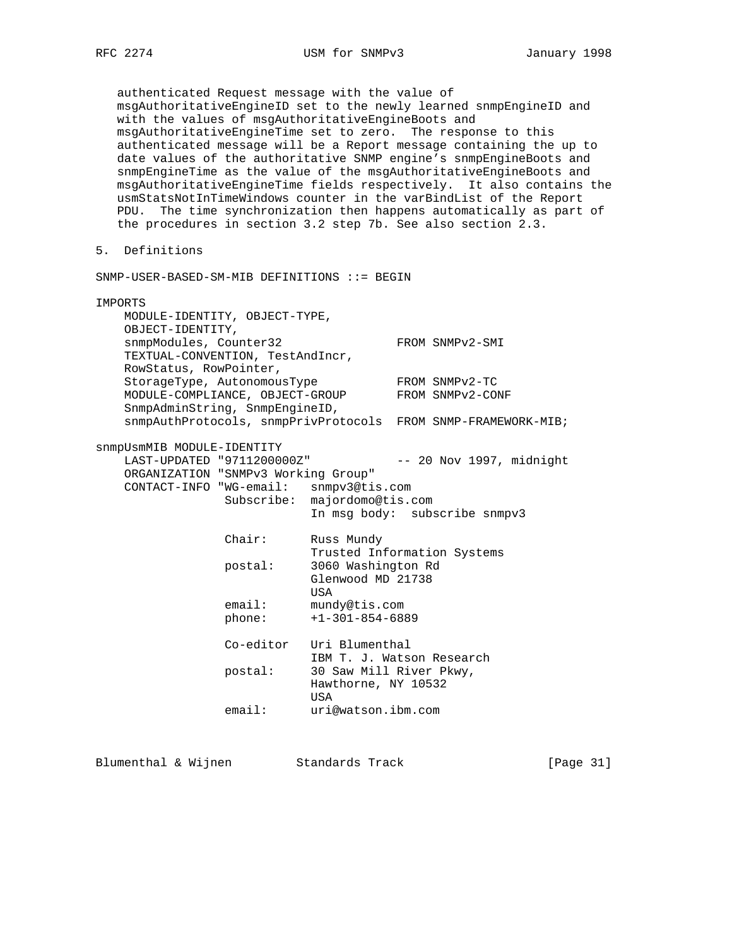authenticated Request message with the value of msgAuthoritativeEngineID set to the newly learned snmpEngineID and with the values of msgAuthoritativeEngineBoots and msgAuthoritativeEngineTime set to zero. The response to this authenticated message will be a Report message containing the up to date values of the authoritative SNMP engine's snmpEngineBoots and snmpEngineTime as the value of the msgAuthoritativeEngineBoots and msgAuthoritativeEngineTime fields respectively. It also contains the usmStatsNotInTimeWindows counter in the varBindList of the Report PDU. The time synchronization then happens automatically as part of the procedures in section 3.2 step 7b. See also section 2.3. 5. Definitions SNMP-USER-BASED-SM-MIB DEFINITIONS ::= BEGIN IMPORTS MODULE-IDENTITY, OBJECT-TYPE, OBJECT-IDENTITY, snmpModules, Counter32 FROM SNMPv2-SMI TEXTUAL-CONVENTION, TestAndIncr, RowStatus, RowPointer, StorageType, AutonomousType FROM SNMPv2-TC MODULE-COMPLIANCE, OBJECT-GROUP FROM SNMPv2-CONF SnmpAdminString, SnmpEngineID, snmpAuthProtocols, snmpPrivProtocols FROM SNMP-FRAMEWORK-MIB; snmpUsmMIB MODULE-IDENTITY LAST-UPDATED "9711200000Z" -- 20 Nov 1997, midnight ORGANIZATION "SNMPv3 Working Group" CONTACT-INFO "WG-email: snmpv3@tis.com Subscribe: majordomo@tis.com In msg body: subscribe snmpv3 Chair: Russ Mundy Trusted Information Systems postal: 3060 Washington Rd Glenwood MD 21738 USA email: mundy@tis.com phone: +1-301-854-6889 Co-editor Uri Blumenthal IBM T. J. Watson Research

 postal: 30 Saw Mill River Pkwy, Hawthorne, NY 10532 usa di kacamatan ing Kabupatèn Kabupatèn Kabupatèn Kabupatèn Kabupatèn Kabupatèn Kabupatèn Kabupatèn Kabupatèn email: uri@watson.ibm.com

Blumenthal & Wijnen Standards Track [Page 31]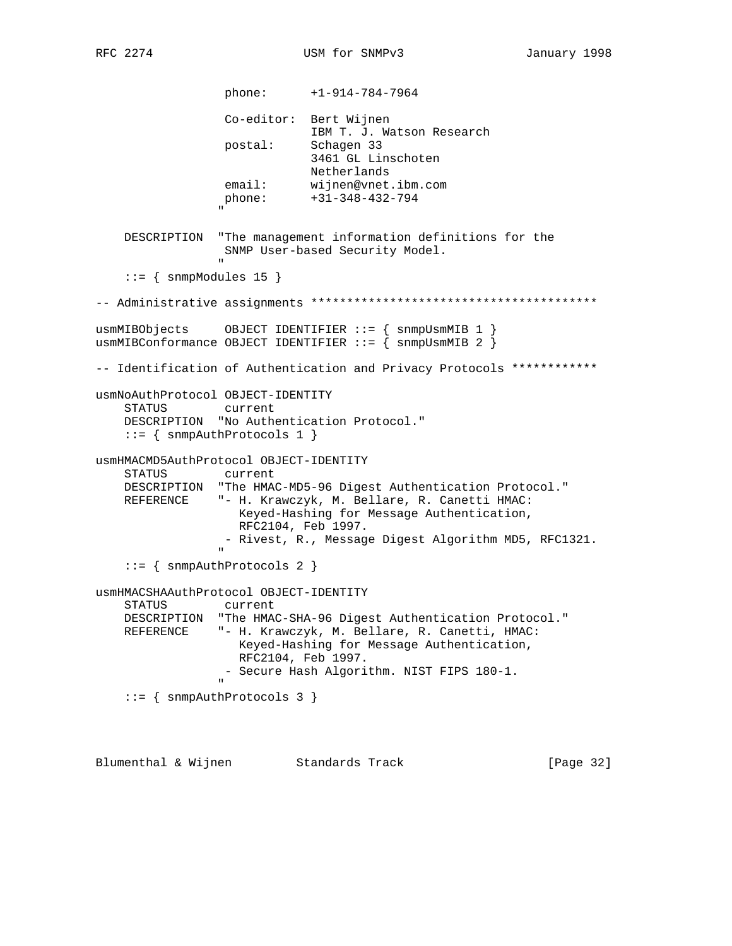phone: +1-914-784-7964 Co-editor: Bert Wijnen IBM T. J. Watson Research postal: Schagen 33 3461 GL Linschoten Netherlands email: wijnen@vnet.ibm.com phone: +31-348-432-794 " "The contract of the contract of the contract of the contract of the contract of the contract of the contract of the contract of the contract of the contract of the contract of the contract of the contract of the contrac DESCRIPTION "The management information definitions for the SNMP User-based Security Model. "  $::=$  { snmpModules 15 } -- Administrative assignments \*\*\*\*\*\*\*\*\*\*\*\*\*\*\*\*\*\*\*\*\*\*\*\*\*\*\*\*\*\*\*\*\*\*\*\*\*\*\*\* usmMIBObjects OBJECT IDENTIFIER ::= { snmpUsmMIB 1 } usmMIBConformance OBJECT IDENTIFIER  $::=$  { snmpUsmMIB 2 } -- Identification of Authentication and Privacy Protocols \*\*\*\*\*\*\*\*\*\*\*\* usmNoAuthProtocol OBJECT-IDENTITY STATUS current DESCRIPTION "No Authentication Protocol."  $::=$  { snmpAuthProtocols 1 } usmHMACMD5AuthProtocol OBJECT-IDENTITY STATUS current DESCRIPTION "The HMAC-MD5-96 Digest Authentication Protocol." REFERENCE "- H. Krawczyk, M. Bellare, R. Canetti HMAC: Keyed-Hashing for Message Authentication, RFC2104, Feb 1997. - Rivest, R., Message Digest Algorithm MD5, RFC1321. " ::= { snmpAuthProtocols 2 } usmHMACSHAAuthProtocol OBJECT-IDENTITY STATUS current DESCRIPTION "The HMAC-SHA-96 Digest Authentication Protocol." REFERENCE "- H. Krawczyk, M. Bellare, R. Canetti, HMAC: Keyed-Hashing for Message Authentication, RFC2104, Feb 1997. - Secure Hash Algorithm. NIST FIPS 180-1. "  $::=$  { snmpAuthProtocols 3 }

Blumenthal & Wijnen Standards Track [Page 32]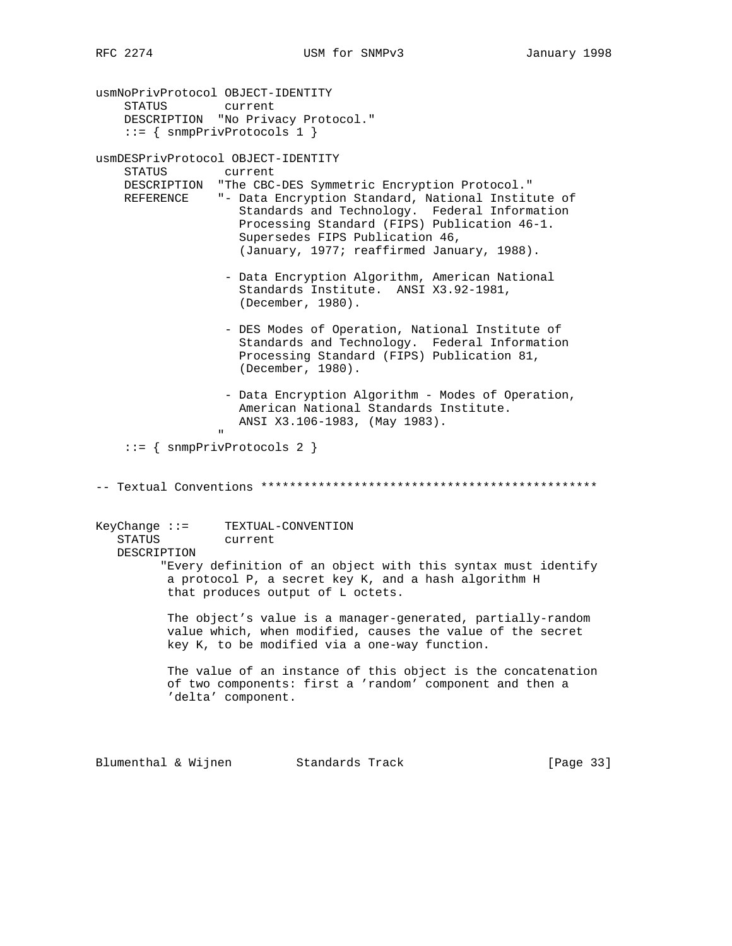usmNoPrivProtocol OBJECT-IDENTITY STATUS current DESCRIPTION "No Privacy Protocol." ::= { snmpPrivProtocols 1 } usmDESPrivProtocol OBJECT-IDENTITY STATUS current DESCRIPTION "The CBC-DES Symmetric Encryption Protocol." REFERENCE "- Data Encryption Standard, National Institute of Standards and Technology. Federal Information Processing Standard (FIPS) Publication 46-1. Supersedes FIPS Publication 46, (January, 1977; reaffirmed January, 1988). - Data Encryption Algorithm, American National Standards Institute. ANSI X3.92-1981, (December, 1980). - DES Modes of Operation, National Institute of Standards and Technology. Federal Information Processing Standard (FIPS) Publication 81, (December, 1980). - Data Encryption Algorithm - Modes of Operation, American National Standards Institute. ANSI X3.106-1983, (May 1983). " ::= { snmpPrivProtocols 2 } -- Textual Conventions \*\*\*\*\*\*\*\*\*\*\*\*\*\*\*\*\*\*\*\*\*\*\*\*\*\*\*\*\*\*\*\*\*\*\*\*\*\*\*\*\*\*\*\*\*\*\* KeyChange ::= TEXTUAL-CONVENTION STATUS current DESCRIPTION "Every definition of an object with this syntax must identify a protocol P, a secret key K, and a hash algorithm H that produces output of L octets. The object's value is a manager-generated, partially-random value which, when modified, causes the value of the secret key K, to be modified via a one-way function. The value of an instance of this object is the concatenation of two components: first a 'random' component and then a 'delta' component.

Blumenthal & Wijnen Standards Track [Page 33]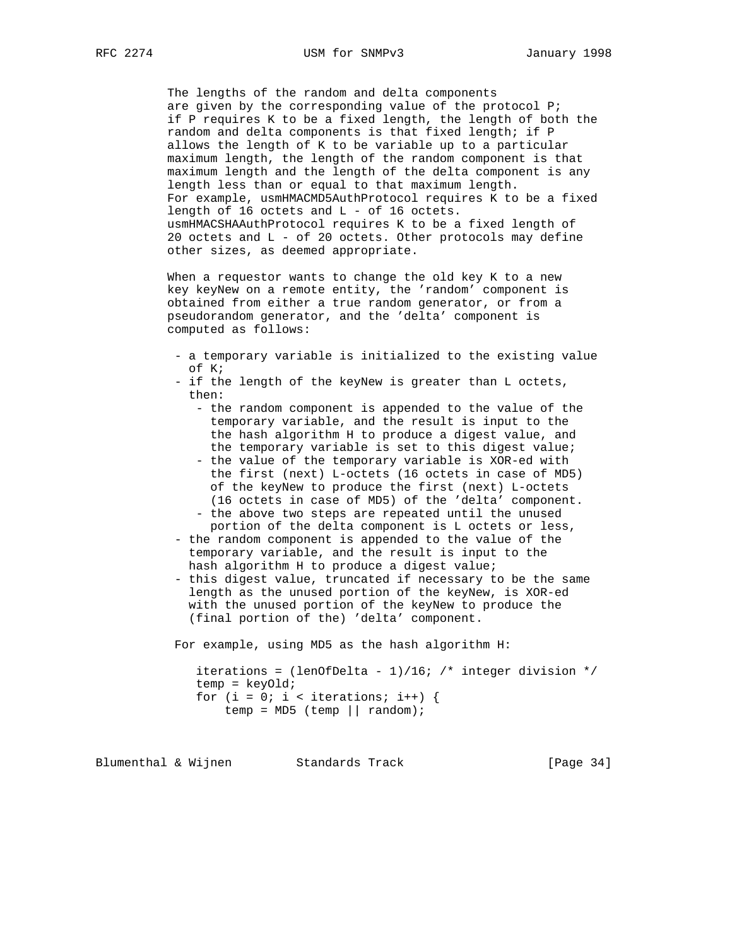The lengths of the random and delta components are given by the corresponding value of the protocol P; if P requires K to be a fixed length, the length of both the random and delta components is that fixed length; if P allows the length of K to be variable up to a particular maximum length, the length of the random component is that maximum length and the length of the delta component is any length less than or equal to that maximum length. For example, usmHMACMD5AuthProtocol requires K to be a fixed length of 16 octets and L - of 16 octets. usmHMACSHAAuthProtocol requires K to be a fixed length of 20 octets and L - of 20 octets. Other protocols may define other sizes, as deemed appropriate.

 When a requestor wants to change the old key K to a new key keyNew on a remote entity, the 'random' component is obtained from either a true random generator, or from a pseudorandom generator, and the 'delta' component is computed as follows:

- a temporary variable is initialized to the existing value of K;
- if the length of the keyNew is greater than L octets, then:
	- the random component is appended to the value of the temporary variable, and the result is input to the the hash algorithm H to produce a digest value, and the temporary variable is set to this digest value;
	- the value of the temporary variable is XOR-ed with the first (next) L-octets (16 octets in case of MD5) of the keyNew to produce the first (next) L-octets (16 octets in case of MD5) of the 'delta' component. - the above two steps are repeated until the unused
- portion of the delta component is L octets or less, - the random component is appended to the value of the temporary variable, and the result is input to the hash algorithm H to produce a digest value;
- this digest value, truncated if necessary to be the same length as the unused portion of the keyNew, is XOR-ed with the unused portion of the keyNew to produce the (final portion of the) 'delta' component.

For example, using MD5 as the hash algorithm H:

iterations = (lenOfDelta - 1)/16; /\* integer division \*/ temp = keyOld; for (i = 0; i < iterations; i++) {  $temp = MD5$  (temp || random);

Blumenthal & Wijnen Standards Track [Page 34]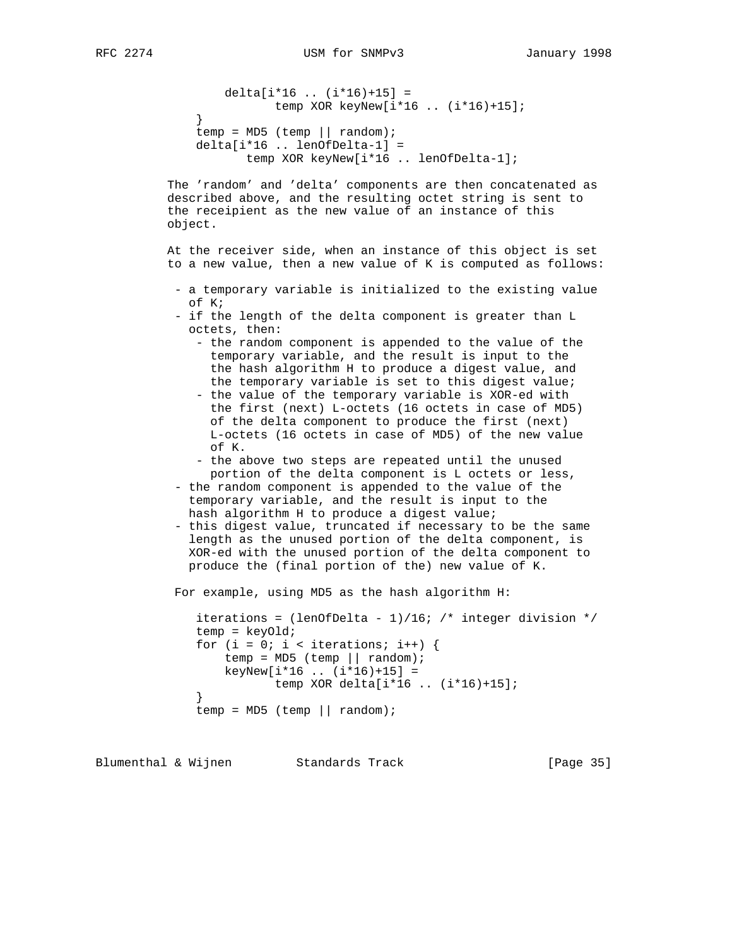```
 delta[i*16 .. (i*16)+15] =
                        temp XOR keyNew[i*16 .. (i*16)+15];
}
            temp = MD5 (temp || random);
             delta[i*16 .. lenOfDelta-1] =
                    temp XOR keyNew[i*16 .. lenOfDelta-1];
```
 The 'random' and 'delta' components are then concatenated as described above, and the resulting octet string is sent to the receipient as the new value of an instance of this object.

 At the receiver side, when an instance of this object is set to a new value, then a new value of K is computed as follows:

- a temporary variable is initialized to the existing value of K;
- if the length of the delta component is greater than L octets, then:
	- the random component is appended to the value of the temporary variable, and the result is input to the the hash algorithm H to produce a digest value, and the temporary variable is set to this digest value;
	- the value of the temporary variable is XOR-ed with the first (next) L-octets (16 octets in case of MD5) of the delta component to produce the first (next) L-octets (16 octets in case of MD5) of the new value of K.
	- the above two steps are repeated until the unused portion of the delta component is L octets or less,
- the random component is appended to the value of the temporary variable, and the result is input to the hash algorithm H to produce a digest value;
- this digest value, truncated if necessary to be the same length as the unused portion of the delta component, is XOR-ed with the unused portion of the delta component to produce the (final portion of the) new value of K.

For example, using MD5 as the hash algorithm H:

```
iterations = (lenOfDelta - 1)/16; /* integer division */
             temp = keyOld;
            for (i = 0; i < iterations; i++) {
                temp = MD5 (temp || random);
                keyNew[i*16 ... (i*16)+15] = temp XOR delta[i*16 .. (i*16)+15];
}
            temp = MD5 (temp || random);
```
Blumenthal & Wijnen Standards Track [Page 35]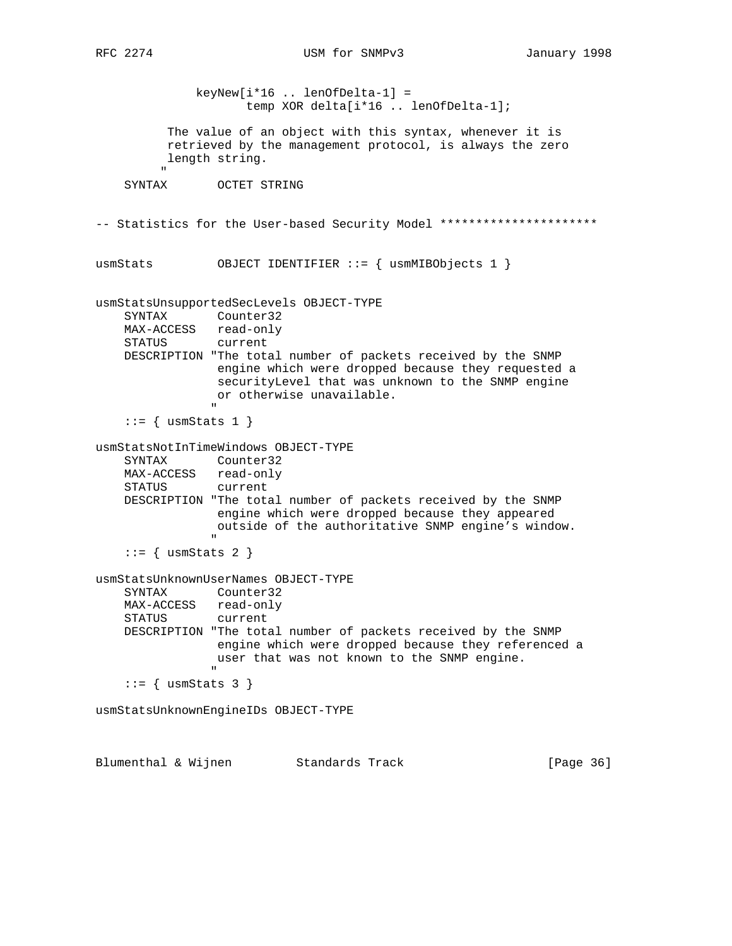keyNew[i\*16 .. lenOfDelta-1] = temp XOR delta[i\*16 .. lenOfDelta-1]; The value of an object with this syntax, whenever it is retrieved by the management protocol, is always the zero length string. " SYNTAX OCTET STRING -- Statistics for the User-based Security Model \*\*\*\*\*\*\*\*\*\*\*\*\*\*\*\*\*\*\*\*\*\*\*\* usmStats  $OBJECT IDENTIFIER :: = { using MIBObjects 1 }$ usmStatsUnsupportedSecLevels OBJECT-TYPE SYNTAX Counter32 MAX-ACCESS read-only STATUS current DESCRIPTION "The total number of packets received by the SNMP engine which were dropped because they requested a securityLevel that was unknown to the SNMP engine or otherwise unavailable. " "The contract of the contract of the contract of the contract of the contract of the contract of the contract of the contract of the contract of the contract of the contract of the contract of the contract of the contrac  $::=$  { usmStats 1 } usmStatsNotInTimeWindows OBJECT-TYPE SYNTAX Counter32 MAX-ACCESS read-only STATUS current DESCRIPTION "The total number of packets received by the SNMP engine which were dropped because they appeared outside of the authoritative SNMP engine's window. " "The contract of the contract of the contract of the contract of the contract of the contract of the contract of the contract of the contract of the contract of the contract of the contract of the contract of the contrac  $::=$  { usmStats 2 } usmStatsUnknownUserNames OBJECT-TYPE SYNTAX Counter32 MAX-ACCESS read-only STATUS current DESCRIPTION "The total number of packets received by the SNMP engine which were dropped because they referenced a user that was not known to the SNMP engine. "  $::=$  { usmStats 3 } usmStatsUnknownEngineIDs OBJECT-TYPE

Blumenthal & Wijnen Standards Track [Page 36]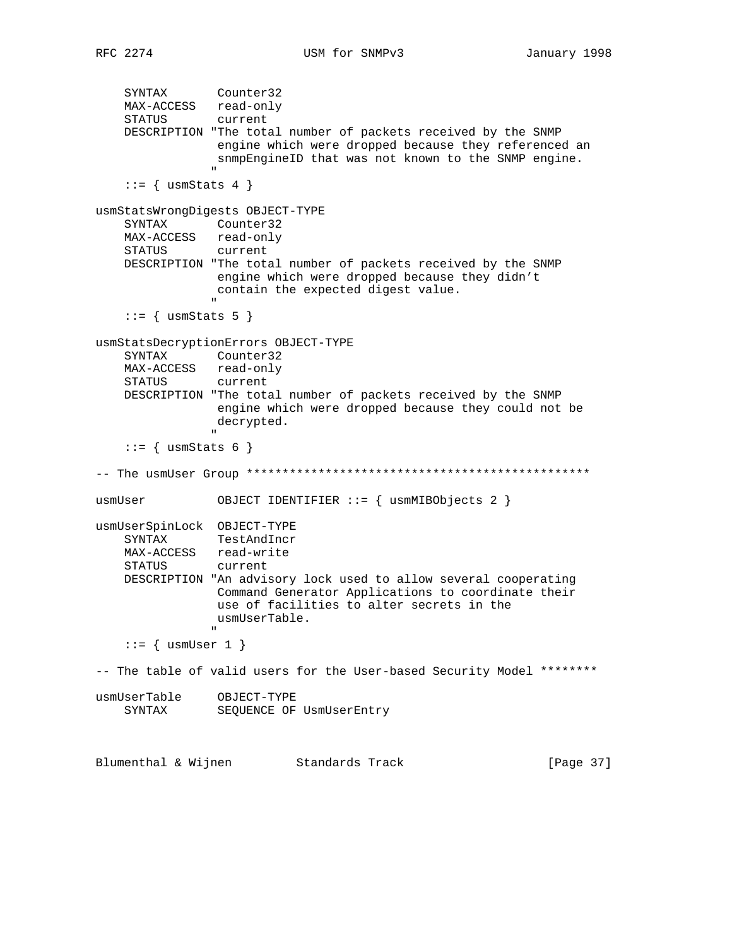```
 SYNTAX Counter32
 MAX-ACCESS read-only
 STATUS current
     DESCRIPTION "The total number of packets received by the SNMP
                     engine which were dropped because they referenced an
                     snmpEngineID that was not known to the SNMP engine.
" "The contract of the contract of the contract of the contract of the contract of the contract of the contract of the contract of the contract of the contract of the contract of the contract of the contract of the contrac
     ::= { usmStats 4 }
usmStatsWrongDigests OBJECT-TYPE
     SYNTAX Counter32
    MAX-ACCESS read-only<br>STATUS current
    STATUS
     DESCRIPTION "The total number of packets received by the SNMP
                     engine which were dropped because they didn't
                     contain the expected digest value.
" "The contract of the contract of the contract of the contract of the contract of the contract of the contract of the contract of the contract of the contract of the contract of the contract of the contract of the contrac
     ::= { usmStats 5 }
usmStatsDecryptionErrors OBJECT-TYPE
     SYNTAX Counter32
     MAX-ACCESS read-only
     STATUS current
     DESCRIPTION "The total number of packets received by the SNMP
                     engine which were dropped because they could not be
                     decrypted.
 "
     ::= { usmStats 6 }
-- The usmUser Group ************************************************
usmUser OBJECT IDENTIFIER ::= { usmMIBObjects 2 }
usmUserSpinLock OBJECT-TYPE
     SYNTAX TestAndIncr
     MAX-ACCESS read-write
     STATUS current
     DESCRIPTION "An advisory lock used to allow several cooperating
                     Command Generator Applications to coordinate their
                     use of facilities to alter secrets in the
                     usmUserTable.
 "
     ::= { usmUser 1 }
-- The table of valid users for the User-based Security Model ********
usmUserTable OBJECT-TYPE
    SYNTAX SEQUENCE OF UsmUserEntry
Blumenthal & Wijnen Standards Track [Page 37]
```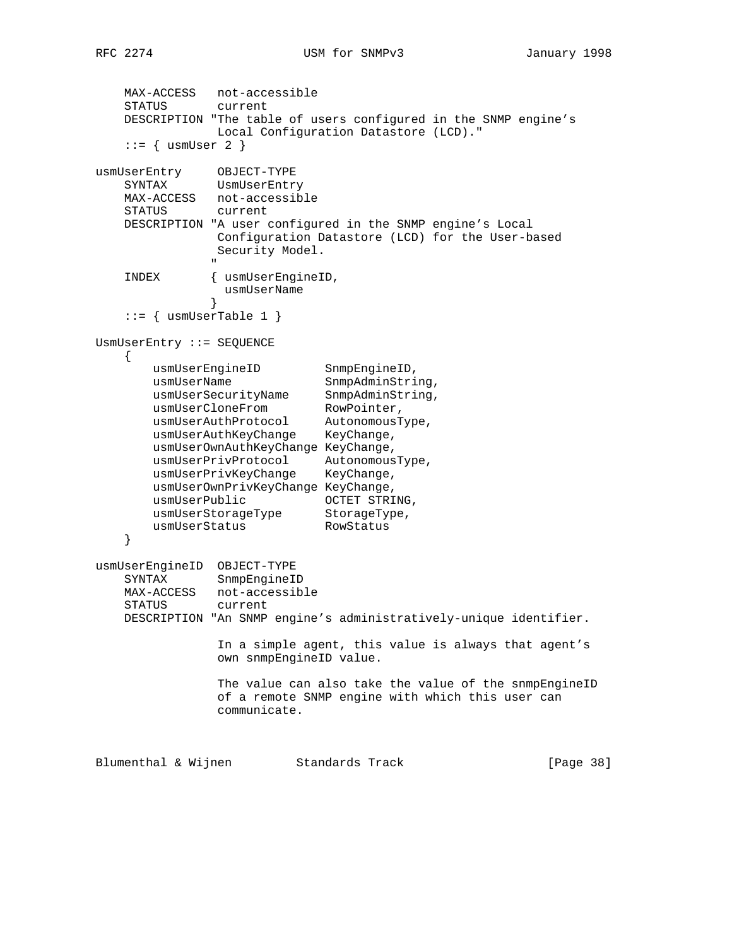```
 MAX-ACCESS not-accessible
     STATUS current
    DESCRIPTION "The table of users configured in the SNMP engine's
                 Local Configuration Datastore (LCD)."
    ::= { usmUser 2 }
usmUserEntry OBJECT-TYPE
 SYNTAX UsmUserEntry
    MAX-ACCESS not-accessible
    STATUS current
    DESCRIPTION "A user configured in the SNMP engine's Local
                Configuration Datastore (LCD) for the User-based
                 Security Model.
" "The contract of the contract of the contract of the contract of the contract of the contract of the contract of the contract of the contract of the contract of the contract of the contract of the contract of the contrac
     INDEX { usmUserEngineID,
                  usmUserName
 }
    ::= { usmUserTable 1 }
UsmUserEntry ::= SEQUENCE
     {
usmUserEngineID SnmpEngineID,
usmUserName SnmpAdminString,
 usmUserSecurityName SnmpAdminString,
usmUserCloneFrom RowPointer,
 usmUserAuthProtocol AutonomousType,
 usmUserAuthKeyChange KeyChange,
        usmUserOwnAuthKeyChange KeyChange,
 usmUserPrivProtocol AutonomousType,
 usmUserPrivKeyChange KeyChange,
        usmUserOwnPrivKeyChange KeyChange,
usmUserPublic CCTET STRING,
 usmUserStorageType StorageType,
usmUserStatus RowStatus
     }
usmUserEngineID OBJECT-TYPE
 SYNTAX SnmpEngineID
    MAX-ACCESS not-accessible
     STATUS current
    DESCRIPTION "An SNMP engine's administratively-unique identifier.
                 In a simple agent, this value is always that agent's
                 own snmpEngineID value.
                 The value can also take the value of the snmpEngineID
                 of a remote SNMP engine with which this user can
                 communicate.
Blumenthal & Wijnen Standards Track [Page 38]
```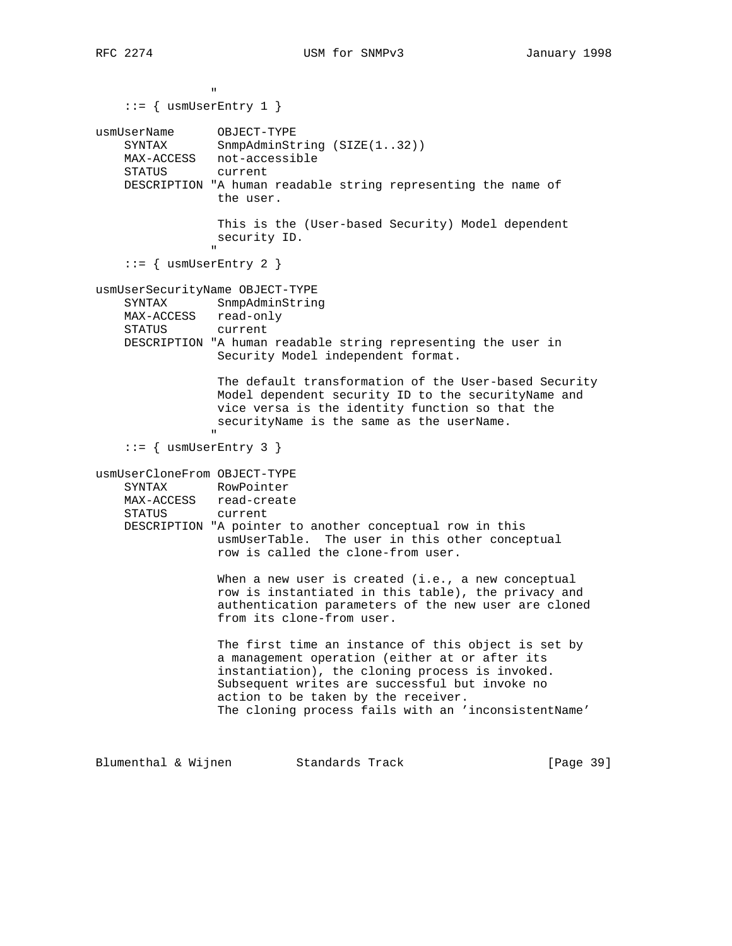" "The contract of the contract of the contract of the contract of the contract of the contract of the contract of the contract of the contract of the contract of the contract of the contract of the contract of the contrac ::= { usmUserEntry 1 } usmUserName OBJECT-TYPE SYNTAX SnmpAdminString (SIZE(1..32)) MAX-ACCESS not-accessible STATUS current DESCRIPTION "A human readable string representing the name of the user. This is the (User-based Security) Model dependent security ID. " "The contract of the contract of the contract of the contract of the contract of the contract of the contract of the contract of the contract of the contract of the contract of the contract of the contract of the contrac  $::=$  { usmUserEntry 2 } usmUserSecurityName OBJECT-TYPE SYNTAX SnmpAdminString MAX-ACCESS read-only STATUS current DESCRIPTION "A human readable string representing the user in Security Model independent format. The default transformation of the User-based Security Model dependent security ID to the securityName and vice versa is the identity function so that the securityName is the same as the userName. " ::= { usmUserEntry 3 } usmUserCloneFrom OBJECT-TYPE SYNTAX RowPointer MAX-ACCESS read-create STATUS current DESCRIPTION "A pointer to another conceptual row in this usmUserTable. The user in this other conceptual row is called the clone-from user. When a new user is created (i.e., a new conceptual row is instantiated in this table), the privacy and authentication parameters of the new user are cloned from its clone-from user. The first time an instance of this object is set by a management operation (either at or after its instantiation), the cloning process is invoked. Subsequent writes are successful but invoke no action to be taken by the receiver. The cloning process fails with an 'inconsistentName'

Blumenthal & Wijnen Standards Track [Page 39]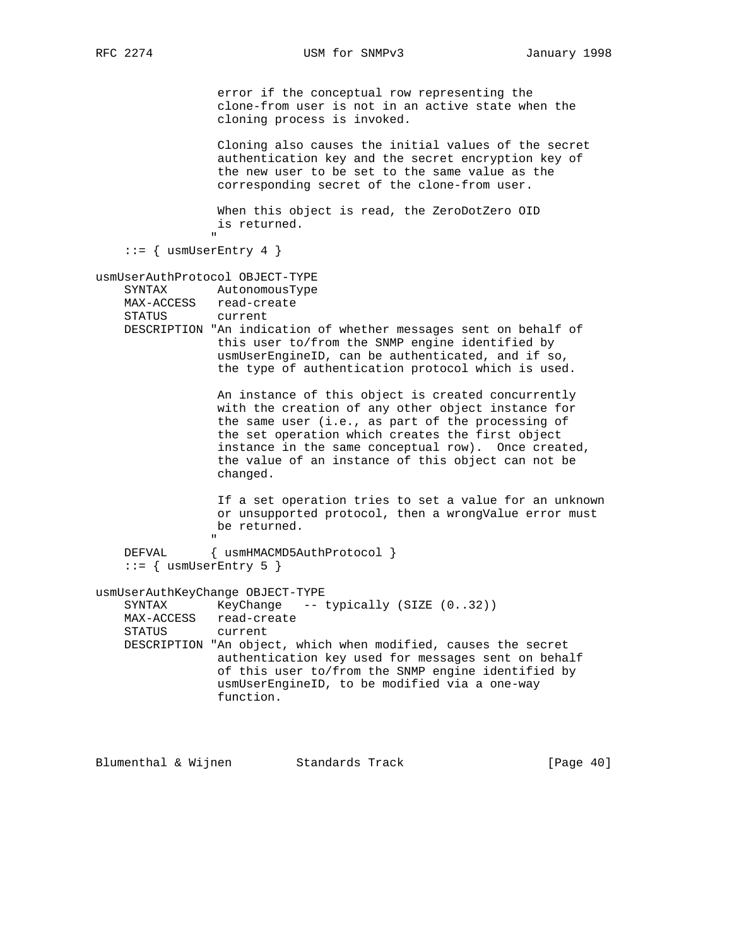error if the conceptual row representing the clone-from user is not in an active state when the cloning process is invoked. Cloning also causes the initial values of the secret authentication key and the secret encryption key of the new user to be set to the same value as the corresponding secret of the clone-from user. When this object is read, the ZeroDotZero OID is returned. " ::= { usmUserEntry 4 } usmUserAuthProtocol OBJECT-TYPE SYNTAX AutonomousType MAX-ACCESS read-create STATUS current DESCRIPTION "An indication of whether messages sent on behalf of

 this user to/from the SNMP engine identified by usmUserEngineID, can be authenticated, and if so, the type of authentication protocol which is used.

> An instance of this object is created concurrently with the creation of any other object instance for the same user (i.e., as part of the processing of the set operation which creates the first object instance in the same conceptual row). Once created, the value of an instance of this object can not be changed.

 If a set operation tries to set a value for an unknown or unsupported protocol, then a wrongValue error must be returned.

" "The contract of the contract of the contract of the contract of the contract of the contract of the contract of the contract of the contract of the contract of the contract of the contract of the contract of the contrac DEFVAL { usmHMACMD5AuthProtocol }  $::=$  { usmUserEntry 5 }

usmUserAuthKeyChange OBJECT-TYPE

SYNTAX KeyChange -- typically (SIZE (0..32)) MAX-ACCESS read-create STATUS current DESCRIPTION "An object, which when modified, causes the secret authentication key used for messages sent on behalf of this user to/from the SNMP engine identified by usmUserEngineID, to be modified via a one-way function.

Blumenthal & Wijnen Standards Track [Page 40]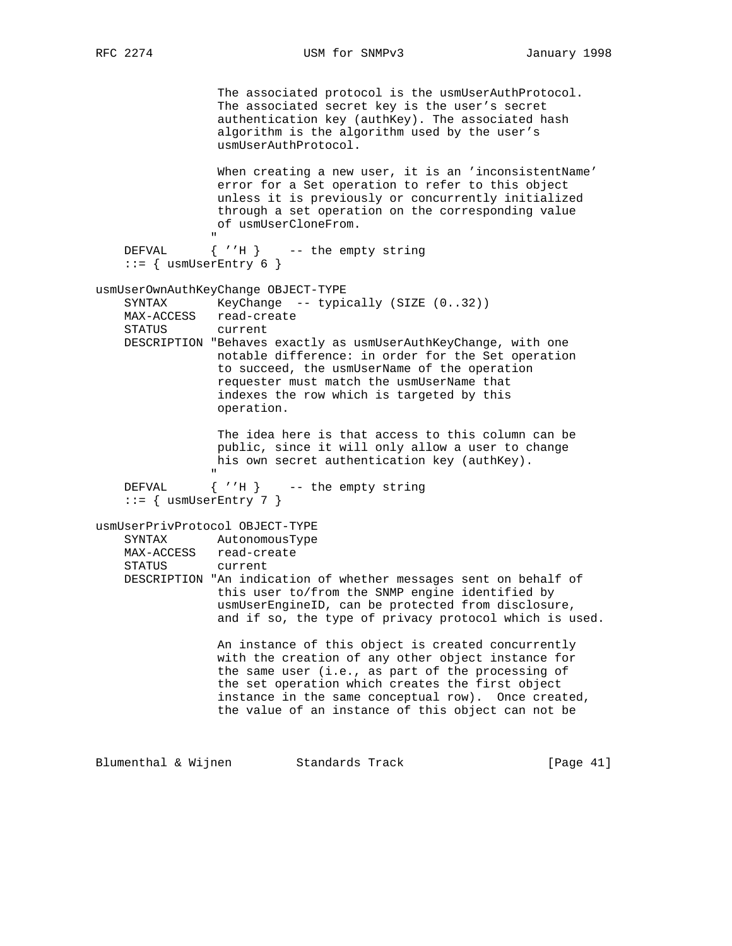RFC 2274 USM for SNMPv3 January 1998

 The associated protocol is the usmUserAuthProtocol. The associated secret key is the user's secret authentication key (authKey). The associated hash algorithm is the algorithm used by the user's usmUserAuthProtocol. When creating a new user, it is an 'inconsistentName' error for a Set operation to refer to this object unless it is previously or concurrently initialized through a set operation on the corresponding value of usmUserCloneFrom. " DEFVAL { ''H } -- the empty string  $::=$  { usmUserEntry 6 } usmUserOwnAuthKeyChange OBJECT-TYPE SYNTAX KeyChange -- typically (SIZE (0..32)) MAX-ACCESS read-create STATUS current DESCRIPTION "Behaves exactly as usmUserAuthKeyChange, with one notable difference: in order for the Set operation to succeed, the usmUserName of the operation requester must match the usmUserName that indexes the row which is targeted by this operation. The idea here is that access to this column can be public, since it will only allow a user to change his own secret authentication key (authKey). " DEFVAL { ''H } -- the empty string  $::=$  { usmUserEntry 7 } usmUserPrivProtocol OBJECT-TYPE SYNTAX AutonomousType MAX-ACCESS read-create STATUS current DESCRIPTION "An indication of whether messages sent on behalf of this user to/from the SNMP engine identified by usmUserEngineID, can be protected from disclosure, and if so, the type of privacy protocol which is used. An instance of this object is created concurrently with the creation of any other object instance for the same user (i.e., as part of the processing of the set operation which creates the first object instance in the same conceptual row). Once created, the value of an instance of this object can not be

Blumenthal & Wijnen Standards Track [Page 41]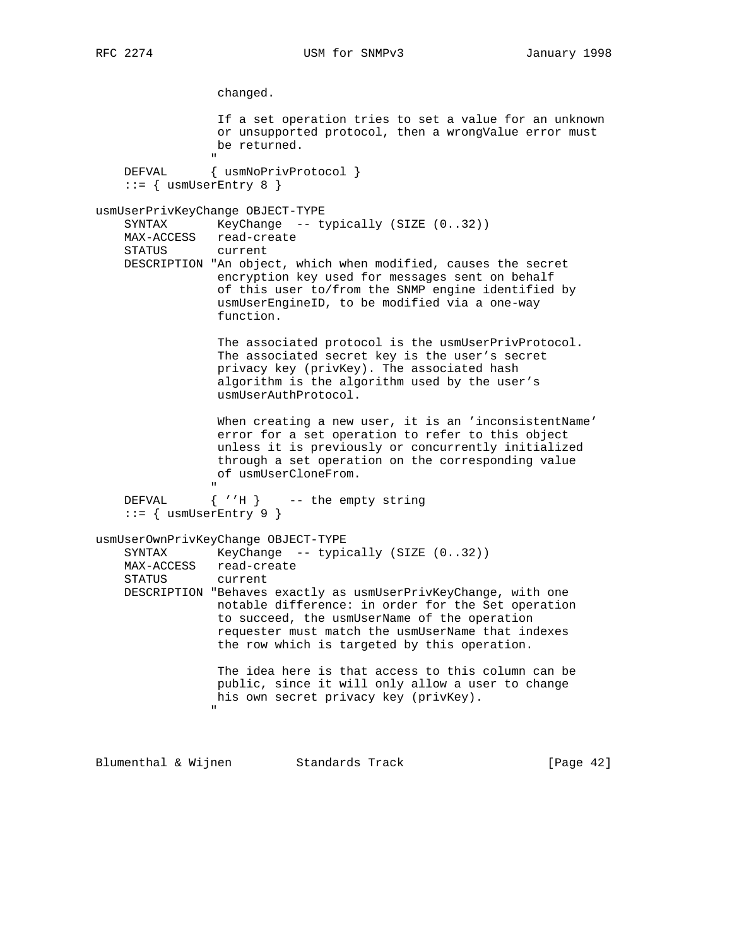changed. If a set operation tries to set a value for an unknown or unsupported protocol, then a wrongValue error must be returned. " DEFVAL { usmNoPrivProtocol }  $::= \{$  usmUserEntry 8  $\}$ usmUserPrivKeyChange OBJECT-TYPE SYNTAX KeyChange -- typically (SIZE (0..32)) MAX-ACCESS read-create STATUS current DESCRIPTION "An object, which when modified, causes the secret encryption key used for messages sent on behalf of this user to/from the SNMP engine identified by usmUserEngineID, to be modified via a one-way function. The associated protocol is the usmUserPrivProtocol. The associated secret key is the user's secret privacy key (privKey). The associated hash algorithm is the algorithm used by the user's usmUserAuthProtocol. When creating a new user, it is an 'inconsistentName' error for a set operation to refer to this object unless it is previously or concurrently initialized through a set operation on the corresponding value of usmUserCloneFrom. " "The contract of the contract of the contract of the contract of the contract of the contract of the contract of the contract of the contract of the contract of the contract of the contract of the contract of the contrac DEFVAL  $\{ 'H \}$  -- the empty string  $::=$  { usmUserEntry 9 } usmUserOwnPrivKeyChange OBJECT-TYPE SYNTAX KeyChange -- typically (SIZE (0..32)) MAX-ACCESS read-create STATUS current DESCRIPTION "Behaves exactly as usmUserPrivKeyChange, with one notable difference: in order for the Set operation to succeed, the usmUserName of the operation requester must match the usmUserName that indexes the row which is targeted by this operation. The idea here is that access to this column can be public, since it will only allow a user to change his own secret privacy key (privKey). "

Blumenthal & Wijnen Standards Track [Page 42]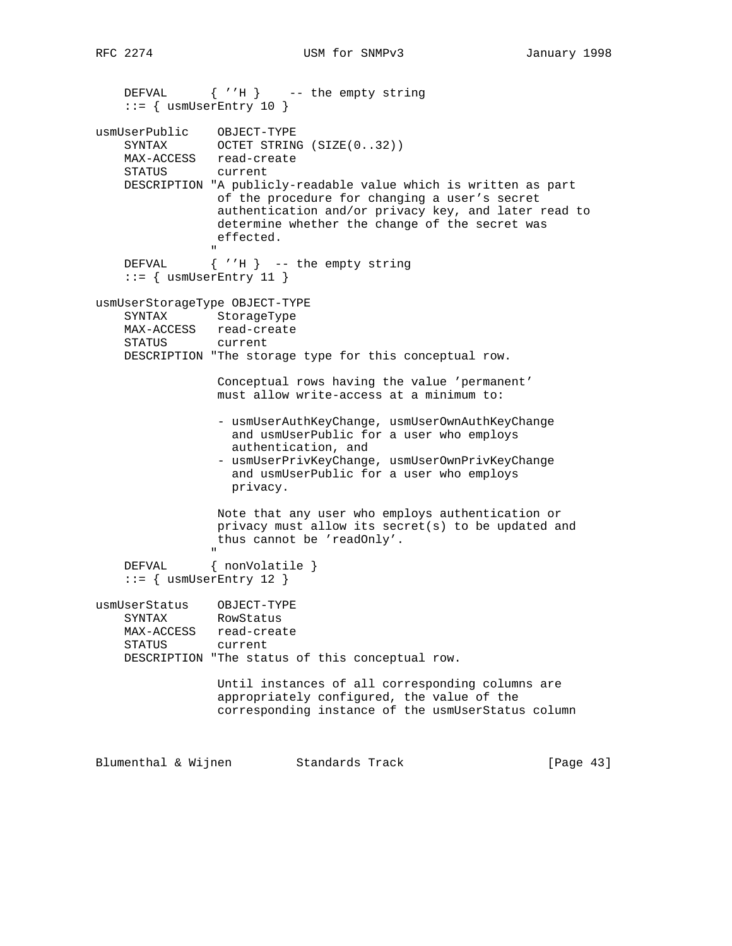```
 DEFVAL { ''H } -- the empty string
     ::= { usmUserEntry 10 }
usmUserPublic OBJECT-TYPE
    SYNTAX OCTET STRING (SIZE(0..32))
     MAX-ACCESS read-create
     STATUS current
     DESCRIPTION "A publicly-readable value which is written as part
                  of the procedure for changing a user's secret
                   authentication and/or privacy key, and later read to
                   determine whether the change of the secret was
                   effected.
" "The contract of the contract of the contract of the contract of the contract of the contract of the contract of the contract of the contract of the contract of the contract of the contract of the contract of the contrac
    DEFVAL \{ 'H \} -- the empty string
     ::= { usmUserEntry 11 }
usmUserStorageType OBJECT-TYPE
     SYNTAX StorageType
     MAX-ACCESS read-create
     STATUS current
     DESCRIPTION "The storage type for this conceptual row.
                   Conceptual rows having the value 'permanent'
                   must allow write-access at a minimum to:
                    - usmUserAuthKeyChange, usmUserOwnAuthKeyChange
                      and usmUserPublic for a user who employs
                      authentication, and
                    - usmUserPrivKeyChange, usmUserOwnPrivKeyChange
                      and usmUserPublic for a user who employs
                      privacy.
                   Note that any user who employs authentication or
                   privacy must allow its secret(s) to be updated and
                   thus cannot be 'readOnly'.
 "
    DEFVAL { nonVolatile }
    ::= { usmUserEntry 12 }
usmUserStatus OBJECT-TYPE
     SYNTAX RowStatus
     MAX-ACCESS read-create
     STATUS current
     DESCRIPTION "The status of this conceptual row.
                   Until instances of all corresponding columns are
                   appropriately configured, the value of the
                   corresponding instance of the usmUserStatus column
```
Blumenthal & Wijnen Standards Track [Page 43]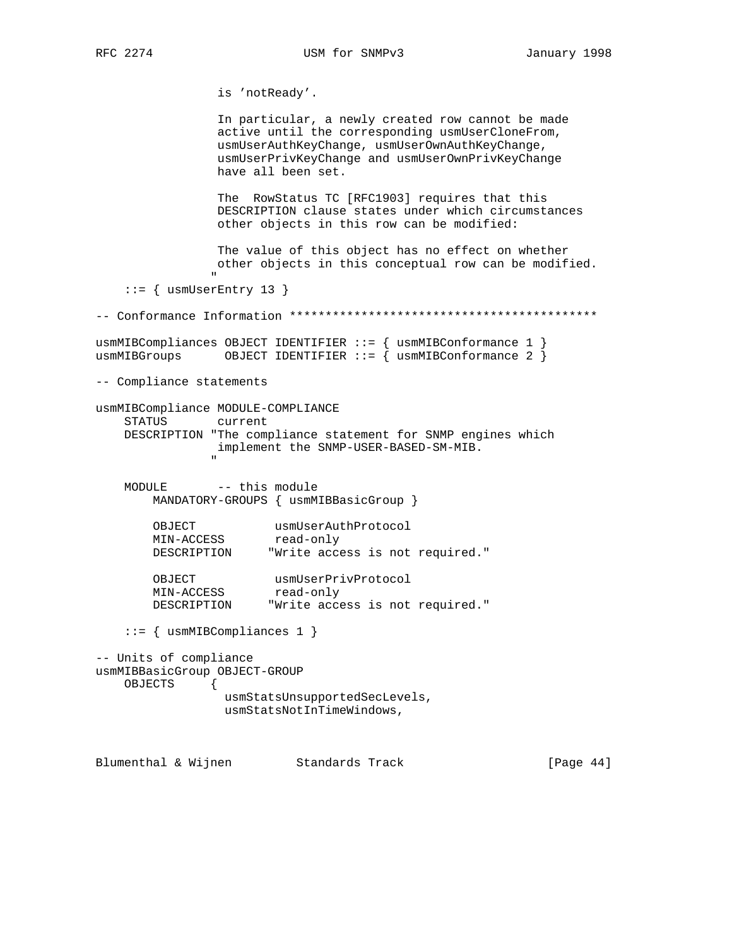is 'notReady'.

 In particular, a newly created row cannot be made active until the corresponding usmUserCloneFrom, usmUserAuthKeyChange, usmUserOwnAuthKeyChange, usmUserPrivKeyChange and usmUserOwnPrivKeyChange have all been set.

 The RowStatus TC [RFC1903] requires that this DESCRIPTION clause states under which circumstances other objects in this row can be modified:

 The value of this object has no effect on whether other objects in this conceptual row can be modified.

::= { usmUserEntry 13 }

"

-- Conformance Information \*\*\*\*\*\*\*\*\*\*\*\*\*\*\*\*\*\*\*\*\*\*\*\*\*\*\*\*\*\*\*\*\*\*\*\*\*\*\*\*\*\*\* usmMIBCompliances OBJECT IDENTIFIER ::= { usmMIBConformance 1 } usmMIBGroups OBJECT IDENTIFIER ::= { usmMIBConformance 2 } -- Compliance statements usmMIBCompliance MODULE-COMPLIANCE STATUS current DESCRIPTION "The compliance statement for SNMP engines which implement the SNMP-USER-BASED-SM-MIB. " "The contract of the contract of the contract of the contract of the contract of the contract of the contract of the contract of the contract of the contract of the contract of the contract of the contract of the contrac MODULE -- this module MANDATORY-GROUPS { usmMIBBasicGroup }

| OBJECT      | usmUserAuthProtocol             |  |  |
|-------------|---------------------------------|--|--|
| MIN-ACCESS  | read-only                       |  |  |
| DESCRIPTION | "Write access is not required." |  |  |

| OBJECT      | usmUserPrivProtocol             |  |  |
|-------------|---------------------------------|--|--|
| MIN-ACCESS  | read-only                       |  |  |
| DESCRIPTION | "Write access is not required." |  |  |

::= { usmMIBCompliances 1 }

```
-- Units of compliance
usmMIBBasicGroup OBJECT-GROUP
    OBJECTS {
                  usmStatsUnsupportedSecLevels,
                  usmStatsNotInTimeWindows,
```
Blumenthal & Wijnen Standards Track [Page 44]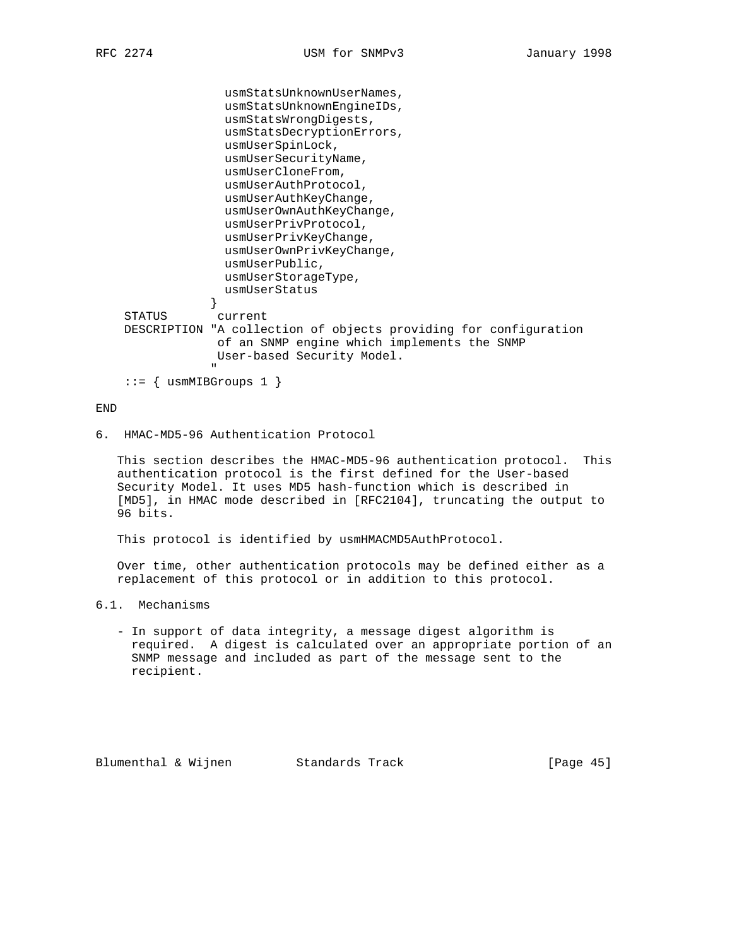usmStatsUnknownUserNames, usmStatsUnknownEngineIDs, usmStatsWrongDigests, usmStatsDecryptionErrors, usmUserSpinLock, usmUserSecurityName, usmUserCloneFrom, usmUserAuthProtocol, usmUserAuthKeyChange, usmUserOwnAuthKeyChange, usmUserPrivProtocol, usmUserPrivKeyChange, usmUserOwnPrivKeyChange, usmUserPublic, usmUserStorageType, usmUserStatus } STATUS current DESCRIPTION "A collection of objects providing for configuration of an SNMP engine which implements the SNMP User-based Security Model. " "The contract of the contract of the contract of the contract of the contract of the contract of the contract of the contract of the contract of the contract of the contract of the contract of the contract of the contrac

 $::=$  { usmMIBGroups 1 }

# END

6. HMAC-MD5-96 Authentication Protocol

 This section describes the HMAC-MD5-96 authentication protocol. This authentication protocol is the first defined for the User-based Security Model. It uses MD5 hash-function which is described in [MD5], in HMAC mode described in [RFC2104], truncating the output to 96 bits.

This protocol is identified by usmHMACMD5AuthProtocol.

 Over time, other authentication protocols may be defined either as a replacement of this protocol or in addition to this protocol.

- 6.1. Mechanisms
	- In support of data integrity, a message digest algorithm is required. A digest is calculated over an appropriate portion of an SNMP message and included as part of the message sent to the recipient.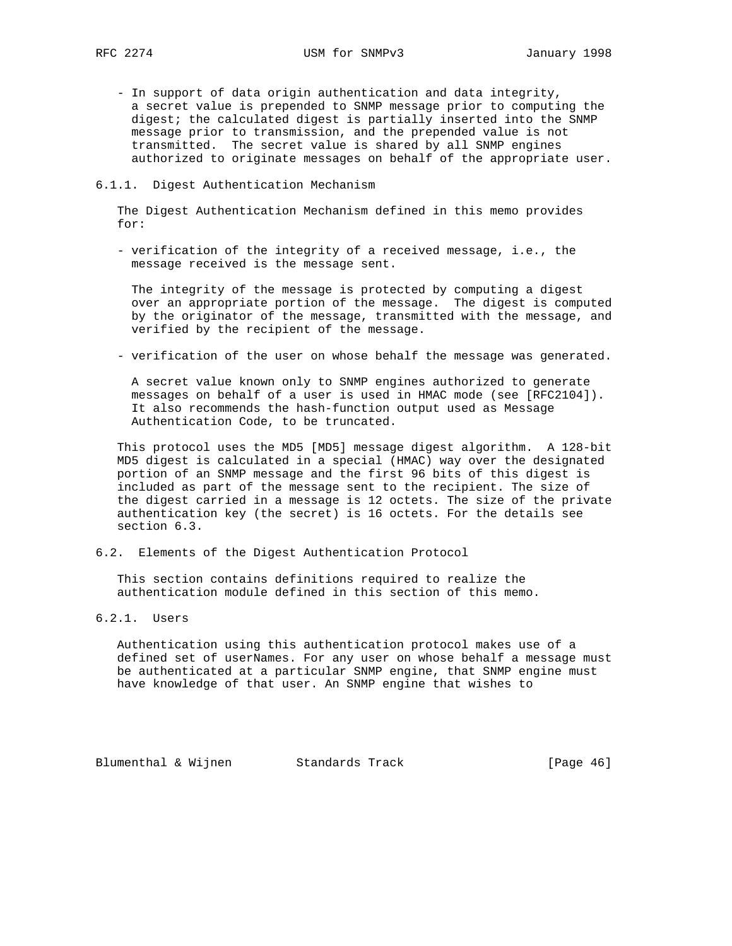- In support of data origin authentication and data integrity, a secret value is prepended to SNMP message prior to computing the digest; the calculated digest is partially inserted into the SNMP message prior to transmission, and the prepended value is not transmitted. The secret value is shared by all SNMP engines authorized to originate messages on behalf of the appropriate user.

#### 6.1.1. Digest Authentication Mechanism

 The Digest Authentication Mechanism defined in this memo provides for:

 - verification of the integrity of a received message, i.e., the message received is the message sent.

 The integrity of the message is protected by computing a digest over an appropriate portion of the message. The digest is computed by the originator of the message, transmitted with the message, and verified by the recipient of the message.

- verification of the user on whose behalf the message was generated.

 A secret value known only to SNMP engines authorized to generate messages on behalf of a user is used in HMAC mode (see [RFC2104]). It also recommends the hash-function output used as Message Authentication Code, to be truncated.

 This protocol uses the MD5 [MD5] message digest algorithm. A 128-bit MD5 digest is calculated in a special (HMAC) way over the designated portion of an SNMP message and the first 96 bits of this digest is included as part of the message sent to the recipient. The size of the digest carried in a message is 12 octets. The size of the private authentication key (the secret) is 16 octets. For the details see section 6.3.

6.2. Elements of the Digest Authentication Protocol

 This section contains definitions required to realize the authentication module defined in this section of this memo.

# 6.2.1. Users

 Authentication using this authentication protocol makes use of a defined set of userNames. For any user on whose behalf a message must be authenticated at a particular SNMP engine, that SNMP engine must have knowledge of that user. An SNMP engine that wishes to

Blumenthal & Wijnen Standards Track [Page 46]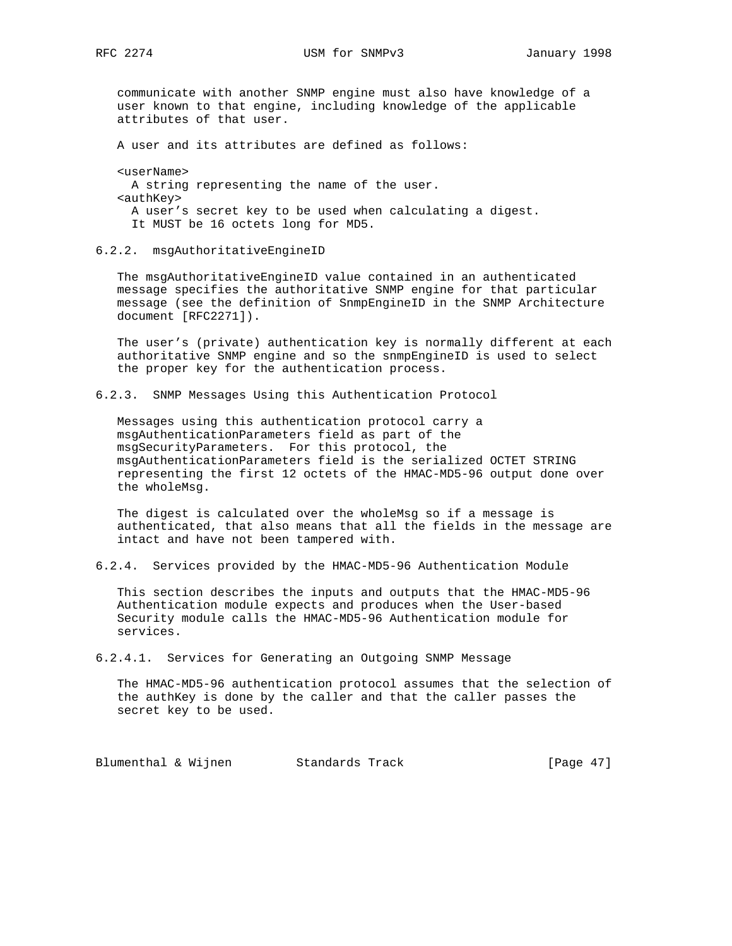communicate with another SNMP engine must also have knowledge of a user known to that engine, including knowledge of the applicable attributes of that user.

A user and its attributes are defined as follows:

 <userName> A string representing the name of the user. <authKey> A user's secret key to be used when calculating a digest. It MUST be 16 octets long for MD5.

6.2.2. msgAuthoritativeEngineID

 The msgAuthoritativeEngineID value contained in an authenticated message specifies the authoritative SNMP engine for that particular message (see the definition of SnmpEngineID in the SNMP Architecture document [RFC2271]).

 The user's (private) authentication key is normally different at each authoritative SNMP engine and so the snmpEngineID is used to select the proper key for the authentication process.

6.2.3. SNMP Messages Using this Authentication Protocol

 Messages using this authentication protocol carry a msgAuthenticationParameters field as part of the msgSecurityParameters. For this protocol, the msgAuthenticationParameters field is the serialized OCTET STRING representing the first 12 octets of the HMAC-MD5-96 output done over the wholeMsg.

 The digest is calculated over the wholeMsg so if a message is authenticated, that also means that all the fields in the message are intact and have not been tampered with.

6.2.4. Services provided by the HMAC-MD5-96 Authentication Module

 This section describes the inputs and outputs that the HMAC-MD5-96 Authentication module expects and produces when the User-based Security module calls the HMAC-MD5-96 Authentication module for services.

6.2.4.1. Services for Generating an Outgoing SNMP Message

 The HMAC-MD5-96 authentication protocol assumes that the selection of the authKey is done by the caller and that the caller passes the secret key to be used.

Blumenthal & Wijnen Standards Track [Page 47]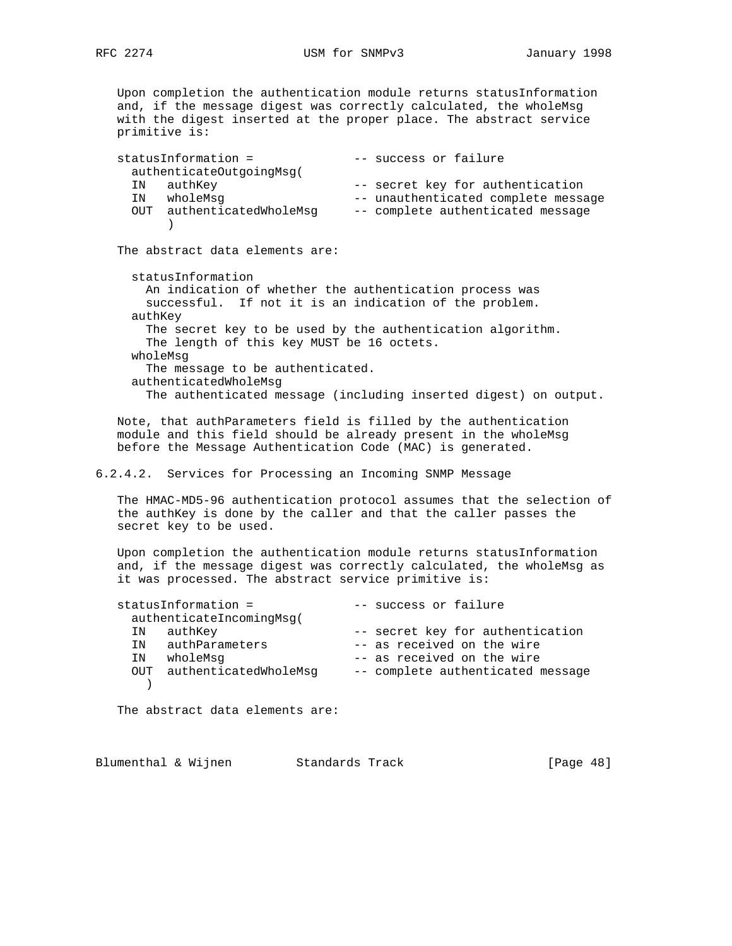Upon completion the authentication module returns statusInformation and, if the message digest was correctly calculated, the wholeMsg with the digest inserted at the proper place. The abstract service primitive is: statusInformation =  $--$  success or failure authenticateOutgoingMsg( IN authKey -- secret key for authentication IN wholeMsg -- unauthenticated complete message OUT authenticatedWholeMsg -- complete authenticated message ) The abstract data elements are: statusInformation An indication of whether the authentication process was successful. If not it is an indication of the problem. authKey The secret key to be used by the authentication algorithm. The length of this key MUST be 16 octets. wholeMsg The message to be authenticated. authenticatedWholeMsg The authenticated message (including inserted digest) on output. Note, that authParameters field is filled by the authentication module and this field should be already present in the wholeMsg before the Message Authentication Code (MAC) is generated. 6.2.4.2. Services for Processing an Incoming SNMP Message The HMAC-MD5-96 authentication protocol assumes that the selection of the authKey is done by the caller and that the caller passes the secret key to be used. Upon completion the authentication module returns statusInformation and, if the message digest was correctly calculated, the wholeMsg as it was processed. The abstract service primitive is: statusInformation =  $---$  success or failure authenticateIncomingMsg( IN authKey -- secret key for authentication IN authParameters -- as received on the wire<br>-- as received on the wire IN wholeMsg  $-$  as received on the wire OUT authenticatedWholeMsg -- complete authenticated message  $\rightarrow$ The abstract data elements are:

Blumenthal & Wijnen Standards Track [Page 48]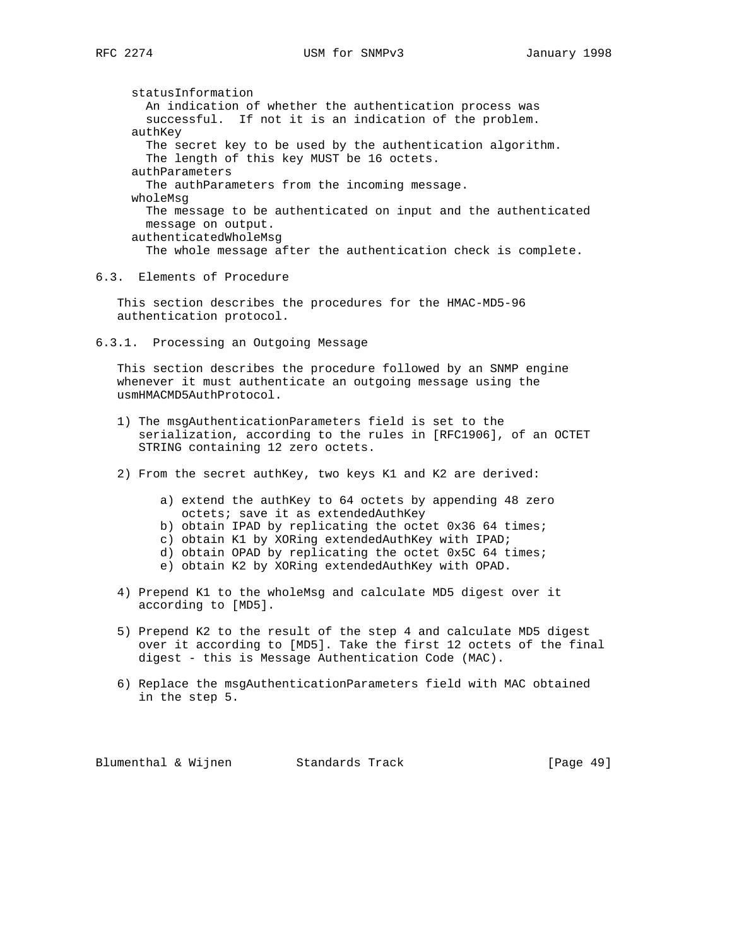statusInformation An indication of whether the authentication process was successful. If not it is an indication of the problem. authKey The secret key to be used by the authentication algorithm. The length of this key MUST be 16 octets. authParameters The authParameters from the incoming message. wholeMsg The message to be authenticated on input and the authenticated message on output. authenticatedWholeMsg The whole message after the authentication check is complete.

6.3. Elements of Procedure

 This section describes the procedures for the HMAC-MD5-96 authentication protocol.

6.3.1. Processing an Outgoing Message

 This section describes the procedure followed by an SNMP engine whenever it must authenticate an outgoing message using the usmHMACMD5AuthProtocol.

- 1) The msgAuthenticationParameters field is set to the serialization, according to the rules in [RFC1906], of an OCTET STRING containing 12 zero octets.
- 2) From the secret authKey, two keys K1 and K2 are derived:
	- a) extend the authKey to 64 octets by appending 48 zero octets; save it as extendedAuthKey
	- b) obtain IPAD by replicating the octet 0x36 64 times;
	- c) obtain K1 by XORing extendedAuthKey with IPAD;
	- d) obtain OPAD by replicating the octet 0x5C 64 times;
	- e) obtain K2 by XORing extendedAuthKey with OPAD.
- 4) Prepend K1 to the wholeMsg and calculate MD5 digest over it according to [MD5].
- 5) Prepend K2 to the result of the step 4 and calculate MD5 digest over it according to [MD5]. Take the first 12 octets of the final digest - this is Message Authentication Code (MAC).
- 6) Replace the msgAuthenticationParameters field with MAC obtained in the step 5.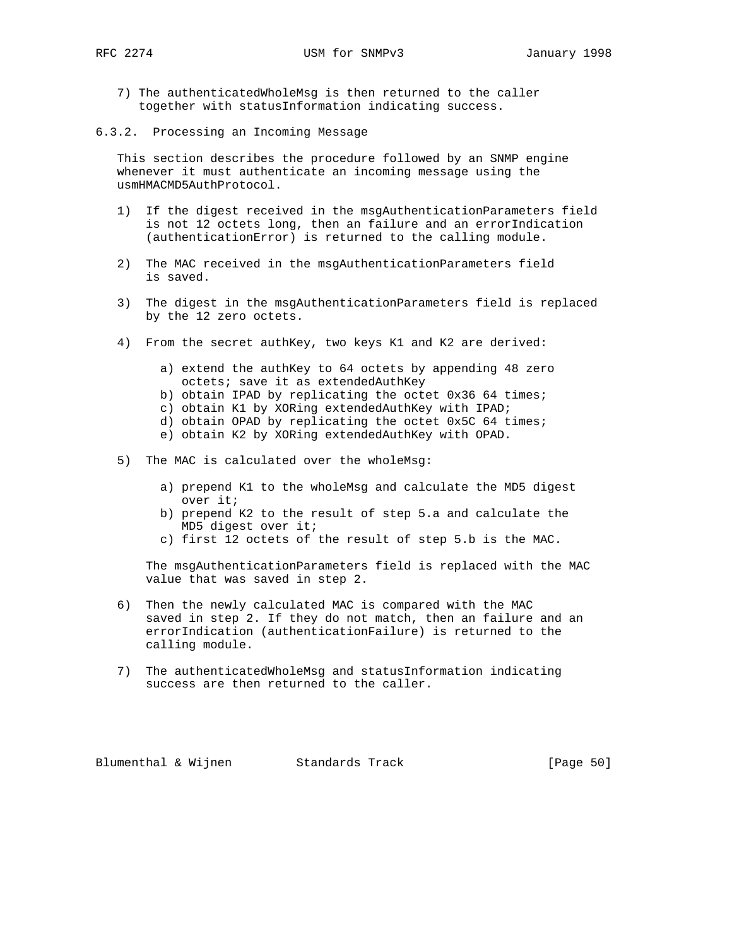- 7) The authenticatedWholeMsg is then returned to the caller together with statusInformation indicating success.
- 6.3.2. Processing an Incoming Message

 This section describes the procedure followed by an SNMP engine whenever it must authenticate an incoming message using the usmHMACMD5AuthProtocol.

- 1) If the digest received in the msgAuthenticationParameters field is not 12 octets long, then an failure and an errorIndication (authenticationError) is returned to the calling module.
- 2) The MAC received in the msgAuthenticationParameters field is saved.
- 3) The digest in the msgAuthenticationParameters field is replaced by the 12 zero octets.
- 4) From the secret authKey, two keys K1 and K2 are derived:
	- a) extend the authKey to 64 octets by appending 48 zero octets; save it as extendedAuthKey
	- b) obtain IPAD by replicating the octet 0x36 64 times;
	- c) obtain K1 by XORing extendedAuthKey with IPAD;
	- d) obtain OPAD by replicating the octet 0x5C 64 times;
	- e) obtain K2 by XORing extendedAuthKey with OPAD.
- 5) The MAC is calculated over the wholeMsg:
	- a) prepend K1 to the wholeMsg and calculate the MD5 digest over it;
	- b) prepend K2 to the result of step 5.a and calculate the MD5 digest over it;
	- c) first 12 octets of the result of step 5.b is the MAC.

 The msgAuthenticationParameters field is replaced with the MAC value that was saved in step 2.

- 6) Then the newly calculated MAC is compared with the MAC saved in step 2. If they do not match, then an failure and an errorIndication (authenticationFailure) is returned to the calling module.
- 7) The authenticatedWholeMsg and statusInformation indicating success are then returned to the caller.

Blumenthal & Wijnen Standards Track [Page 50]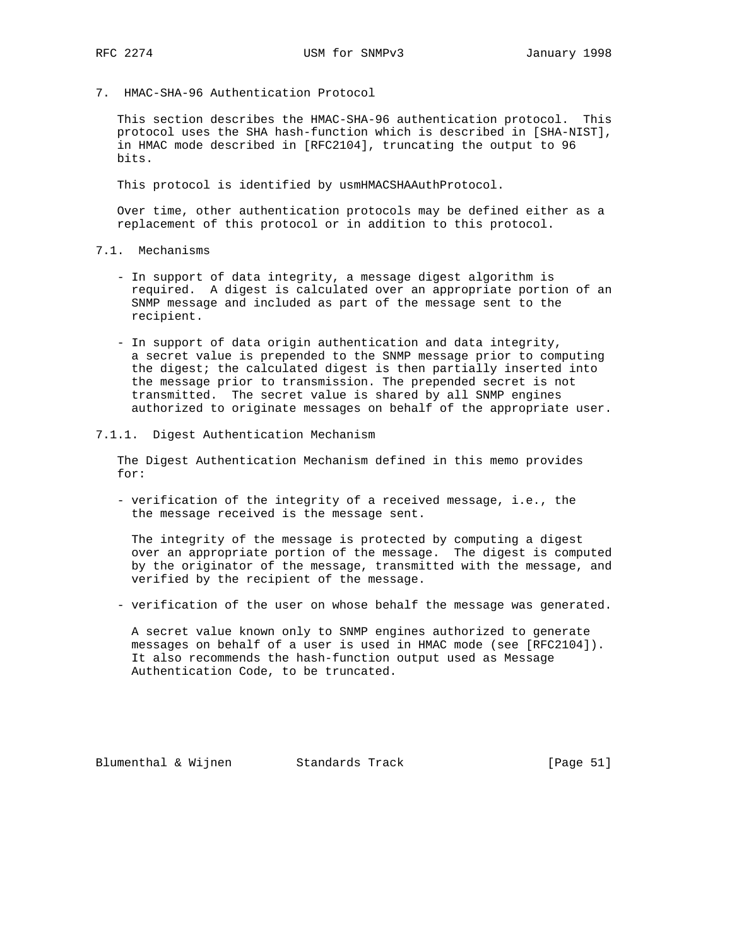7. HMAC-SHA-96 Authentication Protocol

 This section describes the HMAC-SHA-96 authentication protocol. This protocol uses the SHA hash-function which is described in [SHA-NIST], in HMAC mode described in [RFC2104], truncating the output to 96 bits.

This protocol is identified by usmHMACSHAAuthProtocol.

 Over time, other authentication protocols may be defined either as a replacement of this protocol or in addition to this protocol.

- 7.1. Mechanisms
	- In support of data integrity, a message digest algorithm is required. A digest is calculated over an appropriate portion of an SNMP message and included as part of the message sent to the recipient.
	- In support of data origin authentication and data integrity, a secret value is prepended to the SNMP message prior to computing the digest; the calculated digest is then partially inserted into the message prior to transmission. The prepended secret is not transmitted. The secret value is shared by all SNMP engines authorized to originate messages on behalf of the appropriate user.
- 7.1.1. Digest Authentication Mechanism

 The Digest Authentication Mechanism defined in this memo provides for:

 - verification of the integrity of a received message, i.e., the the message received is the message sent.

 The integrity of the message is protected by computing a digest over an appropriate portion of the message. The digest is computed by the originator of the message, transmitted with the message, and verified by the recipient of the message.

- verification of the user on whose behalf the message was generated.

 A secret value known only to SNMP engines authorized to generate messages on behalf of a user is used in HMAC mode (see [RFC2104]). It also recommends the hash-function output used as Message Authentication Code, to be truncated.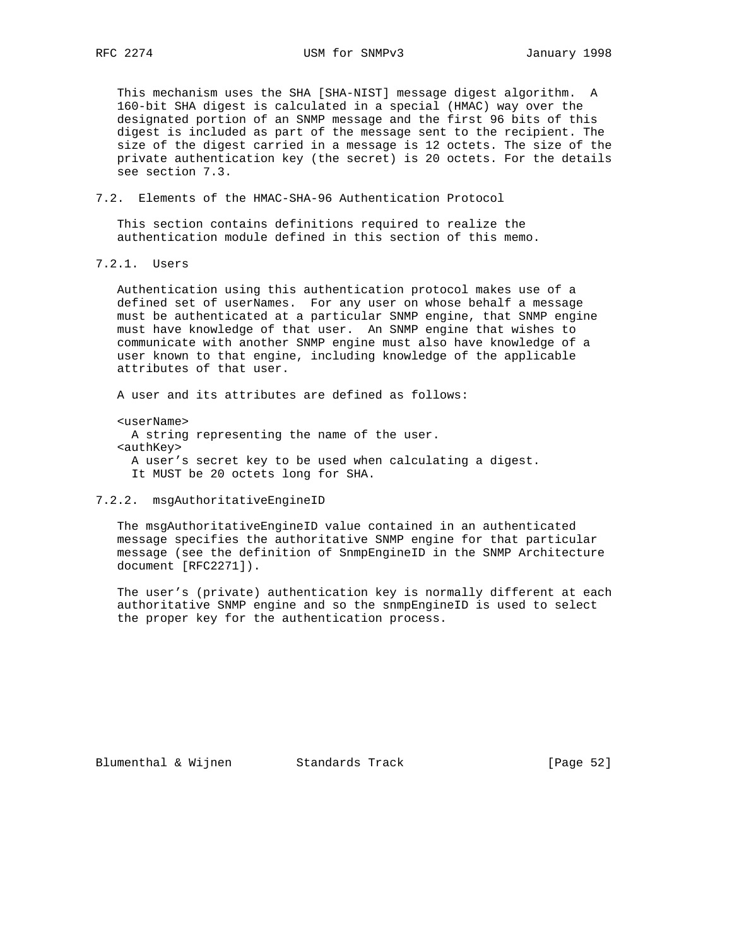This mechanism uses the SHA [SHA-NIST] message digest algorithm. A 160-bit SHA digest is calculated in a special (HMAC) way over the designated portion of an SNMP message and the first 96 bits of this digest is included as part of the message sent to the recipient. The size of the digest carried in a message is 12 octets. The size of the private authentication key (the secret) is 20 octets. For the details see section 7.3.

7.2. Elements of the HMAC-SHA-96 Authentication Protocol

 This section contains definitions required to realize the authentication module defined in this section of this memo.

7.2.1. Users

 Authentication using this authentication protocol makes use of a defined set of userNames. For any user on whose behalf a message must be authenticated at a particular SNMP engine, that SNMP engine must have knowledge of that user. An SNMP engine that wishes to communicate with another SNMP engine must also have knowledge of a user known to that engine, including knowledge of the applicable attributes of that user.

A user and its attributes are defined as follows:

<userName>

 A string representing the name of the user. <authKey> A user's secret key to be used when calculating a digest. It MUST be 20 octets long for SHA.

### 7.2.2. msgAuthoritativeEngineID

 The msgAuthoritativeEngineID value contained in an authenticated message specifies the authoritative SNMP engine for that particular message (see the definition of SnmpEngineID in the SNMP Architecture document [RFC2271]).

 The user's (private) authentication key is normally different at each authoritative SNMP engine and so the snmpEngineID is used to select the proper key for the authentication process.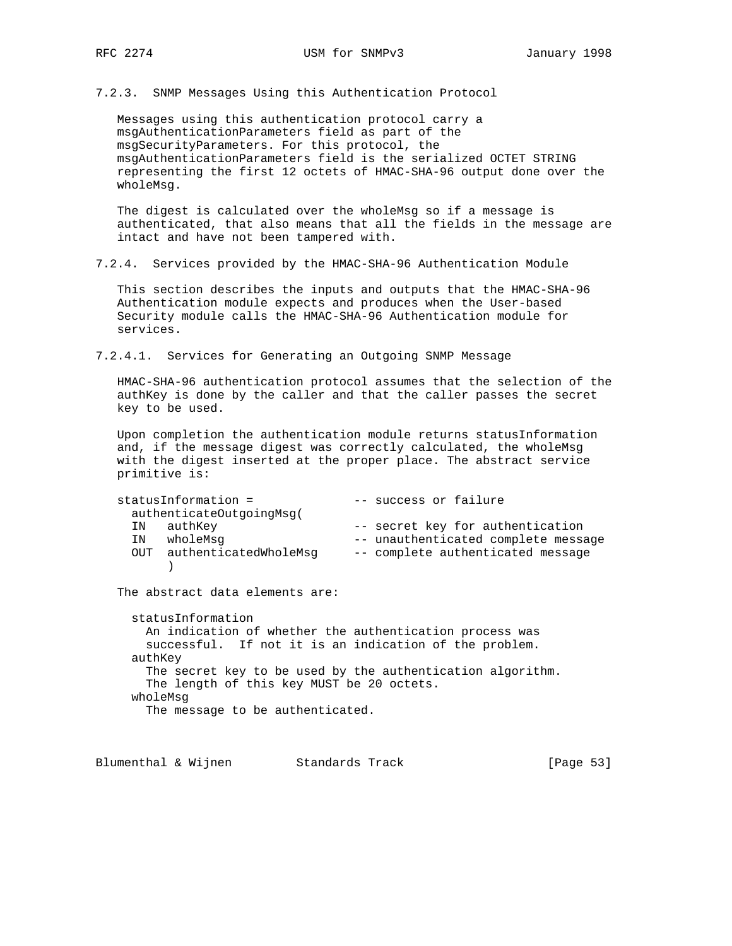7.2.3. SNMP Messages Using this Authentication Protocol

 Messages using this authentication protocol carry a msgAuthenticationParameters field as part of the msgSecurityParameters. For this protocol, the msgAuthenticationParameters field is the serialized OCTET STRING representing the first 12 octets of HMAC-SHA-96 output done over the wholeMsg.

 The digest is calculated over the wholeMsg so if a message is authenticated, that also means that all the fields in the message are intact and have not been tampered with.

7.2.4. Services provided by the HMAC-SHA-96 Authentication Module

 This section describes the inputs and outputs that the HMAC-SHA-96 Authentication module expects and produces when the User-based Security module calls the HMAC-SHA-96 Authentication module for services.

7.2.4.1. Services for Generating an Outgoing SNMP Message

 HMAC-SHA-96 authentication protocol assumes that the selection of the authKey is done by the caller and that the caller passes the secret key to be used.

 Upon completion the authentication module returns statusInformation and, if the message digest was correctly calculated, the wholeMsg with the digest inserted at the proper place. The abstract service primitive is:

| statusInformation =       | -- success or failure               |
|---------------------------|-------------------------------------|
| authenticateOutgoingMsg(  |                                     |
| IN authKey                | -- secret key for authentication    |
| wholeMsq<br>IN            | -- unauthenticated complete message |
| OUT authenticatedWholeMsq | -- complete authenticated message   |
|                           |                                     |

The abstract data elements are:

 statusInformation An indication of whether the authentication process was successful. If not it is an indication of the problem. authKey The secret key to be used by the authentication algorithm. The length of this key MUST be 20 octets. wholeMsg The message to be authenticated.

Blumenthal & Wijnen Standards Track [Page 53]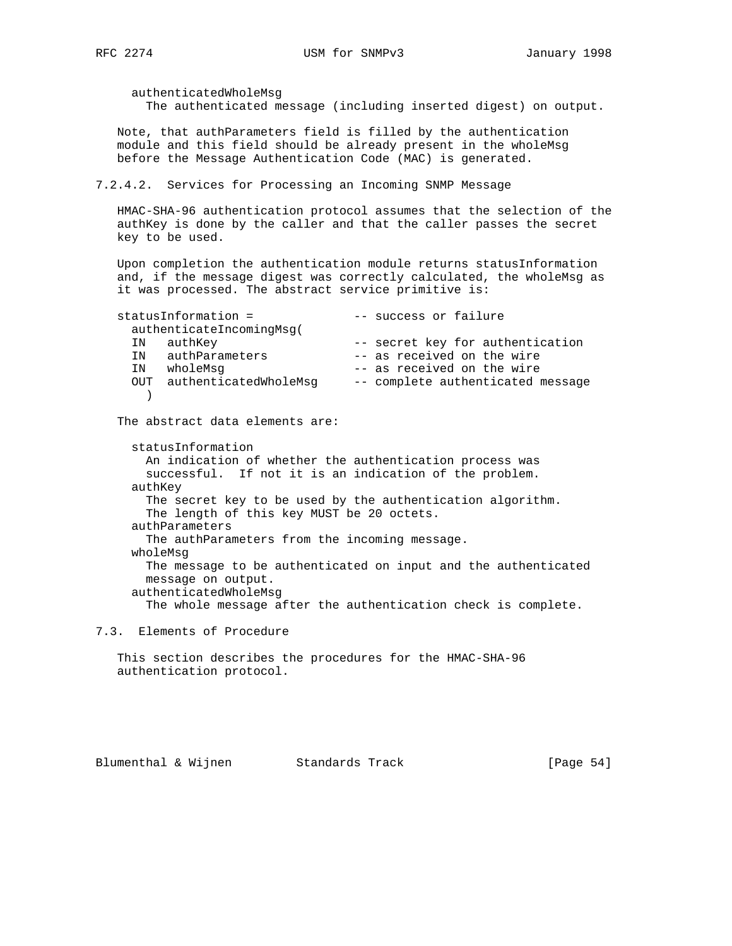Note, that authParameters field is filled by the authentication module and this field should be already present in the wholeMsg before the Message Authentication Code (MAC) is generated. 7.2.4.2. Services for Processing an Incoming SNMP Message HMAC-SHA-96 authentication protocol assumes that the selection of the key to be used. it was processed. The abstract service primitive is: statusInformation = -- success or failure authenticateIncomingMsg( IN authKey  $-$  secret key for authentication IN authParameters -- as received on the wire<br>IN authParameters -- as received on the wire IN wholeMsg -- as received on the wire OUT authenticatedWholeMsg -- complete authenticated message  $\rightarrow$  The abstract data elements are: statusInformation An indication of whether the authentication process was successful. If not it is an indication of the problem. authKey The secret key to be used by the authentication algorithm. The length of this key MUST be 20 octets. authParameters The authParameters from the incoming message. wholeMsg The message to be authenticated on input and the authenticated

message on output.

authenticatedWholeMsg

The whole message after the authentication check is complete.

7.3. Elements of Procedure

 This section describes the procedures for the HMAC-SHA-96 authentication protocol.

authenticatedWholeMsg

The authenticated message (including inserted digest) on output.

authKey is done by the caller and that the caller passes the secret

 Upon completion the authentication module returns statusInformation and, if the message digest was correctly calculated, the wholeMsg as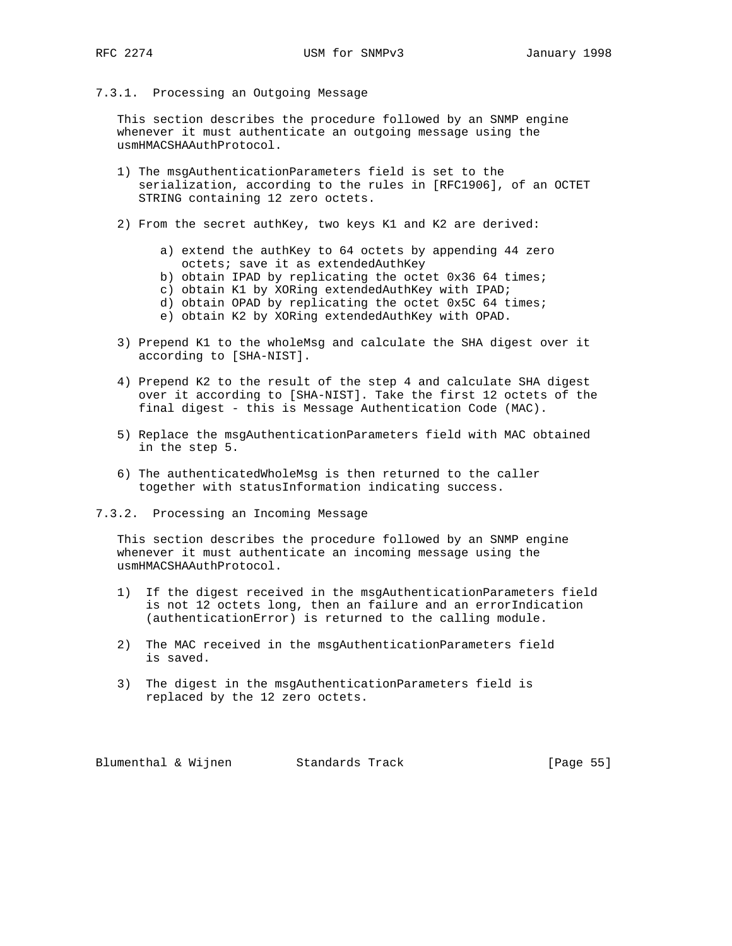7.3.1. Processing an Outgoing Message

 This section describes the procedure followed by an SNMP engine whenever it must authenticate an outgoing message using the usmHMACSHAAuthProtocol.

- 1) The msgAuthenticationParameters field is set to the serialization, according to the rules in [RFC1906], of an OCTET STRING containing 12 zero octets.
- 2) From the secret authKey, two keys K1 and K2 are derived:
	- a) extend the authKey to 64 octets by appending 44 zero octets; save it as extendedAuthKey
	- b) obtain IPAD by replicating the octet 0x36 64 times;
	- c) obtain K1 by XORing extendedAuthKey with IPAD;
	- d) obtain OPAD by replicating the octet 0x5C 64 times;
	- e) obtain K2 by XORing extendedAuthKey with OPAD.
- 3) Prepend K1 to the wholeMsg and calculate the SHA digest over it according to [SHA-NIST].
- 4) Prepend K2 to the result of the step 4 and calculate SHA digest over it according to [SHA-NIST]. Take the first 12 octets of the final digest - this is Message Authentication Code (MAC).
- 5) Replace the msgAuthenticationParameters field with MAC obtained in the step 5.
- 6) The authenticatedWholeMsg is then returned to the caller together with statusInformation indicating success.
- 7.3.2. Processing an Incoming Message

 This section describes the procedure followed by an SNMP engine whenever it must authenticate an incoming message using the usmHMACSHAAuthProtocol.

- 1) If the digest received in the msgAuthenticationParameters field is not 12 octets long, then an failure and an errorIndication (authenticationError) is returned to the calling module.
- 2) The MAC received in the msgAuthenticationParameters field is saved.
- 3) The digest in the msgAuthenticationParameters field is replaced by the 12 zero octets.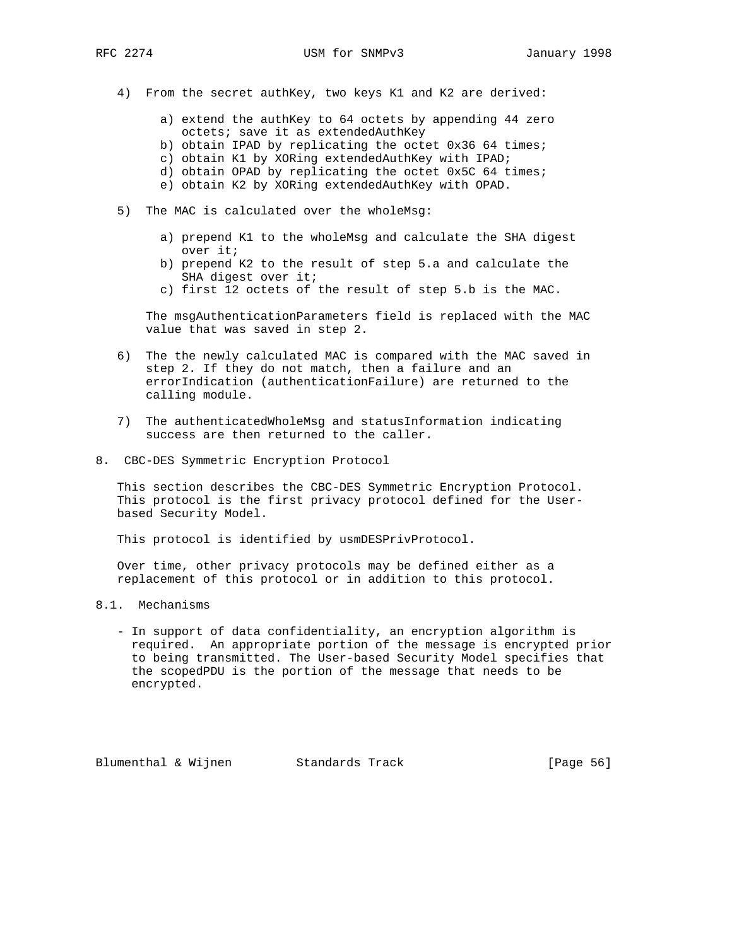- 4) From the secret authKey, two keys K1 and K2 are derived:
	- a) extend the authKey to 64 octets by appending 44 zero octets; save it as extendedAuthKey
	- b) obtain IPAD by replicating the octet 0x36 64 times;
	- c) obtain K1 by XORing extendedAuthKey with IPAD;
	- d) obtain OPAD by replicating the octet 0x5C 64 times;
	- e) obtain K2 by XORing extendedAuthKey with OPAD.
- 5) The MAC is calculated over the wholeMsg:
	- a) prepend K1 to the wholeMsg and calculate the SHA digest over it;
	- b) prepend K2 to the result of step 5.a and calculate the SHA digest over it;
	- c) first 12 octets of the result of step 5.b is the MAC.

 The msgAuthenticationParameters field is replaced with the MAC value that was saved in step 2.

- 6) The the newly calculated MAC is compared with the MAC saved in step 2. If they do not match, then a failure and an errorIndication (authenticationFailure) are returned to the calling module.
- 7) The authenticatedWholeMsg and statusInformation indicating success are then returned to the caller.
- 8. CBC-DES Symmetric Encryption Protocol

 This section describes the CBC-DES Symmetric Encryption Protocol. This protocol is the first privacy protocol defined for the User based Security Model.

This protocol is identified by usmDESPrivProtocol.

 Over time, other privacy protocols may be defined either as a replacement of this protocol or in addition to this protocol.

- 8.1. Mechanisms
	- In support of data confidentiality, an encryption algorithm is required. An appropriate portion of the message is encrypted prior to being transmitted. The User-based Security Model specifies that the scopedPDU is the portion of the message that needs to be encrypted.

Blumenthal & Wijnen Standards Track [Page 56]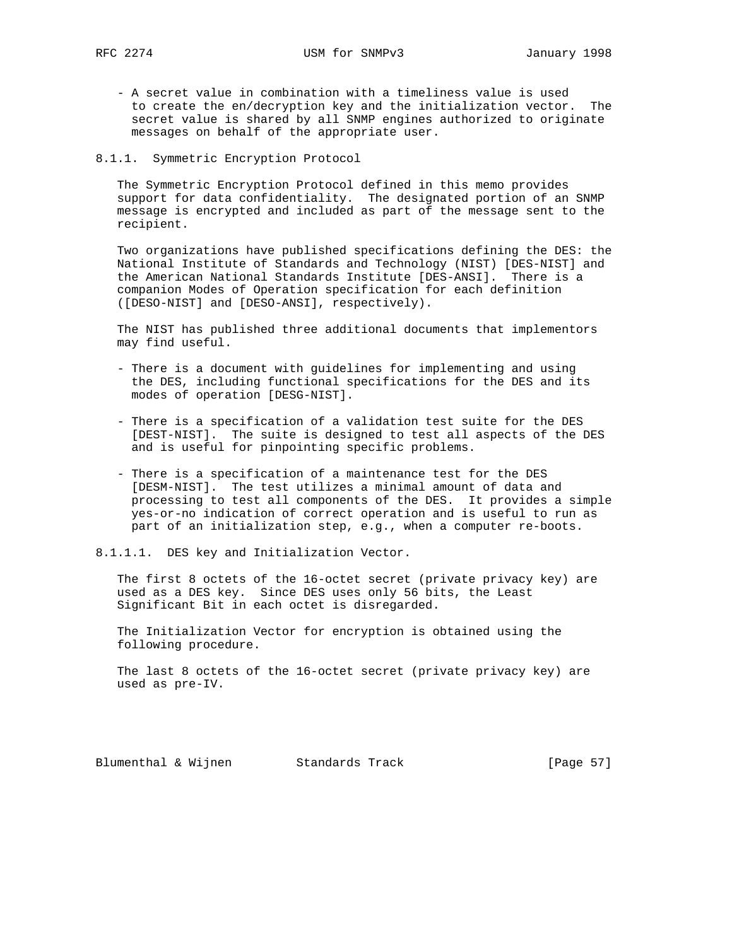- A secret value in combination with a timeliness value is used to create the en/decryption key and the initialization vector. The secret value is shared by all SNMP engines authorized to originate messages on behalf of the appropriate user.

8.1.1. Symmetric Encryption Protocol

 The Symmetric Encryption Protocol defined in this memo provides support for data confidentiality. The designated portion of an SNMP message is encrypted and included as part of the message sent to the recipient.

 Two organizations have published specifications defining the DES: the National Institute of Standards and Technology (NIST) [DES-NIST] and the American National Standards Institute [DES-ANSI]. There is a companion Modes of Operation specification for each definition ([DESO-NIST] and [DESO-ANSI], respectively).

 The NIST has published three additional documents that implementors may find useful.

- There is a document with guidelines for implementing and using the DES, including functional specifications for the DES and its modes of operation [DESG-NIST].
- There is a specification of a validation test suite for the DES [DEST-NIST]. The suite is designed to test all aspects of the DES and is useful for pinpointing specific problems.
- There is a specification of a maintenance test for the DES [DESM-NIST]. The test utilizes a minimal amount of data and processing to test all components of the DES. It provides a simple yes-or-no indication of correct operation and is useful to run as part of an initialization step, e.g., when a computer re-boots.

8.1.1.1. DES key and Initialization Vector.

 The first 8 octets of the 16-octet secret (private privacy key) are used as a DES key. Since DES uses only 56 bits, the Least Significant Bit in each octet is disregarded.

 The Initialization Vector for encryption is obtained using the following procedure.

 The last 8 octets of the 16-octet secret (private privacy key) are used as pre-IV.

Blumenthal & Wijnen Standards Track [Page 57]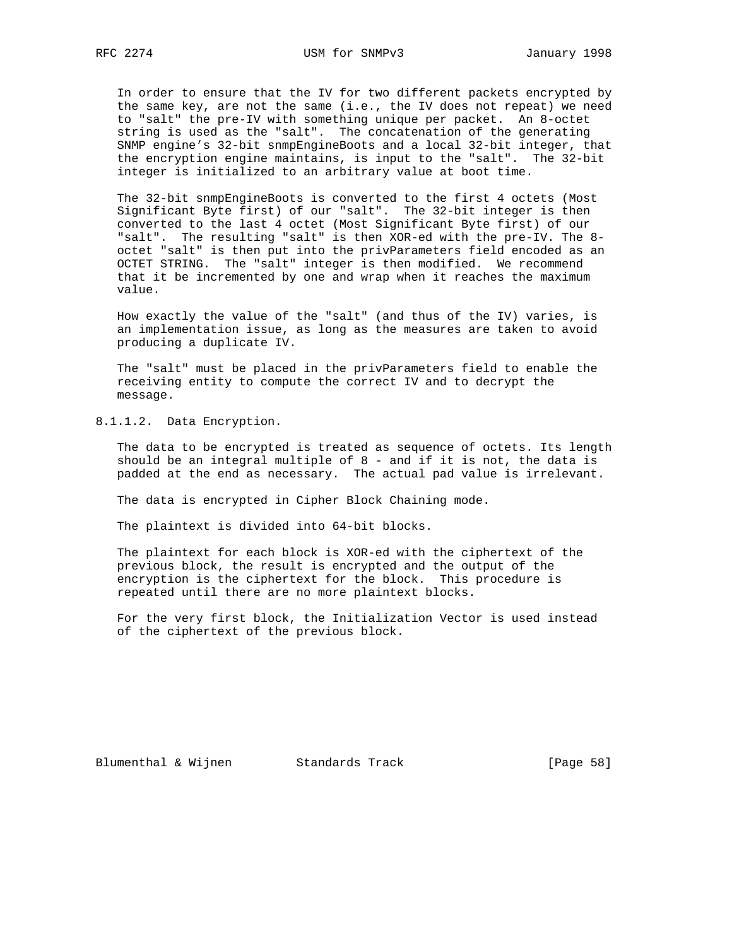In order to ensure that the IV for two different packets encrypted by the same key, are not the same (i.e., the IV does not repeat) we need to "salt" the pre-IV with something unique per packet. An 8-octet string is used as the "salt". The concatenation of the generating SNMP engine's 32-bit snmpEngineBoots and a local 32-bit integer, that the encryption engine maintains, is input to the "salt". The 32-bit integer is initialized to an arbitrary value at boot time.

 The 32-bit snmpEngineBoots is converted to the first 4 octets (Most Significant Byte first) of our "salt". The 32-bit integer is then converted to the last 4 octet (Most Significant Byte first) of our "salt". The resulting "salt" is then XOR-ed with the pre-IV. The 8 octet "salt" is then put into the privParameters field encoded as an OCTET STRING. The "salt" integer is then modified. We recommend that it be incremented by one and wrap when it reaches the maximum value.

 How exactly the value of the "salt" (and thus of the IV) varies, is an implementation issue, as long as the measures are taken to avoid producing a duplicate IV.

 The "salt" must be placed in the privParameters field to enable the receiving entity to compute the correct IV and to decrypt the message.

8.1.1.2. Data Encryption.

 The data to be encrypted is treated as sequence of octets. Its length should be an integral multiple of  $8$  - and if it is not, the data is padded at the end as necessary. The actual pad value is irrelevant.

The data is encrypted in Cipher Block Chaining mode.

The plaintext is divided into 64-bit blocks.

 The plaintext for each block is XOR-ed with the ciphertext of the previous block, the result is encrypted and the output of the encryption is the ciphertext for the block. This procedure is repeated until there are no more plaintext blocks.

 For the very first block, the Initialization Vector is used instead of the ciphertext of the previous block.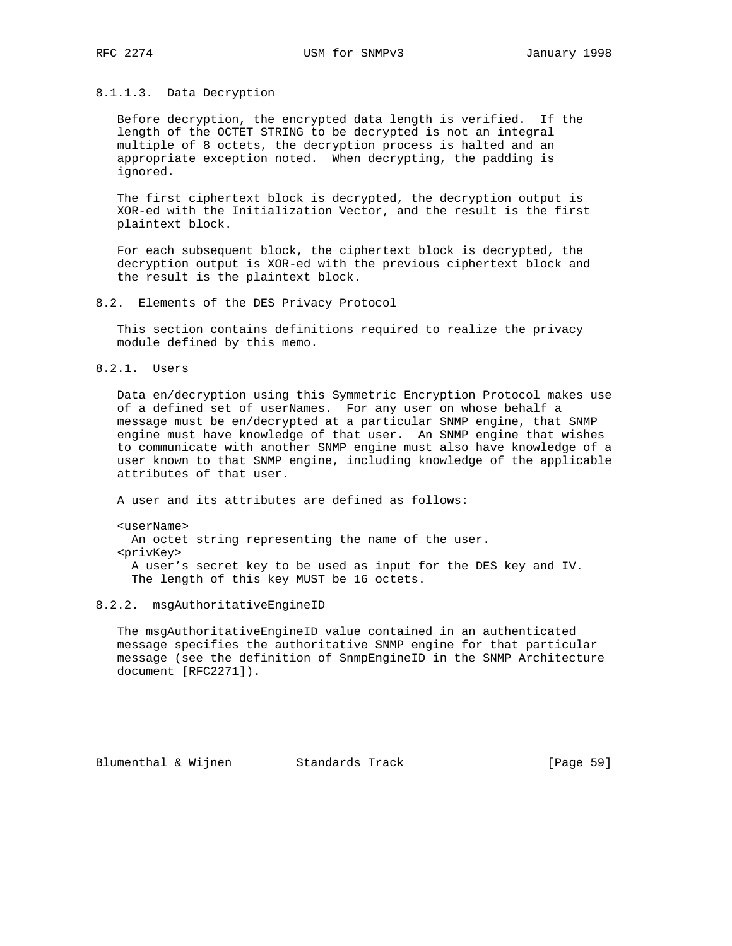# 8.1.1.3. Data Decryption

 Before decryption, the encrypted data length is verified. If the length of the OCTET STRING to be decrypted is not an integral multiple of 8 octets, the decryption process is halted and an appropriate exception noted. When decrypting, the padding is ignored.

 The first ciphertext block is decrypted, the decryption output is XOR-ed with the Initialization Vector, and the result is the first plaintext block.

 For each subsequent block, the ciphertext block is decrypted, the decryption output is XOR-ed with the previous ciphertext block and the result is the plaintext block.

8.2. Elements of the DES Privacy Protocol

 This section contains definitions required to realize the privacy module defined by this memo.

8.2.1. Users

 Data en/decryption using this Symmetric Encryption Protocol makes use of a defined set of userNames. For any user on whose behalf a message must be en/decrypted at a particular SNMP engine, that SNMP engine must have knowledge of that user. An SNMP engine that wishes to communicate with another SNMP engine must also have knowledge of a user known to that SNMP engine, including knowledge of the applicable attributes of that user.

A user and its attributes are defined as follows:

<userName>

 An octet string representing the name of the user. <privKey> A user's secret key to be used as input for the DES key and IV. The length of this key MUST be 16 octets.

### 8.2.2. msgAuthoritativeEngineID

 The msgAuthoritativeEngineID value contained in an authenticated message specifies the authoritative SNMP engine for that particular message (see the definition of SnmpEngineID in the SNMP Architecture document [RFC2271]).

Blumenthal & Wijnen Standards Track [Page 59]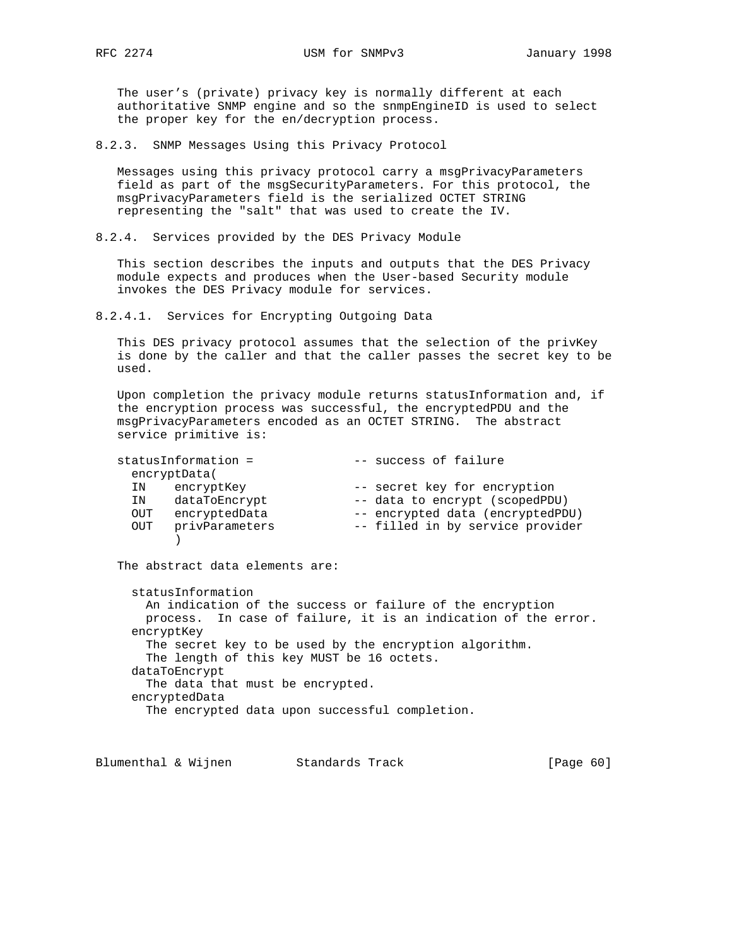The user's (private) privacy key is normally different at each authoritative SNMP engine and so the snmpEngineID is used to select the proper key for the en/decryption process.

8.2.3. SNMP Messages Using this Privacy Protocol

 Messages using this privacy protocol carry a msgPrivacyParameters field as part of the msgSecurityParameters. For this protocol, the msgPrivacyParameters field is the serialized OCTET STRING representing the "salt" that was used to create the IV.

8.2.4. Services provided by the DES Privacy Module

 This section describes the inputs and outputs that the DES Privacy module expects and produces when the User-based Security module invokes the DES Privacy module for services.

8.2.4.1. Services for Encrypting Outgoing Data

This DES privacy protocol assumes that the selection of the privKey is done by the caller and that the caller passes the secret key to be used.

 Upon completion the privacy module returns statusInformation and, if the encryption process was successful, the encryptedPDU and the msgPrivacyParameters encoded as an OCTET STRING. The abstract service primitive is:

|            | statusInformation = | -- success of failure            |
|------------|---------------------|----------------------------------|
|            | encryptData(        |                                  |
| IN         | encryptKey          | -- secret key for encryption     |
| IN         | dataToEncrypt       | -- data to encrypt (scopedPDU)   |
| OUT        | encryptedData       | -- encrypted data (encryptedPDU) |
| <b>OUT</b> | privParameters      | -- filled in by service provider |
|            |                     |                                  |

The abstract data elements are:

 statusInformation An indication of the success or failure of the encryption process. In case of failure, it is an indication of the error. encryptKey The secret key to be used by the encryption algorithm. The length of this key MUST be 16 octets. dataToEncrypt The data that must be encrypted. encryptedData The encrypted data upon successful completion.

Blumenthal & Wijnen Standards Track [Page 60]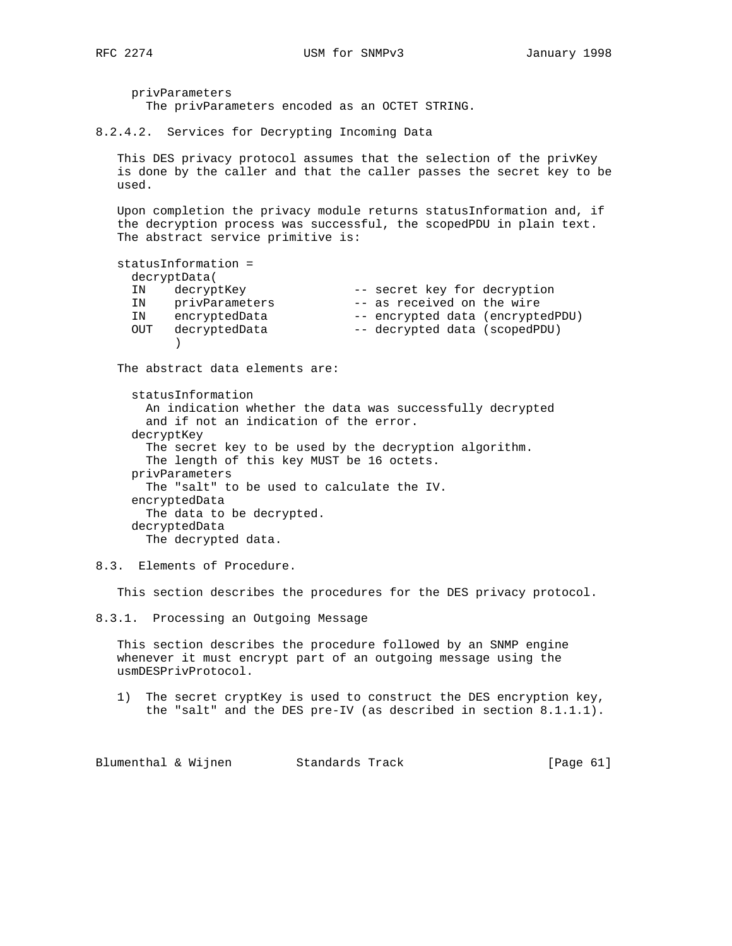privParameters The privParameters encoded as an OCTET STRING.

8.2.4.2. Services for Decrypting Incoming Data

 This DES privacy protocol assumes that the selection of the privKey is done by the caller and that the caller passes the secret key to be used.

 Upon completion the privacy module returns statusInformation and, if the decryption process was successful, the scopedPDU in plain text. The abstract service primitive is:

```
 statusInformation =
    decryptData(
 IN decryptKey -- secret key for decryption
 IN privParameters -- as received on the wire
 IN encryptedData -- encrypted data (encryptedPDU)
 OUT decryptedData -- decrypted data (scopedPDU)
 )
```
The abstract data elements are:

 statusInformation An indication whether the data was successfully decrypted and if not an indication of the error. decryptKey The secret key to be used by the decryption algorithm. The length of this key MUST be 16 octets. privParameters The "salt" to be used to calculate the IV. encryptedData The data to be decrypted. decryptedData The decrypted data.

8.3. Elements of Procedure.

This section describes the procedures for the DES privacy protocol.

8.3.1. Processing an Outgoing Message

 This section describes the procedure followed by an SNMP engine whenever it must encrypt part of an outgoing message using the usmDESPrivProtocol.

 1) The secret cryptKey is used to construct the DES encryption key, the "salt" and the DES pre-IV (as described in section 8.1.1.1).

Blumenthal & Wijnen Standards Track [Page 61]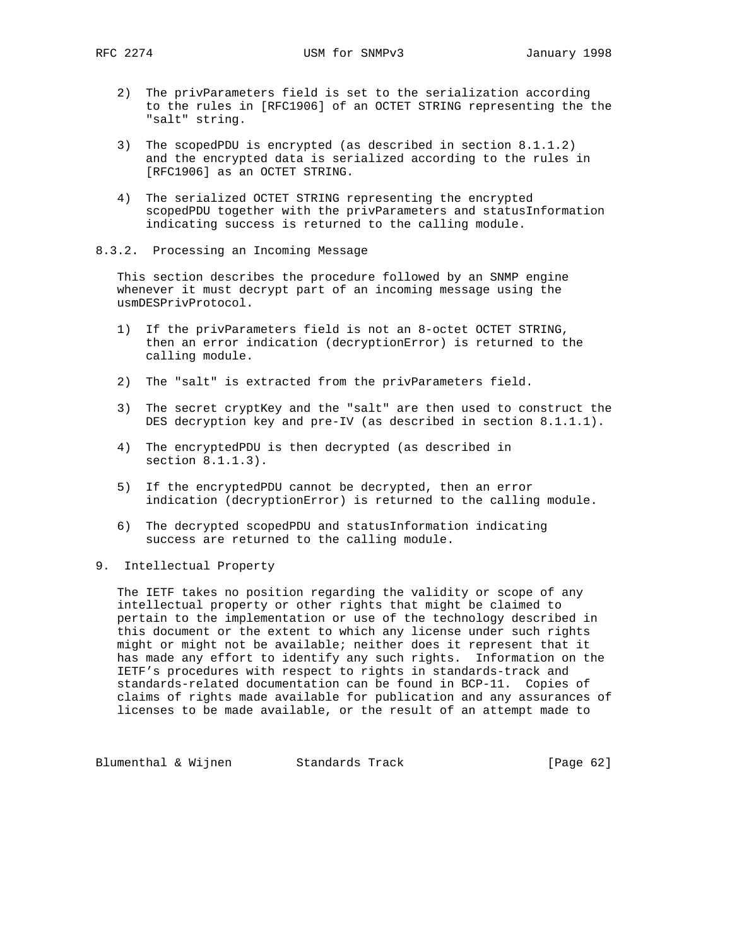- 2) The privParameters field is set to the serialization according to the rules in [RFC1906] of an OCTET STRING representing the the "salt" string.
- 3) The scopedPDU is encrypted (as described in section 8.1.1.2) and the encrypted data is serialized according to the rules in [RFC1906] as an OCTET STRING.
- 4) The serialized OCTET STRING representing the encrypted scopedPDU together with the privParameters and statusInformation indicating success is returned to the calling module.
- 8.3.2. Processing an Incoming Message

 This section describes the procedure followed by an SNMP engine whenever it must decrypt part of an incoming message using the usmDESPrivProtocol.

- 1) If the privParameters field is not an 8-octet OCTET STRING, then an error indication (decryptionError) is returned to the calling module.
- 2) The "salt" is extracted from the privParameters field.
- 3) The secret cryptKey and the "salt" are then used to construct the DES decryption key and pre-IV (as described in section 8.1.1.1).
- 4) The encryptedPDU is then decrypted (as described in section 8.1.1.3).
- 5) If the encryptedPDU cannot be decrypted, then an error indication (decryptionError) is returned to the calling module.
- 6) The decrypted scopedPDU and statusInformation indicating success are returned to the calling module.
- 9. Intellectual Property

 The IETF takes no position regarding the validity or scope of any intellectual property or other rights that might be claimed to pertain to the implementation or use of the technology described in this document or the extent to which any license under such rights might or might not be available; neither does it represent that it has made any effort to identify any such rights. Information on the IETF's procedures with respect to rights in standards-track and standards-related documentation can be found in BCP-11. Copies of claims of rights made available for publication and any assurances of licenses to be made available, or the result of an attempt made to

Blumenthal & Wijnen Standards Track [Page 62]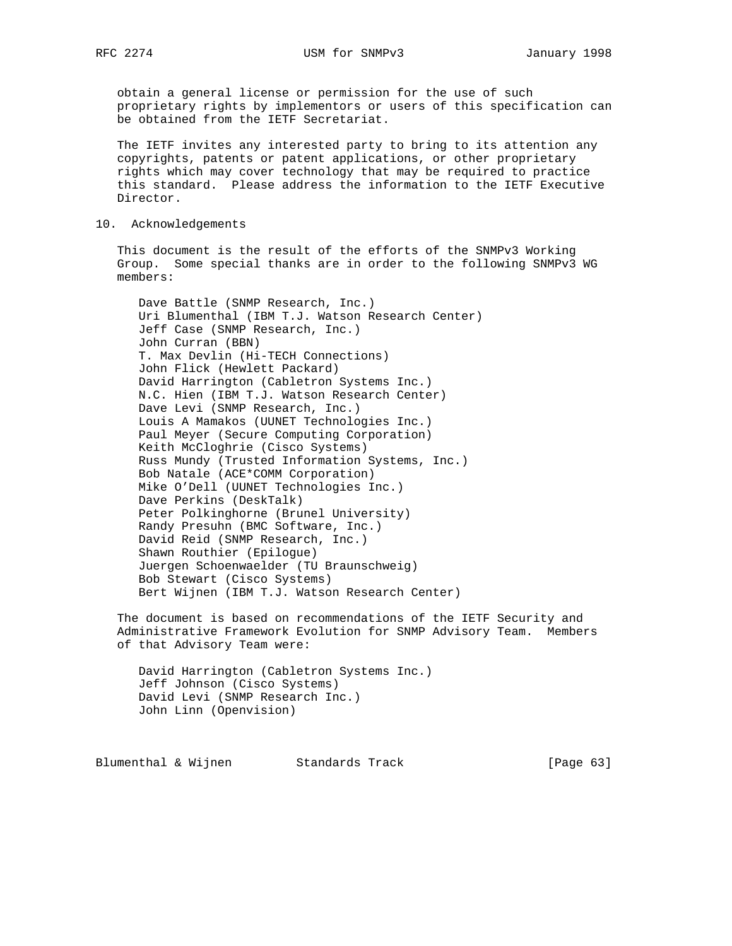obtain a general license or permission for the use of such proprietary rights by implementors or users of this specification can be obtained from the IETF Secretariat.

 The IETF invites any interested party to bring to its attention any copyrights, patents or patent applications, or other proprietary rights which may cover technology that may be required to practice this standard. Please address the information to the IETF Executive Director.

# 10. Acknowledgements

 This document is the result of the efforts of the SNMPv3 Working Group. Some special thanks are in order to the following SNMPv3 WG members:

 Dave Battle (SNMP Research, Inc.) Uri Blumenthal (IBM T.J. Watson Research Center) Jeff Case (SNMP Research, Inc.) John Curran (BBN) T. Max Devlin (Hi-TECH Connections) John Flick (Hewlett Packard) David Harrington (Cabletron Systems Inc.) N.C. Hien (IBM T.J. Watson Research Center) Dave Levi (SNMP Research, Inc.) Louis A Mamakos (UUNET Technologies Inc.) Paul Meyer (Secure Computing Corporation) Keith McCloghrie (Cisco Systems) Russ Mundy (Trusted Information Systems, Inc.) Bob Natale (ACE\*COMM Corporation) Mike O'Dell (UUNET Technologies Inc.) Dave Perkins (DeskTalk) Peter Polkinghorne (Brunel University) Randy Presuhn (BMC Software, Inc.) David Reid (SNMP Research, Inc.) Shawn Routhier (Epilogue) Juergen Schoenwaelder (TU Braunschweig) Bob Stewart (Cisco Systems) Bert Wijnen (IBM T.J. Watson Research Center)

 The document is based on recommendations of the IETF Security and Administrative Framework Evolution for SNMP Advisory Team. Members of that Advisory Team were:

 David Harrington (Cabletron Systems Inc.) Jeff Johnson (Cisco Systems) David Levi (SNMP Research Inc.) John Linn (Openvision)

Blumenthal & Wijnen Standards Track [Page 63]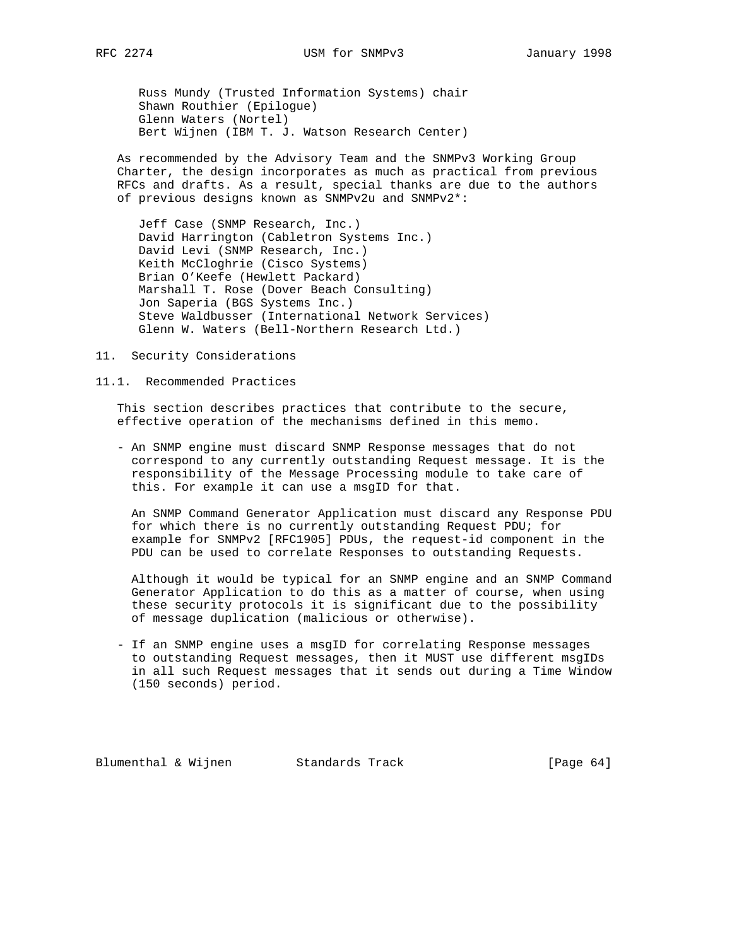Russ Mundy (Trusted Information Systems) chair Shawn Routhier (Epilogue) Glenn Waters (Nortel) Bert Wijnen (IBM T. J. Watson Research Center)

 As recommended by the Advisory Team and the SNMPv3 Working Group Charter, the design incorporates as much as practical from previous RFCs and drafts. As a result, special thanks are due to the authors of previous designs known as SNMPv2u and SNMPv2\*:

 Jeff Case (SNMP Research, Inc.) David Harrington (Cabletron Systems Inc.) David Levi (SNMP Research, Inc.) Keith McCloghrie (Cisco Systems) Brian O'Keefe (Hewlett Packard) Marshall T. Rose (Dover Beach Consulting) Jon Saperia (BGS Systems Inc.) Steve Waldbusser (International Network Services) Glenn W. Waters (Bell-Northern Research Ltd.)

11. Security Considerations

#### 11.1. Recommended Practices

 This section describes practices that contribute to the secure, effective operation of the mechanisms defined in this memo.

 - An SNMP engine must discard SNMP Response messages that do not correspond to any currently outstanding Request message. It is the responsibility of the Message Processing module to take care of this. For example it can use a msgID for that.

 An SNMP Command Generator Application must discard any Response PDU for which there is no currently outstanding Request PDU; for example for SNMPv2 [RFC1905] PDUs, the request-id component in the PDU can be used to correlate Responses to outstanding Requests.

 Although it would be typical for an SNMP engine and an SNMP Command Generator Application to do this as a matter of course, when using these security protocols it is significant due to the possibility of message duplication (malicious or otherwise).

 - If an SNMP engine uses a msgID for correlating Response messages to outstanding Request messages, then it MUST use different msgIDs in all such Request messages that it sends out during a Time Window (150 seconds) period.

Blumenthal & Wijnen Standards Track [Page 64]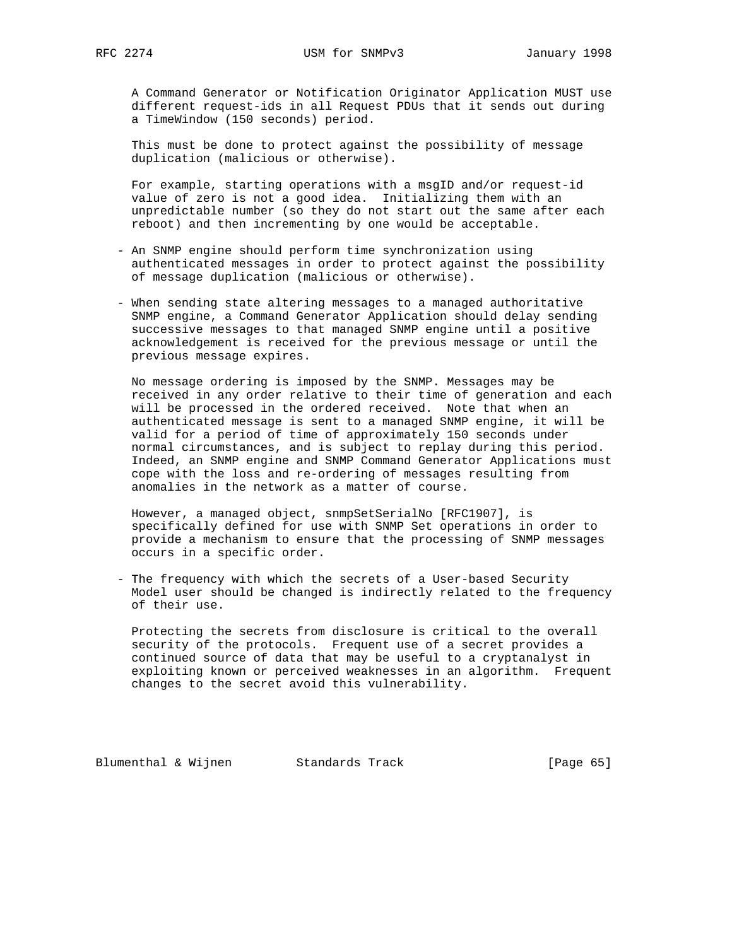A Command Generator or Notification Originator Application MUST use different request-ids in all Request PDUs that it sends out during a TimeWindow (150 seconds) period.

 This must be done to protect against the possibility of message duplication (malicious or otherwise).

 For example, starting operations with a msgID and/or request-id value of zero is not a good idea. Initializing them with an unpredictable number (so they do not start out the same after each reboot) and then incrementing by one would be acceptable.

- An SNMP engine should perform time synchronization using authenticated messages in order to protect against the possibility of message duplication (malicious or otherwise).
- When sending state altering messages to a managed authoritative SNMP engine, a Command Generator Application should delay sending successive messages to that managed SNMP engine until a positive acknowledgement is received for the previous message or until the previous message expires.

 No message ordering is imposed by the SNMP. Messages may be received in any order relative to their time of generation and each will be processed in the ordered received. Note that when an authenticated message is sent to a managed SNMP engine, it will be valid for a period of time of approximately 150 seconds under normal circumstances, and is subject to replay during this period. Indeed, an SNMP engine and SNMP Command Generator Applications must cope with the loss and re-ordering of messages resulting from anomalies in the network as a matter of course.

 However, a managed object, snmpSetSerialNo [RFC1907], is specifically defined for use with SNMP Set operations in order to provide a mechanism to ensure that the processing of SNMP messages occurs in a specific order.

 - The frequency with which the secrets of a User-based Security Model user should be changed is indirectly related to the frequency of their use.

 Protecting the secrets from disclosure is critical to the overall security of the protocols. Frequent use of a secret provides a continued source of data that may be useful to a cryptanalyst in exploiting known or perceived weaknesses in an algorithm. Frequent changes to the secret avoid this vulnerability.

Blumenthal & Wijnen Standards Track [Page 65]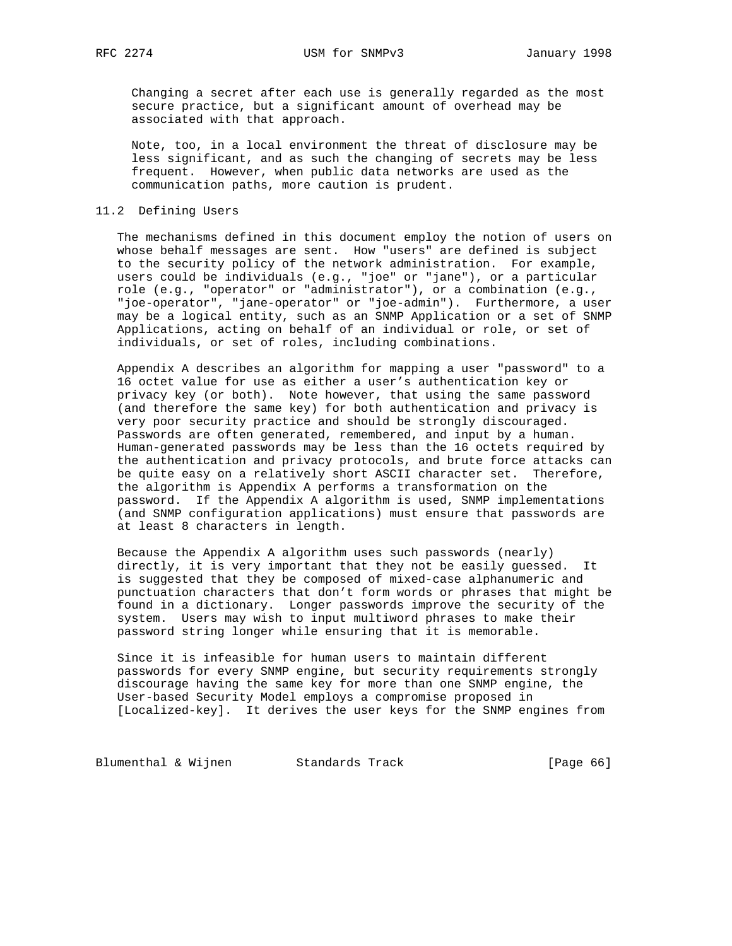Changing a secret after each use is generally regarded as the most secure practice, but a significant amount of overhead may be associated with that approach.

 Note, too, in a local environment the threat of disclosure may be less significant, and as such the changing of secrets may be less frequent. However, when public data networks are used as the communication paths, more caution is prudent.

### 11.2 Defining Users

 The mechanisms defined in this document employ the notion of users on whose behalf messages are sent. How "users" are defined is subject to the security policy of the network administration. For example, users could be individuals (e.g., "joe" or "jane"), or a particular role (e.g., "operator" or "administrator"), or a combination (e.g., "joe-operator", "jane-operator" or "joe-admin"). Furthermore, a user may be a logical entity, such as an SNMP Application or a set of SNMP Applications, acting on behalf of an individual or role, or set of individuals, or set of roles, including combinations.

 Appendix A describes an algorithm for mapping a user "password" to a 16 octet value for use as either a user's authentication key or privacy key (or both). Note however, that using the same password (and therefore the same key) for both authentication and privacy is very poor security practice and should be strongly discouraged. Passwords are often generated, remembered, and input by a human. Human-generated passwords may be less than the 16 octets required by the authentication and privacy protocols, and brute force attacks can be quite easy on a relatively short ASCII character set. Therefore, the algorithm is Appendix A performs a transformation on the password. If the Appendix A algorithm is used, SNMP implementations (and SNMP configuration applications) must ensure that passwords are at least 8 characters in length.

 Because the Appendix A algorithm uses such passwords (nearly) directly, it is very important that they not be easily guessed. It is suggested that they be composed of mixed-case alphanumeric and punctuation characters that don't form words or phrases that might be found in a dictionary. Longer passwords improve the security of the system. Users may wish to input multiword phrases to make their password string longer while ensuring that it is memorable.

 Since it is infeasible for human users to maintain different passwords for every SNMP engine, but security requirements strongly discourage having the same key for more than one SNMP engine, the User-based Security Model employs a compromise proposed in [Localized-key]. It derives the user keys for the SNMP engines from

Blumenthal & Wijnen Standards Track [Page 66]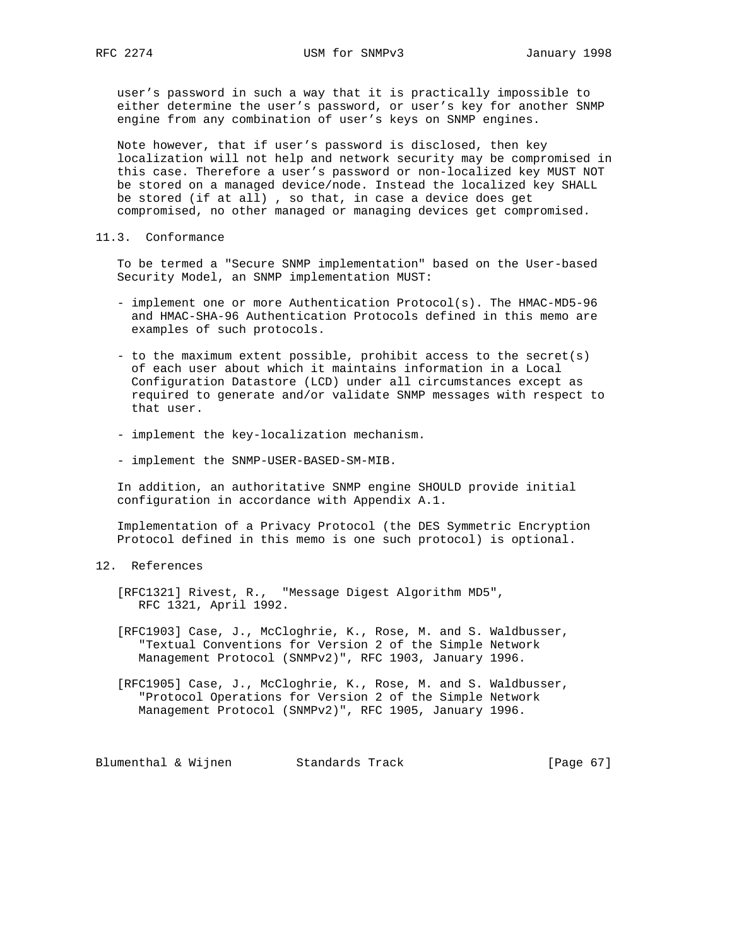user's password in such a way that it is practically impossible to either determine the user's password, or user's key for another SNMP engine from any combination of user's keys on SNMP engines.

 Note however, that if user's password is disclosed, then key localization will not help and network security may be compromised in this case. Therefore a user's password or non-localized key MUST NOT be stored on a managed device/node. Instead the localized key SHALL be stored (if at all) , so that, in case a device does get compromised, no other managed or managing devices get compromised.

11.3. Conformance

 To be termed a "Secure SNMP implementation" based on the User-based Security Model, an SNMP implementation MUST:

- implement one or more Authentication Protocol(s). The HMAC-MD5-96 and HMAC-SHA-96 Authentication Protocols defined in this memo are examples of such protocols.
- to the maximum extent possible, prohibit access to the secret(s) of each user about which it maintains information in a Local Configuration Datastore (LCD) under all circumstances except as required to generate and/or validate SNMP messages with respect to that user.
- implement the key-localization mechanism.
- implement the SNMP-USER-BASED-SM-MIB.

 In addition, an authoritative SNMP engine SHOULD provide initial configuration in accordance with Appendix A.1.

 Implementation of a Privacy Protocol (the DES Symmetric Encryption Protocol defined in this memo is one such protocol) is optional.

# 12. References

 [RFC1321] Rivest, R., "Message Digest Algorithm MD5", RFC 1321, April 1992.

 [RFC1903] Case, J., McCloghrie, K., Rose, M. and S. Waldbusser, "Textual Conventions for Version 2 of the Simple Network Management Protocol (SNMPv2)", RFC 1903, January 1996.

 [RFC1905] Case, J., McCloghrie, K., Rose, M. and S. Waldbusser, "Protocol Operations for Version 2 of the Simple Network Management Protocol (SNMPv2)", RFC 1905, January 1996.

Blumenthal & Wijnen Standards Track [Page 67]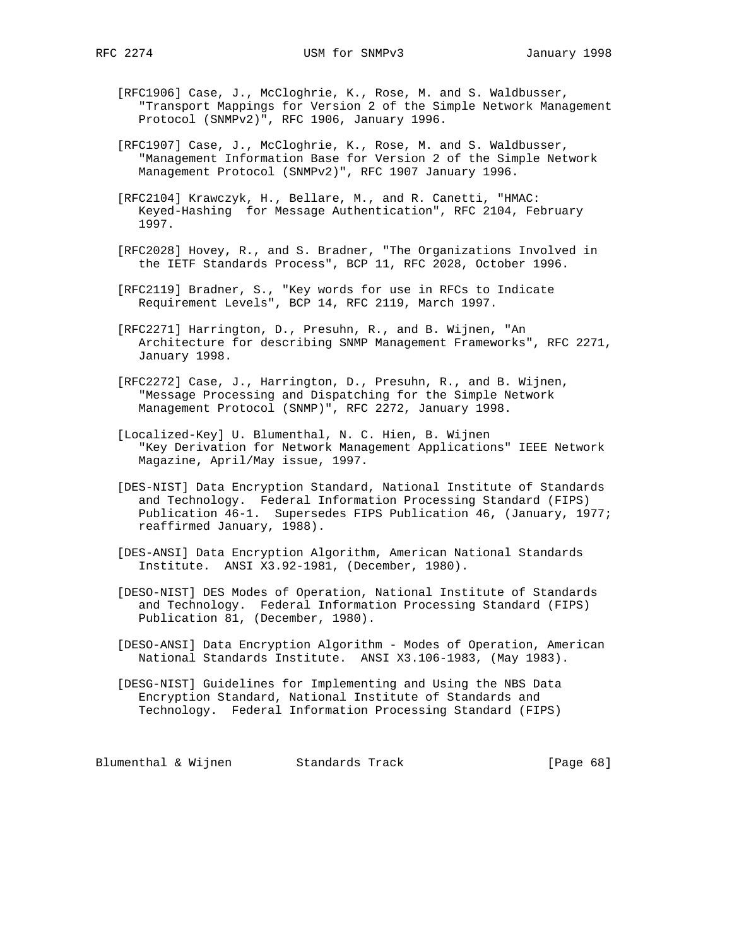- [RFC1906] Case, J., McCloghrie, K., Rose, M. and S. Waldbusser, "Transport Mappings for Version 2 of the Simple Network Management Protocol (SNMPv2)", RFC 1906, January 1996.
- [RFC1907] Case, J., McCloghrie, K., Rose, M. and S. Waldbusser, "Management Information Base for Version 2 of the Simple Network Management Protocol (SNMPv2)", RFC 1907 January 1996.
- [RFC2104] Krawczyk, H., Bellare, M., and R. Canetti, "HMAC: Keyed-Hashing for Message Authentication", RFC 2104, February 1997.
- [RFC2028] Hovey, R., and S. Bradner, "The Organizations Involved in the IETF Standards Process", BCP 11, RFC 2028, October 1996.
- [RFC2119] Bradner, S., "Key words for use in RFCs to Indicate Requirement Levels", BCP 14, RFC 2119, March 1997.
- [RFC2271] Harrington, D., Presuhn, R., and B. Wijnen, "An Architecture for describing SNMP Management Frameworks", RFC 2271, January 1998.
- [RFC2272] Case, J., Harrington, D., Presuhn, R., and B. Wijnen, "Message Processing and Dispatching for the Simple Network Management Protocol (SNMP)", RFC 2272, January 1998.
- [Localized-Key] U. Blumenthal, N. C. Hien, B. Wijnen "Key Derivation for Network Management Applications" IEEE Network Magazine, April/May issue, 1997.
- [DES-NIST] Data Encryption Standard, National Institute of Standards and Technology. Federal Information Processing Standard (FIPS) Publication 46-1. Supersedes FIPS Publication 46, (January, 1977; reaffirmed January, 1988).
- [DES-ANSI] Data Encryption Algorithm, American National Standards Institute. ANSI X3.92-1981, (December, 1980).
- [DESO-NIST] DES Modes of Operation, National Institute of Standards and Technology. Federal Information Processing Standard (FIPS) Publication 81, (December, 1980).
- [DESO-ANSI] Data Encryption Algorithm Modes of Operation, American National Standards Institute. ANSI X3.106-1983, (May 1983).
- [DESG-NIST] Guidelines for Implementing and Using the NBS Data Encryption Standard, National Institute of Standards and Technology. Federal Information Processing Standard (FIPS)

Blumenthal & Wijnen Standards Track [Page 68]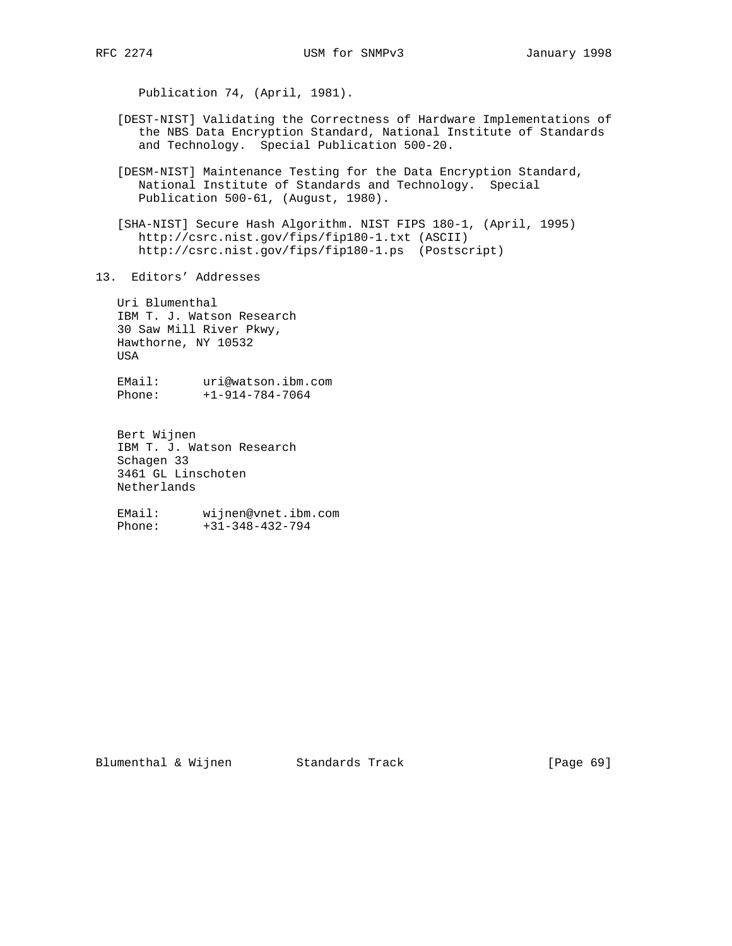Publication 74, (April, 1981).

- [DEST-NIST] Validating the Correctness of Hardware Implementations of the NBS Data Encryption Standard, National Institute of Standards and Technology. Special Publication 500-20.
- [DESM-NIST] Maintenance Testing for the Data Encryption Standard, National Institute of Standards and Technology. Special Publication 500-61, (August, 1980).
- [SHA-NIST] Secure Hash Algorithm. NIST FIPS 180-1, (April, 1995) http://csrc.nist.gov/fips/fip180-1.txt (ASCII) http://csrc.nist.gov/fips/fip180-1.ps (Postscript)
- 13. Editors' Addresses

 Uri Blumenthal IBM T. J. Watson Research 30 Saw Mill River Pkwy, Hawthorne, NY 10532 USA

 EMail: uri@watson.ibm.com Phone: +1-914-784-7064

 Bert Wijnen IBM T. J. Watson Research Schagen 33 3461 GL Linschoten Netherlands

 EMail: wijnen@vnet.ibm.com Phone: +31-348-432-794

Blumenthal & Wijnen Standards Track [Page 69]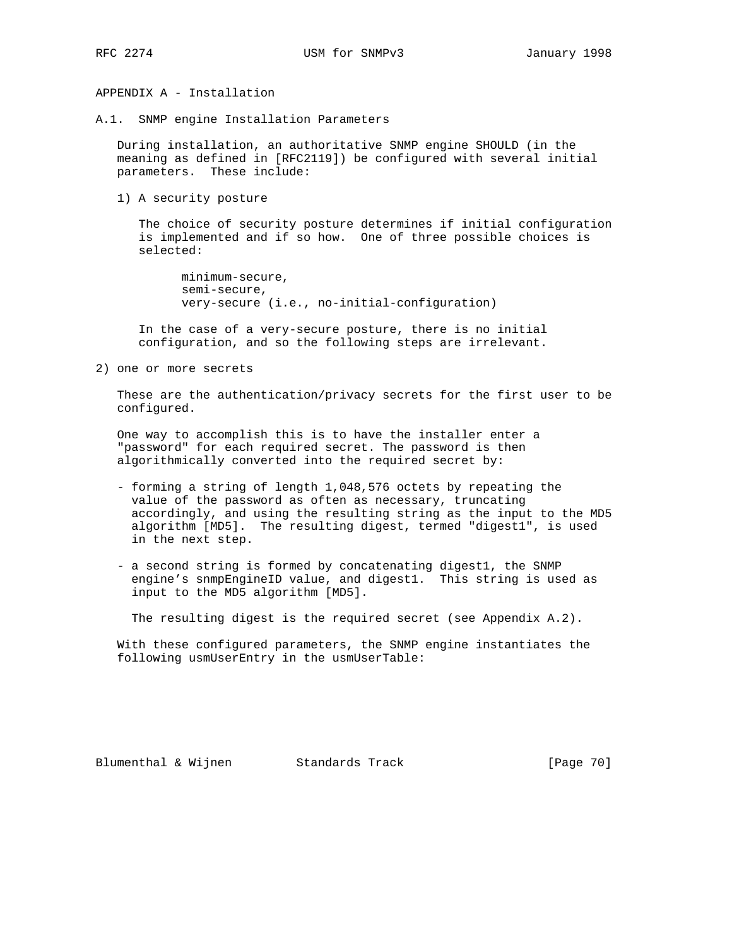APPENDIX A - Installation

A.1. SNMP engine Installation Parameters

 During installation, an authoritative SNMP engine SHOULD (in the meaning as defined in [RFC2119]) be configured with several initial parameters. These include:

1) A security posture

 The choice of security posture determines if initial configuration is implemented and if so how. One of three possible choices is selected:

 minimum-secure, semi-secure, very-secure (i.e., no-initial-configuration)

 In the case of a very-secure posture, there is no initial configuration, and so the following steps are irrelevant.

2) one or more secrets

 These are the authentication/privacy secrets for the first user to be configured.

 One way to accomplish this is to have the installer enter a "password" for each required secret. The password is then algorithmically converted into the required secret by:

- forming a string of length 1,048,576 octets by repeating the value of the password as often as necessary, truncating accordingly, and using the resulting string as the input to the MD5 algorithm [MD5]. The resulting digest, termed "digest1", is used in the next step.
- a second string is formed by concatenating digest1, the SNMP engine's snmpEngineID value, and digest1. This string is used as input to the MD5 algorithm [MD5].

The resulting digest is the required secret (see Appendix A.2).

 With these configured parameters, the SNMP engine instantiates the following usmUserEntry in the usmUserTable: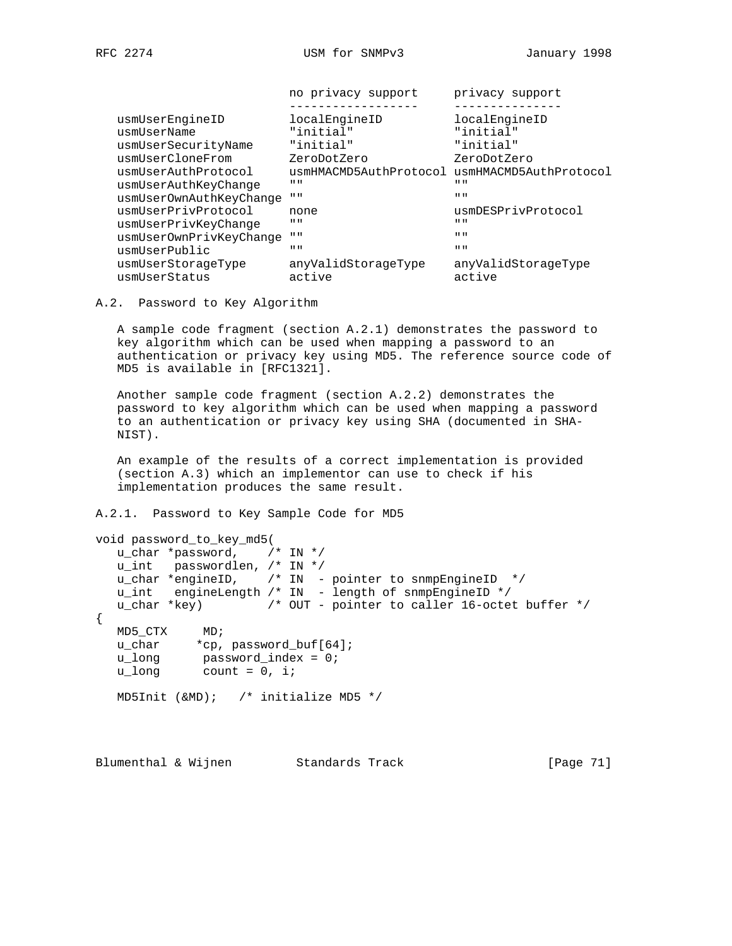|                                     | no privacy support                            | privacy support               |
|-------------------------------------|-----------------------------------------------|-------------------------------|
| usmUserEngineID                     | localEngineID                                 | localEngineID                 |
| usmUserName                         | "initial"                                     | "initial"                     |
| usmUserSecurityName                 | "initial"                                     | "initial"                     |
| usmUserCloneFrom                    | ZeroDotZero                                   | ZeroDotZero                   |
| usmUserAuthProtocol                 | usmHMACMD5AuthProtocol usmHMACMD5AuthProtocol |                               |
| usmUserAuthKeyChange                | $II$ $II$                                     | $II$ $II$                     |
| usmUserOwnAuthKeyChange             | $\mathbf{u}$                                  | $II$ $II$                     |
| usmUserPrivProtocol                 | none                                          | usmDESPrivProtocol            |
| usmUserPrivKeyChange                | $H$ $H$                                       | $II$ $II$                     |
| usmUserOwnPrivKeyChange             | $II$ $II$                                     | $\mathbf{H}$ $\mathbf{H}$     |
| usmUserPublic                       | $II$ $II$                                     | $\mathbf{H}$ $\mathbf{H}$     |
| usmUserStorageType<br>usmUserStatus | anyValidStorageType<br>active                 | anyValidStorageType<br>active |
|                                     |                                               |                               |

A.2. Password to Key Algorithm

 A sample code fragment (section A.2.1) demonstrates the password to key algorithm which can be used when mapping a password to an authentication or privacy key using MD5. The reference source code of MD5 is available in [RFC1321].

 Another sample code fragment (section A.2.2) demonstrates the password to key algorithm which can be used when mapping a password to an authentication or privacy key using SHA (documented in SHA- NIST).

 An example of the results of a correct implementation is provided (section A.3) which an implementor can use to check if his implementation produces the same result.

A.2.1. Password to Key Sample Code for MD5

```
void password_to_key_md5(
   u_char *password, /* IN */
         passwordlen, /* IN */
 u_char *engineID, /* IN - pointer to snmpEngineID */
 u_int engineLength /* IN - length of snmpEngineID */
   u_char *key) /* OUT - pointer to caller 16-octet buffer */
{
   MD5_CTX MD;
 u_char *cp, password_buf[64];
 u_long password_index = 0;
 u_long count = 0, i;
   MD5Init (&MD); /* initialize MD5 */
```
Blumenthal & Wijnen Standards Track [Page 71]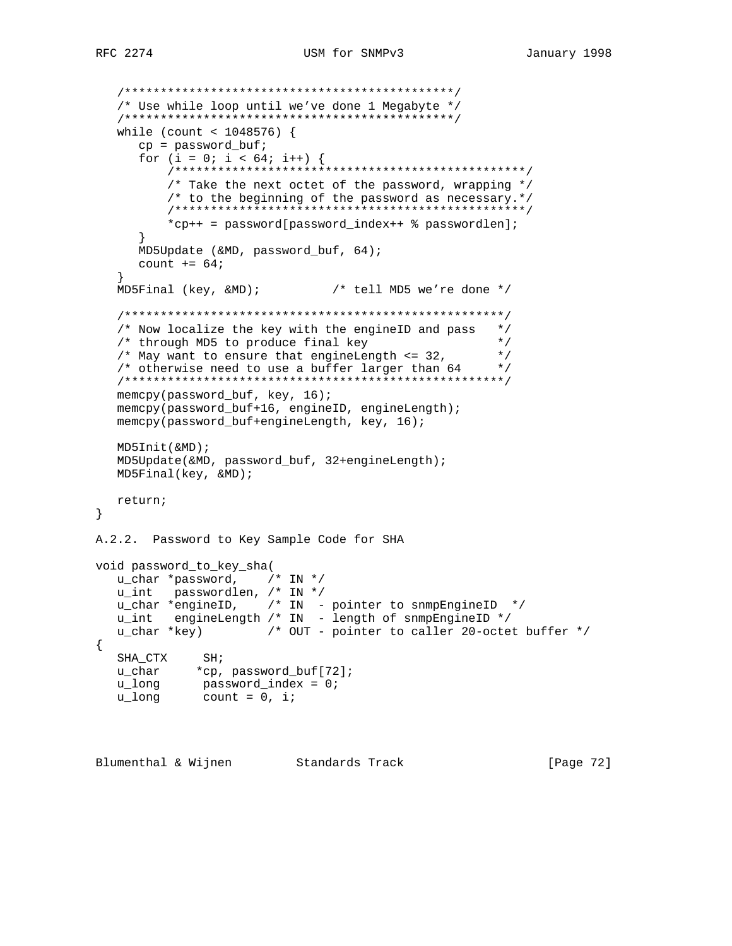```
 /**********************************************/
 /* Use while loop until we've done 1 Megabyte */
 /**********************************************/
 while (count < 1048576) {
```

```
 cp = password_buf;
      for (i = 0; i < 64; i++) {
           /*************************************************/
           /* Take the next octet of the password, wrapping */
           /* to the beginning of the password as necessary.*/
           /*************************************************/
           *cp++ = password[password_index++ % passwordlen];
       }
      MD5Update (&MD, password_buf, 64);
     count += 64; }
   MD5Final (key, &MD); /* tell MD5 we're done */
    /*****************************************************/
   /* Now localize the key with the engineID and pass */<br>/* through MD5 to produce final key */
   /* through MD5 to produce final key
   /* May want to ensure that engineLength \leq 32, */
   /* otherwise need to use a buffer larger than 64 */
    /*****************************************************/
   memcpy(password_buf, key, 16);
   memcpy(password_buf+16, engineID, engineLength);
   memcpy(password_buf+engineLength, key, 16);
   MD5Init(&MD);
   MD5Update(&MD, password_buf, 32+engineLength);
   MD5Final(key, &MD);
   return;
}
A.2.2. Password to Key Sample Code for SHA
void password_to_key_sha(
  <code>u_char *password</code>, \quad /* IN */ \quadu_int passwordlen, /* IN */ u_char *engineID, /* IN - pointer to snmpEngineID */
   u_int engineLength /* IN - length of snmpEngineID */
   u_char *key) /* OUT - pointer to caller 20-octet buffer */
{
SHA_CTX SH;
 u_char *cp, password_buf[72];
 u_long password_index = 0;
 u_long count = 0, i;
```
Blumenthal & Wijnen Standards Track [Page 72]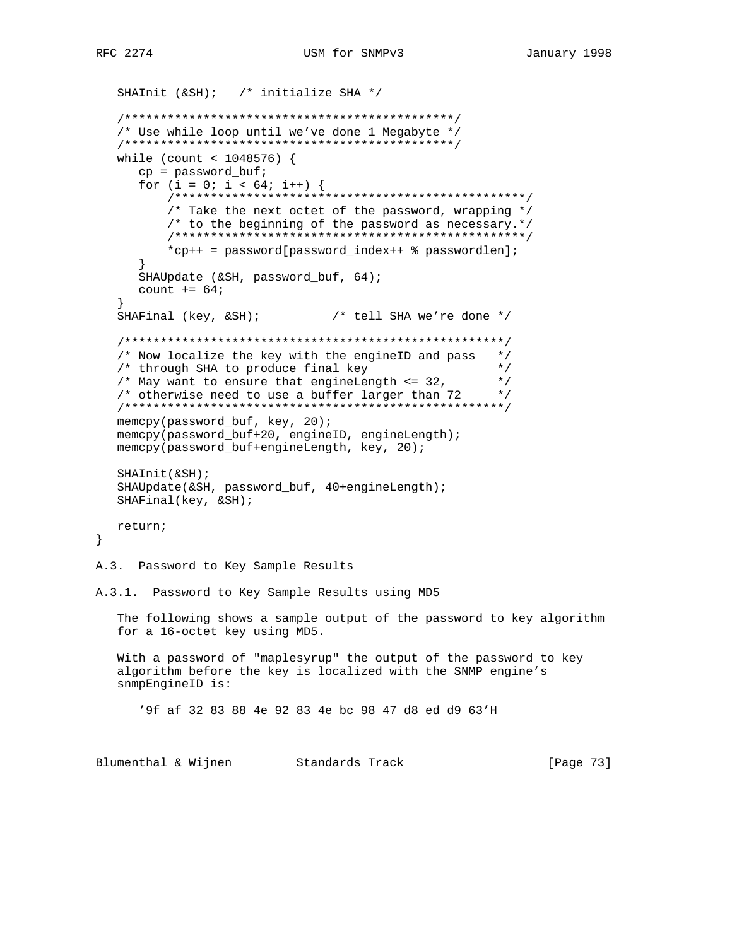```
SHAInit (&SH); /* initialize SHA */
  /* Use while loop until we've done 1 Megabyte */
  while (count < 1048576) {
    cp = password_buf;for (i = 0; i < 64; i++) {
       /* Take the next octet of the password, wrapping */
       /* to the beginning of the password as necessary.*/
       *cp++ = password[password_index++ % passwordlen];
    SHAUpdate (&SH, password_buf, 64);
    count += 64;SHAFinal (key, &SH);
                         /* tell SHA we're done *//* Now localize the key with the engineID and pass */
  /* through SHA to produce final key
                                           \star /
  /* May want to ensure that engineLength \leq 32,
                                           \star /
  /* otherwise need to use a buffer larger than 72 */
  memcpy(password_buf, key, 20);
  memcpy(password_buf+20, engineID, engineLength);
  memcpy(password_buf+engineLength, key, 20);
  SHAINit(\&SH);SHAUpdate(&SH, password_buf, 40+engineLength);
  SHAFinal(key, & SH);return;
\}A.3. Password to Key Sample Results
A.3.1. Password to Key Sample Results using MD5
  The following shows a sample output of the password to key algorithm
  for a 16-octet key using MD5.
  With a password of "maplesyrup" the output of the password to key
  algorithm before the key is localized with the SNMP engine's
  snmpEngineID is:
    '9f af 32 83 88 4e 92 83 4e bc 98 47 d8 ed d9 63'H
Blumenthal & Wijnen Standards Track
                                                  [Page 73]
```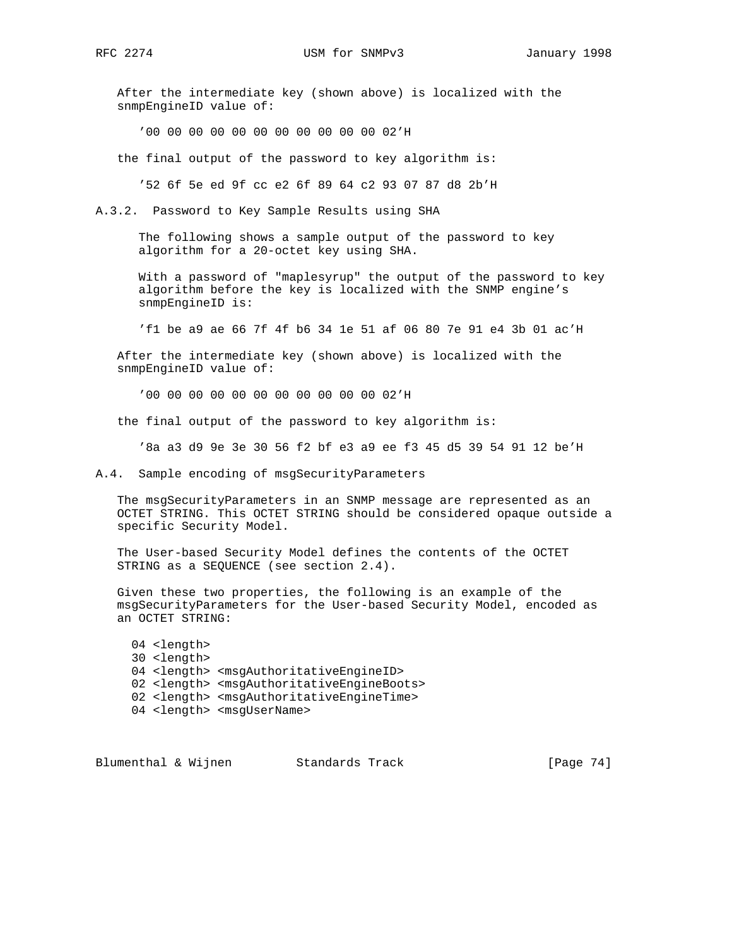After the intermediate key (shown above) is localized with the snmpEngineID value of:

'00 00 00 00 00 00 00 00 00 00 00 02'H

the final output of the password to key algorithm is:

'52 6f 5e ed 9f cc e2 6f 89 64 c2 93 07 87 d8 2b'H

A.3.2. Password to Key Sample Results using SHA

 The following shows a sample output of the password to key algorithm for a 20-octet key using SHA.

 With a password of "maplesyrup" the output of the password to key algorithm before the key is localized with the SNMP engine's snmpEngineID is:

'f1 be a9 ae 66 7f 4f b6 34 1e 51 af 06 80 7e 91 e4 3b 01 ac'H

 After the intermediate key (shown above) is localized with the snmpEngineID value of:

'00 00 00 00 00 00 00 00 00 00 00 02'H

the final output of the password to key algorithm is:

'8a a3 d9 9e 3e 30 56 f2 bf e3 a9 ee f3 45 d5 39 54 91 12 be'H

A.4. Sample encoding of msgSecurityParameters

 The msgSecurityParameters in an SNMP message are represented as an OCTET STRING. This OCTET STRING should be considered opaque outside a specific Security Model.

 The User-based Security Model defines the contents of the OCTET STRING as a SEQUENCE (see section 2.4).

 Given these two properties, the following is an example of the msgSecurityParameters for the User-based Security Model, encoded as an OCTET STRING:

 04 <length> 30 <length> 04 <length> <msgAuthoritativeEngineID> 02 <length> <msgAuthoritativeEngineBoots> 02 <length> <msgAuthoritativeEngineTime> 04 <length> <msgUserName>

Blumenthal & Wijnen Standards Track [Page 74]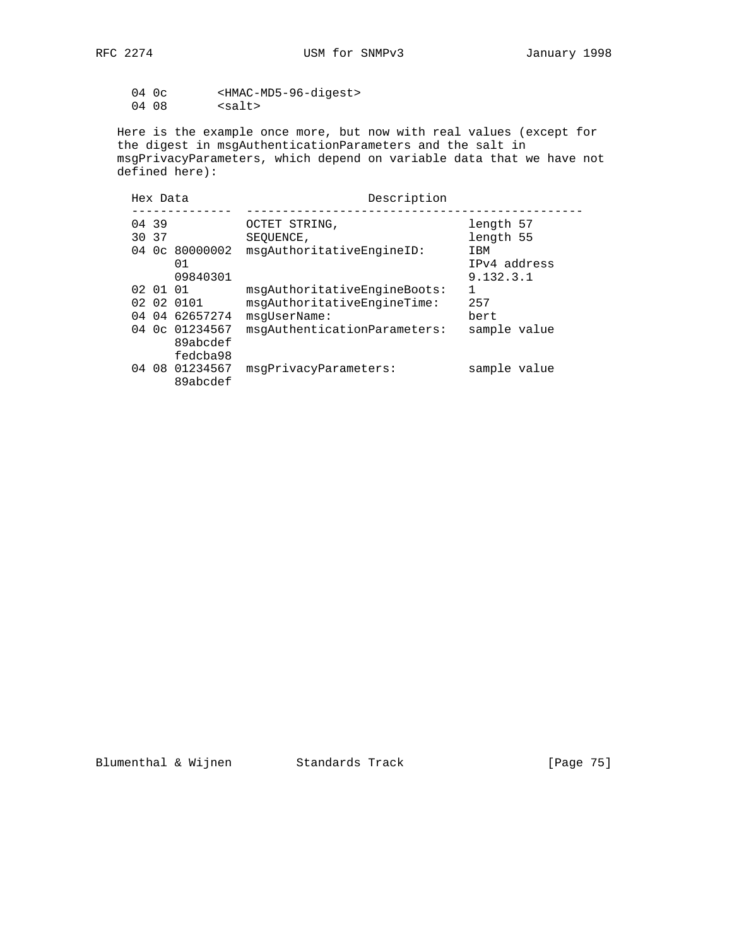04 0c <HMAC-MD5-96-digest> 04 08 <salt>

 Here is the example once more, but now with real values (except for the digest in msgAuthenticationParameters and the salt in msgPrivacyParameters, which depend on variable data that we have not defined here):

| Hex Data       |                                                            | Description                                                                                                 |                                  |
|----------------|------------------------------------------------------------|-------------------------------------------------------------------------------------------------------------|----------------------------------|
| 04 39<br>30 37 |                                                            | OCTET STRING,<br>SEOUENCE,                                                                                  | length 57<br>length 55           |
|                | 04 0c 80000002<br>01<br>09840301                           | msqAuthoritativeEnqineID:                                                                                   | IBM<br>IPv4 address<br>9.132.3.1 |
| 02 01 01       | 02 02 0101<br>04 04 62657274<br>04 0c 01234567<br>89abcdef | msqAuthoritativeEnqineBoots:<br>msqAuthoritativeEnqineTime:<br>msqUserName:<br>msqAuthenticationParameters: | 257<br>bert<br>sample value      |
|                | fedcba98<br>04 08 01234567<br>89abcdef                     | msqPrivacyParameters:                                                                                       | sample value                     |